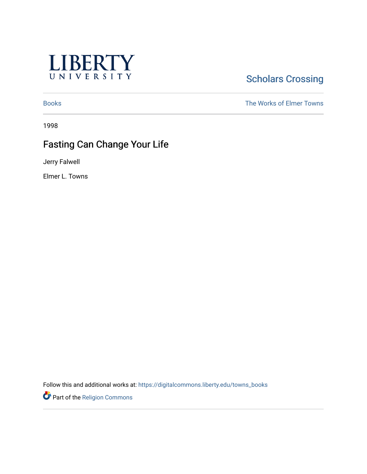

### **Scholars Crossing**

[Books](https://digitalcommons.liberty.edu/towns_books) **The Works of Elmer Towns** 

1998

### Fasting Can Change Your Life

Jerry Falwell

Elmer L. Towns

Follow this and additional works at: [https://digitalcommons.liberty.edu/towns\\_books](https://digitalcommons.liberty.edu/towns_books?utm_source=digitalcommons.liberty.edu%2Ftowns_books%2F93&utm_medium=PDF&utm_campaign=PDFCoverPages) 

Part of the [Religion Commons](http://network.bepress.com/hgg/discipline/538?utm_source=digitalcommons.liberty.edu%2Ftowns_books%2F93&utm_medium=PDF&utm_campaign=PDFCoverPages)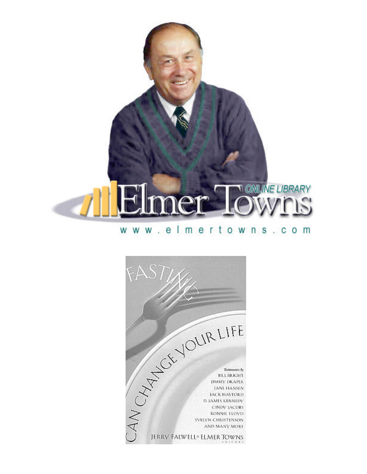

### www.elmertowns.com

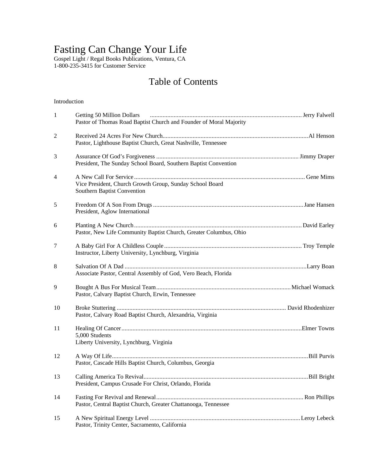### Fasting Can Change Your Life

Gospel Light / Regal Books Publications, Ventura, CA 1-800-235-3415 for Customer Service

### Table of Contents

#### Introduction

| $\mathbf{1}$   | Getting 50 Million Dollars (2000) (2000) (2000) (2000) (2000) (2000) (2000) (2000) (2000) (2000) (2000) (2000)<br>Pastor of Thomas Road Baptist Church and Founder of Moral Majority |  |
|----------------|--------------------------------------------------------------------------------------------------------------------------------------------------------------------------------------|--|
| $\mathfrak{2}$ | Pastor, Lighthouse Baptist Church, Great Nashville, Tennessee                                                                                                                        |  |
| 3              | President, The Sunday School Board, Southern Baptist Convention                                                                                                                      |  |
| 4              | Vice President, Church Growth Group, Sunday School Board<br>Southern Baptist Convention                                                                                              |  |
| 5              | President, Aglow International                                                                                                                                                       |  |
| 6              | Pastor, New Life Community Baptist Church, Greater Columbus, Ohio                                                                                                                    |  |
| 7              | Instructor, Liberty University, Lynchburg, Virginia                                                                                                                                  |  |
| 8              | Associate Pastor, Central Assembly of God, Vero Beach, Florida                                                                                                                       |  |
| 9              | Pastor, Calvary Baptist Church, Erwin, Tennessee                                                                                                                                     |  |
| 10             | Pastor, Calvary Road Baptist Church, Alexandria, Virginia                                                                                                                            |  |
| 11             | 5,000 Students<br>Liberty University, Lynchburg, Virginia                                                                                                                            |  |
| 12             | Pastor, Cascade Hills Baptist Church, Columbus, Georgia                                                                                                                              |  |
| 13             | President, Campus Crusade For Christ, Orlando, Florida                                                                                                                               |  |
| 14             | Pastor, Central Baptist Church, Greater Chattanooga, Tennessee                                                                                                                       |  |
| 15             | Pastor, Trinity Center, Sacramento, California                                                                                                                                       |  |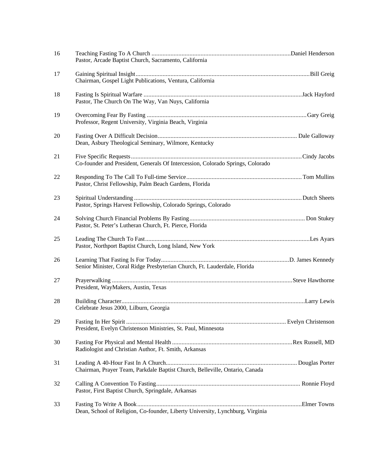| 16 | Pastor, Arcade Baptist Church, Sacramento, California                          |  |
|----|--------------------------------------------------------------------------------|--|
| 17 | Chairman, Gospel Light Publications, Ventura, California                       |  |
| 18 | Pastor, The Church On The Way, Van Nuys, California                            |  |
| 19 | Professor, Regent University, Virginia Beach, Virginia                         |  |
| 20 | Dean, Asbury Theological Seminary, Wilmore, Kentucky                           |  |
| 21 | Co-founder and President, Generals Of Intercession, Colorado Springs, Colorado |  |
| 22 | Pastor, Christ Fellowship, Palm Beach Gardens, Florida                         |  |
| 23 | Pastor, Springs Harvest Fellowship, Colorado Springs, Colorado                 |  |
| 24 | Pastor, St. Peter's Lutheran Church, Ft. Pierce, Florida                       |  |
| 25 | Pastor, Northport Baptist Church, Long Island, New York                        |  |
| 26 | Senior Minister, Coral Ridge Presbyterian Church, Ft. Lauderdale, Florida      |  |
| 27 | President, WayMakers, Austin, Texas                                            |  |
| 28 | Celebrate Jesus 2000, Lilburn, Georgia                                         |  |
| 29 | President, Evelyn Christenson Ministries, St. Paul, Minnesota                  |  |
| 30 | Radiologist and Christian Author, Ft. Smith, Arkansas                          |  |
| 31 | Chairman, Prayer Team, Parkdale Baptist Church, Belleville, Ontario, Canada    |  |
| 32 | Pastor, First Baptist Church, Springdale, Arkansas                             |  |
| 33 | Dean, School of Religion, Co-founder, Liberty University, Lynchburg, Virginia  |  |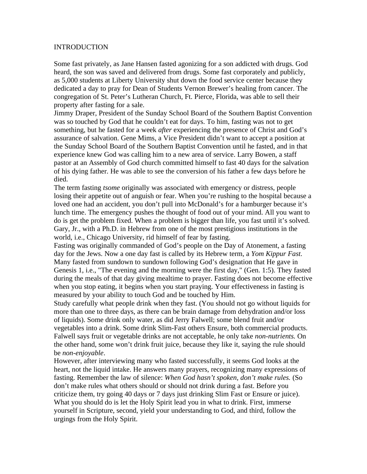#### INTRODUCTION

Some fast privately, as Jane Hansen fasted agonizing for a son addicted with drugs. God heard, the son was saved and delivered from drugs. Some fast corporately and publicly, as 5,000 students at Liberty University shut down the food service center because they dedicated a day to pray for Dean of Students Vernon Brewer's healing from cancer. The congregation of St. Peter's Lutheran Church, Ft. Pierce, Florida, was able to sell their property after fasting for a sale.

Jimmy Draper, President of the Sunday School Board of the Southern Baptist Convention was so touched by God that he couldn't eat for days. To him, fasting was not to get something, but he fasted for a week *after* experiencing the presence of Christ and God's assurance of salvation. Gene Mims, a Vice President didn't want to accept a position at the Sunday School Board of the Southern Baptist Convention until he fasted, and in that experience knew God was calling him to a new area of service. Larry Bowen, a staff pastor at an Assembly of God church committed himself to fast 40 days for the salvation of his dying father. He was able to see the conversion of his father a few days before he died.

The term fasting *tsome* originally was associated with emergency or distress, people losing their appetite out of anguish or fear. When you're rushing to the hospital because a loved one had an accident, you don't pull into McDonald's for a hamburger because it's lunch time. The emergency pushes the thought of food out of your mind. All you want to do is get the problem fixed. When a problem is bigger than life, you fast until it's solved. Gary, Jr., with a Ph.D. in Hebrew from one of the most prestigious institutions in the world, i.e., Chicago University, rid himself of fear by fasting.

Fasting was originally commanded of God's people on the Day of Atonement, a fasting day for the Jews. Now a one day fast is called by its Hebrew term, a *Yom Kippur Fast*. Many fasted from sundown to sundown following God's designation that He gave in Genesis 1, i.e., "The evening and the morning were the first day," (Gen. 1:5). They fasted during the meals of that day giving mealtime to prayer. Fasting does not become effective when you stop eating, it begins when you start praying. Your effectiveness in fasting is measured by your ability to touch God and be touched by Him.

Study carefully what people drink when they fast. (You should not go without liquids for more than one to three days, as there can be brain damage from dehydration and/or loss of liquids). Some drink only water, as did Jerry Falwell; some blend fruit and/or vegetables into a drink. Some drink Slim-Fast others Ensure, both commercial products. Falwell says fruit or vegetable drinks are not acceptable, he only take *non-nutrients.* On the other hand, some won't drink fruit juice, because they like it, saying the rule should be *non-enjoyable*.

However, after interviewing many who fasted successfully, it seems God looks at the heart, not the liquid intake. He answers many prayers, recognizing many expressions of fasting. Remember the law of silence: *When God hasn't spoken, don't make rules.* (So don't make rules what others should or should not drink during a fast. Before you criticize them, try going 40 days or 7 days just drinking Slim Fast or Ensure or juice). What you should do is let the Holy Spirit lead you in what to drink. First, immerse yourself in Scripture, second, yield your understanding to God, and third, follow the urgings from the Holy Spirit.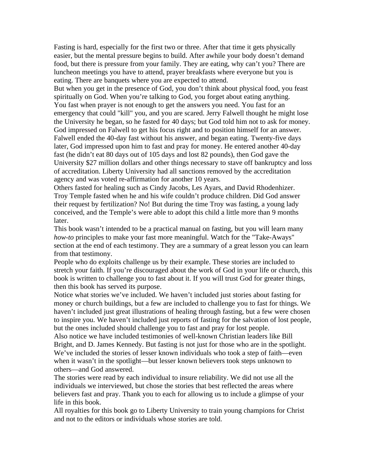Fasting is hard, especially for the first two or three. After that time it gets physically easier, but the mental pressure begins to build. After awhile your body doesn't demand food, but there is pressure from your family. They are eating, why can't you? There are luncheon meetings you have to attend, prayer breakfasts where everyone but you is eating. There are banquets where you are expected to attend.

But when you get in the presence of God, you don't think about physical food, you feast spiritually on God. When you're talking to God, you forget about eating anything. You fast when prayer is not enough to get the answers you need. You fast for an emergency that could "kill" you, and you are scared. Jerry Falwell thought he might lose the University he began, so he fasted for 40 days; but God told him not to ask for money. God impressed on Falwell to get his focus right and to position himself for an answer. Falwell ended the 40-day fast without his answer, and began eating. Twenty-five days later, God impressed upon him to fast and pray for money. He entered another 40-day fast (he didn't eat 80 days out of 105 days and lost 82 pounds), then God gave the University \$27 million dollars and other things necessary to stave off bankruptcy and loss of accreditation. Liberty University had all sanctions removed by the accreditation agency and was voted re-affirmation for another 10 years.

Others fasted for healing such as Cindy Jacobs, Les Ayars, and David Rhodenhizer. Troy Temple fasted when he and his wife couldn't produce children. Did God answer their request by fertilization? No! But during the time Troy was fasting, a young lady conceived, and the Temple's were able to adopt this child a little more than 9 months later.

This book wasn't intended to be a practical manual on fasting, but you will learn many *how-to* principles to make your fast more meaningful. Watch for the "Take-Aways" section at the end of each testimony. They are a summary of a great lesson you can learn from that testimony.

People who do exploits challenge us by their example. These stories are included to stretch your faith. If you're discouraged about the work of God in your life or church, this book is written to challenge you to fast about it. If you will trust God for greater things, then this book has served its purpose.

Notice what stories we've included. We haven't included just stories about fasting for money or church buildings, but a few are included to challenge you to fast for things. We haven't included just great illustrations of healing through fasting, but a few were chosen to inspire you. We haven't included just reports of fasting for the salvation of lost people, but the ones included should challenge you to fast and pray for lost people.

Also notice we have included testimonies of well-known Christian leaders like Bill Bright, and D. James Kennedy. But fasting is not just for those who are in the spotlight. We've included the stories of lesser known individuals who took a step of faith—even when it wasn't in the spotlight—but lesser known believers took steps unknown to others—and God answered.

The stories were read by each individual to insure reliability. We did not use all the individuals we interviewed, but chose the stories that best reflected the areas where believers fast and pray. Thank you to each for allowing us to include a glimpse of your life in this book.

All royalties for this book go to Liberty University to train young champions for Christ and not to the editors or individuals whose stories are told.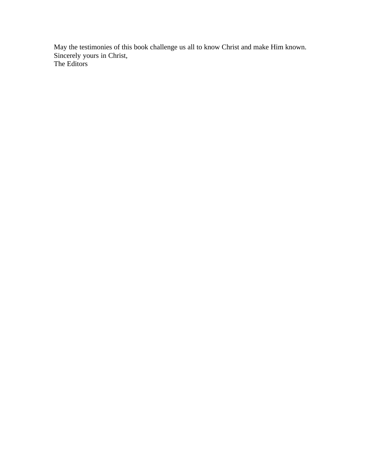May the testimonies of this book challenge us all to know Christ and make Him known. Sincerely yours in Christ, The Editors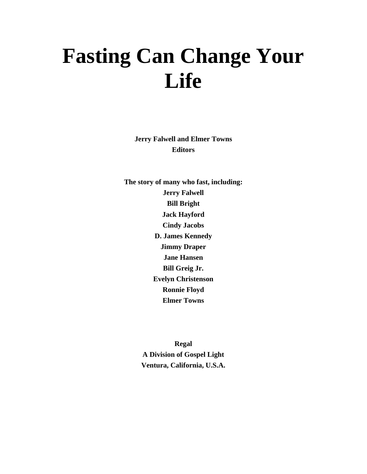# **Fasting Can Change Your Life**

**Jerry Falwell and Elmer Towns Editors** 

**The story of many who fast, including: Jerry Falwell Bill Bright Jack Hayford Cindy Jacobs D. James Kennedy Jimmy Draper Jane Hansen Bill Greig Jr. Evelyn Christenson Ronnie Floyd Elmer Towns** 

> **Regal A Division of Gospel Light Ventura, California, U.S.A.**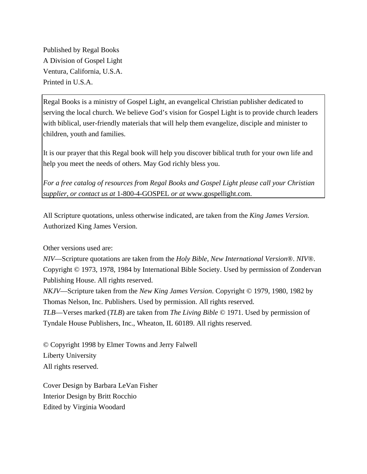Published by Regal Books A Division of Gospel Light Ventura, California, U.S.A. Printed in U.S.A.

Regal Books is a ministry of Gospel Light, an evangelical Christian publisher dedicated to serving the local church. We believe God's vision for Gospel Light is to provide church leaders with biblical, user-friendly materials that will help them evangelize, disciple and minister to children, youth and families.

It is our prayer that this Regal book will help you discover biblical truth for your own life and help you meet the needs of others. May God richly bless you.

*For a free catalog of resources from Regal Books and Gospel Light please call your Christian supplier, or contact us at* 1-800-4-GOSPEL *or at* www.gospellight.com.

All Scripture quotations, unless otherwise indicated, are taken from the *King James Version.*  Authorized King James Version.

Other versions used are:

*NIV*—Scripture quotations are taken from the *Holy Bible, New International Version*®. *NIV*®. Copyright © 1973, 1978, 1984 by International Bible Society. Used by permission of Zondervan Publishing House. All rights reserved. *NKJV*—Scripture taken from the *New King James Version*. Copyright © 1979, 1980, 1982 by Thomas Nelson, Inc. Publishers. Used by permission. All rights reserved. *TLB*—Verses marked (*TLB*) are taken from *The Living Bible* © 1971. Used by permission of

Tyndale House Publishers, Inc., Wheaton, IL 60189. All rights reserved.

© Copyright 1998 by Elmer Towns and Jerry Falwell Liberty University All rights reserved.

Cover Design by Barbara LeVan Fisher Interior Design by Britt Rocchio Edited by Virginia Woodard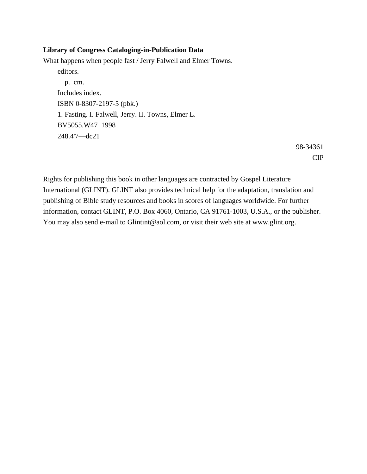### **Library of Congress Cataloging-in-Publication Data**

What happens when people fast / Jerry Falwell and Elmer Towns.

editors. p. cm. Includes index. ISBN 0-8307-2197-5 (pbk.) 1. Fasting. I. Falwell, Jerry. II. Towns, Elmer L. BV5055.W47 1998 248.4'7—dc21

> 98-34361 CIP

Rights for publishing this book in other languages are contracted by Gospel Literature International (GLINT). GLINT also provides technical help for the adaptation, translation and publishing of Bible study resources and books in scores of languages worldwide. For further information, contact GLINT, P.O. Box 4060, Ontario, CA 91761-1003, U.S.A., or the publisher. You may also send e-mail to Glintint@aol.com, or visit their web site at www.glint.org.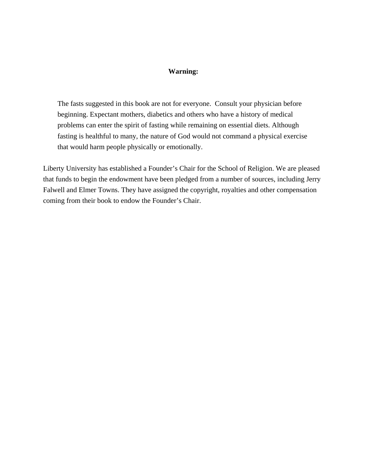### **Warning:**

The fasts suggested in this book are not for everyone. Consult your physician before beginning. Expectant mothers, diabetics and others who have a history of medical problems can enter the spirit of fasting while remaining on essential diets. Although fasting is healthful to many, the nature of God would not command a physical exercise that would harm people physically or emotionally.

Liberty University has established a Founder's Chair for the School of Religion. We are pleased that funds to begin the endowment have been pledged from a number of sources, including Jerry Falwell and Elmer Towns. They have assigned the copyright, royalties and other compensation coming from their book to endow the Founder's Chair.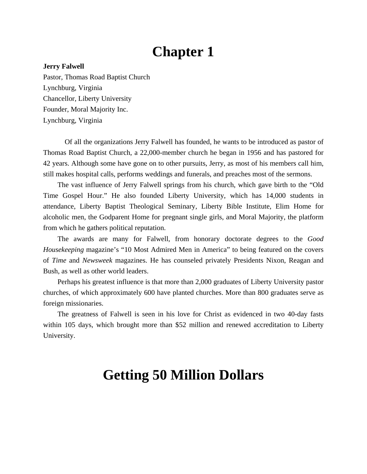## **Chapter 1**

#### **Jerry Falwell**

Pastor, Thomas Road Baptist Church Lynchburg, Virginia Chancellor, Liberty University Founder, Moral Majority Inc. Lynchburg, Virginia

Of all the organizations Jerry Falwell has founded, he wants to be introduced as pastor of Thomas Road Baptist Church, a 22,000-member church he began in 1956 and has pastored for 42 years. Although some have gone on to other pursuits, Jerry, as most of his members call him, still makes hospital calls, performs weddings and funerals, and preaches most of the sermons.

The vast influence of Jerry Falwell springs from his church, which gave birth to the "Old Time Gospel Hour." He also founded Liberty University, which has 14,000 students in attendance, Liberty Baptist Theological Seminary, Liberty Bible Institute, Elim Home for alcoholic men, the Godparent Home for pregnant single girls, and Moral Majority, the platform from which he gathers political reputation.

The awards are many for Falwell, from honorary doctorate degrees to the *Good Housekeeping* magazine's "10 Most Admired Men in America" to being featured on the covers of *Time* and *Newsweek* magazines. He has counseled privately Presidents Nixon, Reagan and Bush, as well as other world leaders.

Perhaps his greatest influence is that more than 2,000 graduates of Liberty University pastor churches, of which approximately 600 have planted churches. More than 800 graduates serve as foreign missionaries.

The greatness of Falwell is seen in his love for Christ as evidenced in two 40-day fasts within 105 days, which brought more than \$52 million and renewed accreditation to Liberty University.

### **Getting 50 Million Dollars**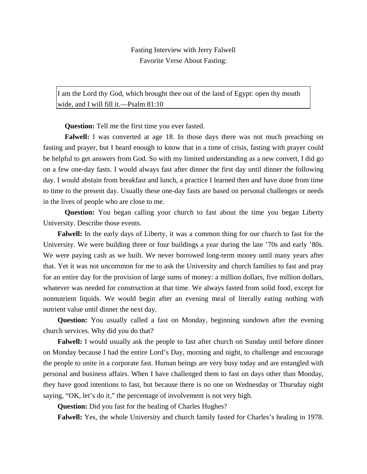Fasting Interview with Jerry Falwell Favorite Verse About Fasting:

I am the Lord thy God, which brought thee out of the land of Egypt: open thy mouth wide, and I will fill it.—Psalm 81:10

**Question:** Tell me the first time you ever fasted.

**Falwell:** I was converted at age 18. In those days there was not much preaching on fasting and prayer, but I heard enough to know that in a time of crisis, fasting with prayer could be helpful to get answers from God. So with my limited understanding as a new convert, I did go on a few one-day fasts. I would always fast after dinner the first day until dinner the following day. I would abstain from breakfast and lunch, a practice I learned then and have done from time to time to the present day. Usually these one-day fasts are based on personal challenges or needs in the lives of people who are close to me.

**Question:** You began calling your church to fast about the time you began Liberty University. Describe those events.

Falwell: In the early days of Liberty, it was a common thing for our church to fast for the University. We were building three or four buildings a year during the late '70s and early '80s. We were paying cash as we built. We never borrowed long-term money until many years after that. Yet it was not uncommon for me to ask the University and church families to fast and pray for an entire day for the provision of large sums of money: a million dollars, five million dollars, whatever was needed for construction at that time. We always fasted from solid food, except for nonnutrient liquids. We would begin after an evening meal of literally eating nothing with nutrient value until dinner the next day.

**Question:** You usually called a fast on Monday, beginning sundown after the evening church services. Why did you do that?

**Falwell:** I would usually ask the people to fast after church on Sunday until before dinner on Monday because I had the entire Lord's Day, morning and night, to challenge and encourage the people to unite in a corporate fast. Human beings are very busy today and are entangled with personal and business affairs. When I have challenged them to fast on days other than Monday, they have good intentions to fast, but because there is no one on Wednesday or Thursday night saying, "OK, let's do it," the percentage of involvement is not very high.

**Question:** Did you fast for the healing of Charles Hughes?

**Falwell:** Yes, the whole University and church family fasted for Charles's healing in 1978.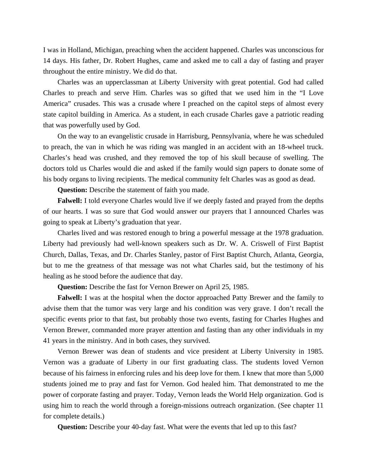I was in Holland, Michigan, preaching when the accident happened. Charles was unconscious for 14 days. His father, Dr. Robert Hughes, came and asked me to call a day of fasting and prayer throughout the entire ministry. We did do that.

Charles was an upperclassman at Liberty University with great potential. God had called Charles to preach and serve Him. Charles was so gifted that we used him in the "I Love America" crusades. This was a crusade where I preached on the capitol steps of almost every state capitol building in America. As a student, in each crusade Charles gave a patriotic reading that was powerfully used by God.

On the way to an evangelistic crusade in Harrisburg, Pennsylvania, where he was scheduled to preach, the van in which he was riding was mangled in an accident with an 18-wheel truck. Charles's head was crushed, and they removed the top of his skull because of swelling. The doctors told us Charles would die and asked if the family would sign papers to donate some of his body organs to living recipients. The medical community felt Charles was as good as dead.

**Question:** Describe the statement of faith you made.

Falwell: I told everyone Charles would live if we deeply fasted and prayed from the depths of our hearts. I was so sure that God would answer our prayers that I announced Charles was going to speak at Liberty's graduation that year.

Charles lived and was restored enough to bring a powerful message at the 1978 graduation. Liberty had previously had well-known speakers such as Dr. W. A. Criswell of First Baptist Church, Dallas, Texas, and Dr. Charles Stanley, pastor of First Baptist Church, Atlanta, Georgia, but to me the greatness of that message was not what Charles said, but the testimony of his healing as he stood before the audience that day.

**Question:** Describe the fast for Vernon Brewer on April 25, 1985.

**Falwell:** I was at the hospital when the doctor approached Patty Brewer and the family to advise them that the tumor was very large and his condition was very grave. I don't recall the specific events prior to that fast, but probably those two events, fasting for Charles Hughes and Vernon Brewer, commanded more prayer attention and fasting than any other individuals in my 41 years in the ministry. And in both cases, they survived.

Vernon Brewer was dean of students and vice president at Liberty University in 1985. Vernon was a graduate of Liberty in our first graduating class. The students loved Vernon because of his fairness in enforcing rules and his deep love for them. I knew that more than 5,000 students joined me to pray and fast for Vernon. God healed him. That demonstrated to me the power of corporate fasting and prayer. Today, Vernon leads the World Help organization. God is using him to reach the world through a foreign-missions outreach organization. (See chapter 11 for complete details.)

**Question:** Describe your 40-day fast. What were the events that led up to this fast?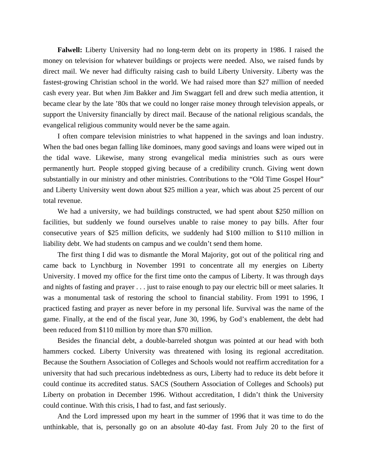**Falwell:** Liberty University had no long-term debt on its property in 1986. I raised the money on television for whatever buildings or projects were needed. Also, we raised funds by direct mail. We never had difficulty raising cash to build Liberty University. Liberty was the fastest-growing Christian school in the world. We had raised more than \$27 million of needed cash every year. But when Jim Bakker and Jim Swaggart fell and drew such media attention, it became clear by the late '80s that we could no longer raise money through television appeals, or support the University financially by direct mail. Because of the national religious scandals, the evangelical religious community would never be the same again.

I often compare television ministries to what happened in the savings and loan industry. When the bad ones began falling like dominoes, many good savings and loans were wiped out in the tidal wave. Likewise, many strong evangelical media ministries such as ours were permanently hurt. People stopped giving because of a credibility crunch. Giving went down substantially in our ministry and other ministries. Contributions to the "Old Time Gospel Hour" and Liberty University went down about \$25 million a year, which was about 25 percent of our total revenue.

We had a university, we had buildings constructed, we had spent about \$250 million on facilities, but suddenly we found ourselves unable to raise money to pay bills. After four consecutive years of \$25 million deficits, we suddenly had \$100 million to \$110 million in liability debt. We had students on campus and we couldn't send them home.

The first thing I did was to dismantle the Moral Majority, got out of the political ring and came back to Lynchburg in November 1991 to concentrate all my energies on Liberty University. I moved my office for the first time onto the campus of Liberty. It was through days and nights of fasting and prayer . . . just to raise enough to pay our electric bill or meet salaries. It was a monumental task of restoring the school to financial stability. From 1991 to 1996, I practiced fasting and prayer as never before in my personal life. Survival was the name of the game. Finally, at the end of the fiscal year, June 30, 1996, by God's enablement, the debt had been reduced from \$110 million by more than \$70 million.

Besides the financial debt, a double-barreled shotgun was pointed at our head with both hammers cocked. Liberty University was threatened with losing its regional accreditation. Because the Southern Association of Colleges and Schools would not reaffirm accreditation for a university that had such precarious indebtedness as ours, Liberty had to reduce its debt before it could continue its accredited status. SACS (Southern Association of Colleges and Schools) put Liberty on probation in December 1996. Without accreditation, I didn't think the University could continue. With this crisis, I had to fast, and fast seriously.

And the Lord impressed upon my heart in the summer of 1996 that it was time to do the unthinkable, that is, personally go on an absolute 40-day fast. From July 20 to the first of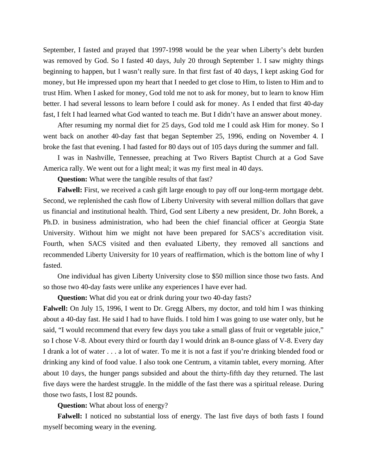September, I fasted and prayed that 1997-1998 would be the year when Liberty's debt burden was removed by God. So I fasted 40 days, July 20 through September 1. I saw mighty things beginning to happen, but I wasn't really sure. In that first fast of 40 days, I kept asking God for money, but He impressed upon my heart that I needed to get close to Him, to listen to Him and to trust Him. When I asked for money, God told me not to ask for money, but to learn to know Him better. I had several lessons to learn before I could ask for money. As I ended that first 40-day fast, I felt I had learned what God wanted to teach me. But I didn't have an answer about money.

After resuming my normal diet for 25 days, God told me I could ask Him for money. So I went back on another 40-day fast that began September 25, 1996, ending on November 4. I broke the fast that evening. I had fasted for 80 days out of 105 days during the summer and fall.

I was in Nashville, Tennessee, preaching at Two Rivers Baptist Church at a God Save America rally. We went out for a light meal; it was my first meal in 40 days.

**Question:** What were the tangible results of that fast?

**Falwell:** First, we received a cash gift large enough to pay off our long-term mortgage debt. Second, we replenished the cash flow of Liberty University with several million dollars that gave us financial and institutional health. Third, God sent Liberty a new president, Dr. John Borek, a Ph.D. in business administration, who had been the chief financial officer at Georgia State University. Without him we might not have been prepared for SACS's accreditation visit. Fourth, when SACS visited and then evaluated Liberty, they removed all sanctions and recommended Liberty University for 10 years of reaffirmation, which is the bottom line of why I fasted.

One individual has given Liberty University close to \$50 million since those two fasts. And so those two 40-day fasts were unlike any experiences I have ever had.

**Question:** What did you eat or drink during your two 40-day fasts?

**Falwell:** On July 15, 1996, I went to Dr. Gregg Albers, my doctor, and told him I was thinking about a 40-day fast. He said I had to have fluids. I told him I was going to use water only, but he said, "I would recommend that every few days you take a small glass of fruit or vegetable juice," so I chose V-8. About every third or fourth day I would drink an 8-ounce glass of V-8. Every day I drank a lot of water . . . a lot of water. To me it is not a fast if you're drinking blended food or drinking any kind of food value. I also took one Centrum, a vitamin tablet, every morning. After about 10 days, the hunger pangs subsided and about the thirty-fifth day they returned. The last five days were the hardest struggle. In the middle of the fast there was a spiritual release. During those two fasts, I lost 82 pounds.

**Question:** What about loss of energy?

Falwell: I noticed no substantial loss of energy. The last five days of both fasts I found myself becoming weary in the evening.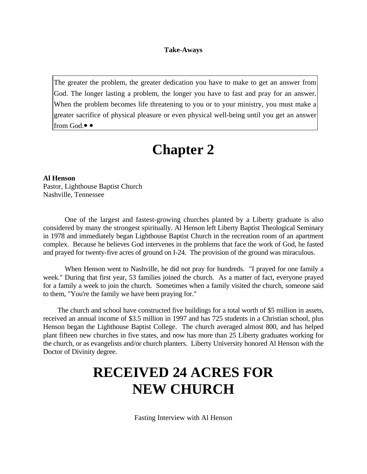#### **Take-Aways**

The greater the problem, the greater dedication you have to make to get an answer from God. The longer lasting a problem, the longer you have to fast and pray for an answer. When the problem becomes life threatening to you or to your ministry, you must make a greater sacrifice of physical pleasure or even physical well-being until you get an answer from God.• •

## **Chapter 2**

**Al Henson** Pastor, Lighthouse Baptist Church Nashville, Tennessee

One of the largest and fastest-growing churches planted by a Liberty graduate is also considered by many the strongest spiritually. Al Henson left Liberty Baptist Theological Seminary in 1978 and immediately began Lighthouse Baptist Church in the recreation room of an apartment complex. Because he believes God intervenes in the problems that face the work of God, he fasted and prayed for twenty-five acres of ground on I-24. The provision of the ground was miraculous.

When Henson went to Nashville, he did not pray for hundreds. "I prayed for one family a week." During that first year, 53 families joined the church. As a matter of fact, everyone prayed for a family a week to join the church. Sometimes when a family visited the church, someone said to them, "You're the family we have been praying for."

The church and school have constructed five buildings for a total worth of \$5 million in assets, received an annual income of \$3.5 million in 1997 and has 725 students in a Christian school, plus Henson began the Lighthouse Baptist College. The church averaged almost 800, and has helped plant fifteen new churches in five states, and now has more than 25 Liberty graduates working for the church, or as evangelists and/or church planters. Liberty University honored Al Henson with the Doctor of Divinity degree.

# **RECEIVED 24 ACRES FOR NEW CHURCH**

Fasting Interview with Al Henson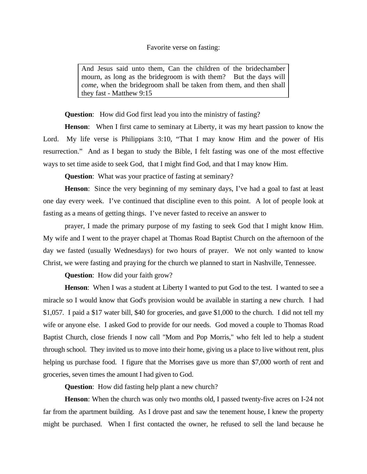Favorite verse on fasting:

And Jesus said unto them, Can the children of the bridechamber mourn, as long as the bridegroom is with them? But the days will *come*, when the bridegroom shall be taken from them, and then shall they fast - Matthew 9:15

**Question**: How did God first lead you into the ministry of fasting?

**Henson**: When I first came to seminary at Liberty, it was my heart passion to know the Lord. My life verse is Philippians 3:10, "That I may know Him and the power of His resurrection." And as I began to study the Bible, I felt fasting was one of the most effective ways to set time aside to seek God, that I might find God, and that I may know Him.

**Question**: What was your practice of fasting at seminary?

**Henson**: Since the very beginning of my seminary days, I've had a goal to fast at least one day every week. I've continued that discipline even to this point. A lot of people look at fasting as a means of getting things. I've never fasted to receive an answer to

prayer, I made the primary purpose of my fasting to seek God that I might know Him. My wife and I went to the prayer chapel at Thomas Road Baptist Church on the afternoon of the day we fasted (usually Wednesdays) for two hours of prayer. We not only wanted to know Christ, we were fasting and praying for the church we planned to start in Nashville, Tennessee.

**Question:** How did your faith grow?

**Henson**: When I was a student at Liberty I wanted to put God to the test. I wanted to see a miracle so I would know that God's provision would be available in starting a new church. I had \$1,057. I paid a \$17 water bill, \$40 for groceries, and gave \$1,000 to the church. I did not tell my wife or anyone else. I asked God to provide for our needs. God moved a couple to Thomas Road Baptist Church, close friends I now call "Mom and Pop Morris," who felt led to help a student through school. They invited us to move into their home, giving us a place to live without rent, plus helping us purchase food. I figure that the Morrises gave us more than \$7,000 worth of rent and groceries, seven times the amount I had given to God.

**Question**: How did fasting help plant a new church?

**Henson**: When the church was only two months old, I passed twenty-five acres on I-24 not far from the apartment building. As I drove past and saw the tenement house, I knew the property might be purchased. When I first contacted the owner, he refused to sell the land because he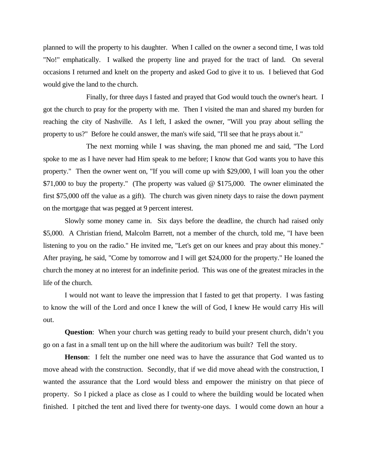planned to will the property to his daughter. When I called on the owner a second time, I was told "No!" emphatically. I walked the property line and prayed for the tract of land. On several occasions I returned and knelt on the property and asked God to give it to us. I believed that God would give the land to the church.

 Finally, for three days I fasted and prayed that God would touch the owner's heart. I got the church to pray for the property with me. Then I visited the man and shared my burden for reaching the city of Nashville. As I left, I asked the owner, "Will you pray about selling the property to us?" Before he could answer, the man's wife said, "I'll see that he prays about it."

 The next morning while I was shaving, the man phoned me and said, "The Lord spoke to me as I have never had Him speak to me before; I know that God wants you to have this property." Then the owner went on, "If you will come up with \$29,000, I will loan you the other \$71,000 to buy the property." (The property was valued @ \$175,000. The owner eliminated the first \$75,000 off the value as a gift). The church was given ninety days to raise the down payment on the mortgage that was pegged at 9 percent interest.

Slowly some money came in. Six days before the deadline, the church had raised only \$5,000. A Christian friend, Malcolm Barrett, not a member of the church, told me, "I have been listening to you on the radio." He invited me, "Let's get on our knees and pray about this money." After praying, he said, "Come by tomorrow and I will get \$24,000 for the property." He loaned the church the money at no interest for an indefinite period. This was one of the greatest miracles in the life of the church.

I would not want to leave the impression that I fasted to get that property. I was fasting to know the will of the Lord and once I knew the will of God, I knew He would carry His will out.

**Question**: When your church was getting ready to build your present church, didn't you go on a fast in a small tent up on the hill where the auditorium was built? Tell the story.

**Henson**: I felt the number one need was to have the assurance that God wanted us to move ahead with the construction. Secondly, that if we did move ahead with the construction, I wanted the assurance that the Lord would bless and empower the ministry on that piece of property. So I picked a place as close as I could to where the building would be located when finished. I pitched the tent and lived there for twenty-one days. I would come down an hour a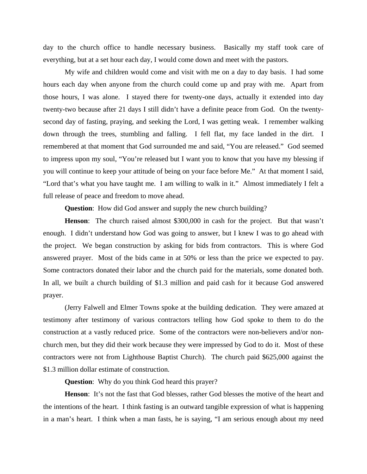day to the church office to handle necessary business. Basically my staff took care of everything, but at a set hour each day, I would come down and meet with the pastors.

My wife and children would come and visit with me on a day to day basis. I had some hours each day when anyone from the church could come up and pray with me. Apart from those hours, I was alone. I stayed there for twenty-one days, actually it extended into day twenty-two because after 21 days I still didn't have a definite peace from God. On the twentysecond day of fasting, praying, and seeking the Lord, I was getting weak. I remember walking down through the trees, stumbling and falling. I fell flat, my face landed in the dirt. I remembered at that moment that God surrounded me and said, "You are released." God seemed to impress upon my soul, "You're released but I want you to know that you have my blessing if you will continue to keep your attitude of being on your face before Me." At that moment I said, "Lord that's what you have taught me. I am willing to walk in it." Almost immediately I felt a full release of peace and freedom to move ahead.

**Question**: How did God answer and supply the new church building?

**Henson**: The church raised almost \$300,000 in cash for the project. But that wasn't enough. I didn't understand how God was going to answer, but I knew I was to go ahead with the project. We began construction by asking for bids from contractors. This is where God answered prayer. Most of the bids came in at 50% or less than the price we expected to pay. Some contractors donated their labor and the church paid for the materials, some donated both. In all, we built a church building of \$1.3 million and paid cash for it because God answered prayer.

(Jerry Falwell and Elmer Towns spoke at the building dedication. They were amazed at testimony after testimony of various contractors telling how God spoke to them to do the construction at a vastly reduced price. Some of the contractors were non-believers and/or nonchurch men, but they did their work because they were impressed by God to do it. Most of these contractors were not from Lighthouse Baptist Church). The church paid \$625,000 against the \$1.3 million dollar estimate of construction.

**Question**: Why do you think God heard this prayer?

**Henson**: It's not the fast that God blesses, rather God blesses the motive of the heart and the intentions of the heart. I think fasting is an outward tangible expression of what is happening in a man's heart. I think when a man fasts, he is saying, "I am serious enough about my need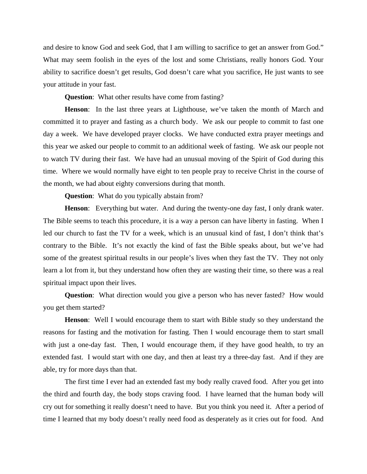and desire to know God and seek God, that I am willing to sacrifice to get an answer from God." What may seem foolish in the eyes of the lost and some Christians, really honors God. Your ability to sacrifice doesn't get results, God doesn't care what you sacrifice, He just wants to see your attitude in your fast.

**Question**: What other results have come from fasting?

**Henson**: In the last three years at Lighthouse, we've taken the month of March and committed it to prayer and fasting as a church body. We ask our people to commit to fast one day a week. We have developed prayer clocks. We have conducted extra prayer meetings and this year we asked our people to commit to an additional week of fasting. We ask our people not to watch TV during their fast. We have had an unusual moving of the Spirit of God during this time. Where we would normally have eight to ten people pray to receive Christ in the course of the month, we had about eighty conversions during that month.

**Question**: What do you typically abstain from?

**Henson**: Everything but water. And during the twenty-one day fast, I only drank water. The Bible seems to teach this procedure, it is a way a person can have liberty in fasting. When I led our church to fast the TV for a week, which is an unusual kind of fast, I don't think that's contrary to the Bible. It's not exactly the kind of fast the Bible speaks about, but we've had some of the greatest spiritual results in our people's lives when they fast the TV. They not only learn a lot from it, but they understand how often they are wasting their time, so there was a real spiritual impact upon their lives.

**Question**: What direction would you give a person who has never fasted? How would you get them started?

**Henson**: Well I would encourage them to start with Bible study so they understand the reasons for fasting and the motivation for fasting. Then I would encourage them to start small with just a one-day fast. Then, I would encourage them, if they have good health, to try an extended fast. I would start with one day, and then at least try a three-day fast. And if they are able, try for more days than that.

The first time I ever had an extended fast my body really craved food. After you get into the third and fourth day, the body stops craving food. I have learned that the human body will cry out for something it really doesn't need to have. But you think you need it. After a period of time I learned that my body doesn't really need food as desperately as it cries out for food. And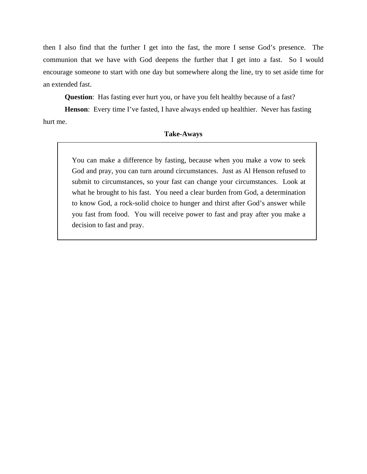then I also find that the further I get into the fast, the more I sense God's presence. The communion that we have with God deepens the further that I get into a fast. So I would encourage someone to start with one day but somewhere along the line, try to set aside time for an extended fast.

**Question**: Has fasting ever hurt you, or have you felt healthy because of a fast?

**Henson**: Every time I've fasted, I have always ended up healthier. Never has fasting hurt me.

#### **Take-Aways**

You can make a difference by fasting, because when you make a vow to seek God and pray, you can turn around circumstances. Just as Al Henson refused to submit to circumstances, so your fast can change your circumstances. Look at what he brought to his fast. You need a clear burden from God, a determination to know God, a rock-solid choice to hunger and thirst after God's answer while you fast from food. You will receive power to fast and pray after you make a decision to fast and pray.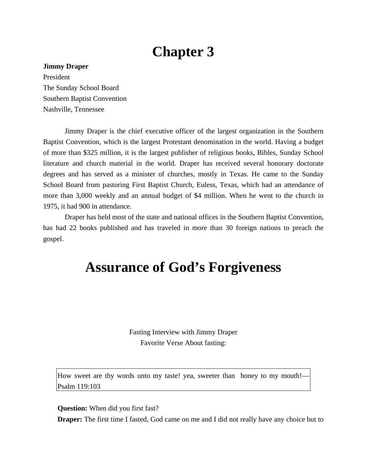# **Chapter 3**

#### **Jimmy Draper**

President The Sunday School Board Southern Baptist Convention Nashville, Tennessee

Jimmy Draper is the chief executive officer of the largest organization in the Southern Baptist Convention, which is the largest Protestant denomination in the world. Having a budget of more than \$325 million, it is the largest publisher of religious books, Bibles, Sunday School literature and church material in the world. Draper has received several honorary doctorate degrees and has served as a minister of churches, mostly in Texas. He came to the Sunday School Board from pastoring First Baptist Church, Euless, Texas, which had an attendance of more than 3,000 weekly and an annual budget of \$4 million. When he went to the church in 1975, it had 900 in attendance.

Draper has held most of the state and national offices in the Southern Baptist Convention, has had 22 books published and has traveled in more than 30 foreign nations to preach the gospel.

# **Assurance of God's Forgiveness**

Fasting Interview with Jimmy Draper Favorite Verse About fasting:

How sweet are thy words unto my taste! yea, sweeter than honey to my mouth!— Psalm 119:103

**Question:** When did you first fast?

**Draper:** The first time I fasted, God came on me and I did not really have any choice but to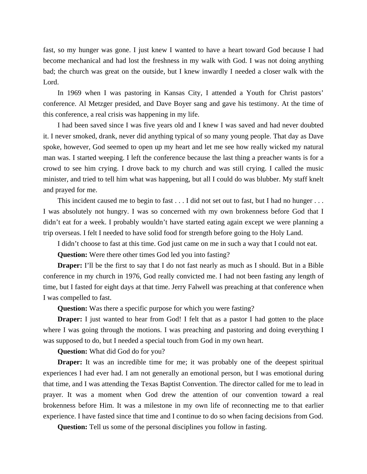fast, so my hunger was gone. I just knew I wanted to have a heart toward God because I had become mechanical and had lost the freshness in my walk with God. I was not doing anything bad; the church was great on the outside, but I knew inwardly I needed a closer walk with the Lord.

In 1969 when I was pastoring in Kansas City, I attended a Youth for Christ pastors' conference. Al Metzger presided, and Dave Boyer sang and gave his testimony. At the time of this conference, a real crisis was happening in my life.

I had been saved since I was five years old and I knew I was saved and had never doubted it. I never smoked, drank, never did anything typical of so many young people. That day as Dave spoke, however, God seemed to open up my heart and let me see how really wicked my natural man was. I started weeping. I left the conference because the last thing a preacher wants is for a crowd to see him crying. I drove back to my church and was still crying. I called the music minister, and tried to tell him what was happening, but all I could do was blubber. My staff knelt and prayed for me.

This incident caused me to begin to fast . . . I did not set out to fast, but I had no hunger . . . I was absolutely not hungry. I was so concerned with my own brokenness before God that I didn't eat for a week. I probably wouldn't have started eating again except we were planning a trip overseas. I felt I needed to have solid food for strength before going to the Holy Land.

I didn't choose to fast at this time. God just came on me in such a way that I could not eat.

**Question:** Were there other times God led you into fasting?

**Draper:** I'll be the first to say that I do not fast nearly as much as I should. But in a Bible conference in my church in 1976, God really convicted me. I had not been fasting any length of time, but I fasted for eight days at that time. Jerry Falwell was preaching at that conference when I was compelled to fast.

**Question:** Was there a specific purpose for which you were fasting?

**Draper:** I just wanted to hear from God! I felt that as a pastor I had gotten to the place where I was going through the motions. I was preaching and pastoring and doing everything I was supposed to do, but I needed a special touch from God in my own heart.

**Question:** What did God do for you?

**Draper:** It was an incredible time for me; it was probably one of the deepest spiritual experiences I had ever had. I am not generally an emotional person, but I was emotional during that time, and I was attending the Texas Baptist Convention. The director called for me to lead in prayer. It was a moment when God drew the attention of our convention toward a real brokenness before Him. It was a milestone in my own life of reconnecting me to that earlier experience. I have fasted since that time and I continue to do so when facing decisions from God.

**Question:** Tell us some of the personal disciplines you follow in fasting.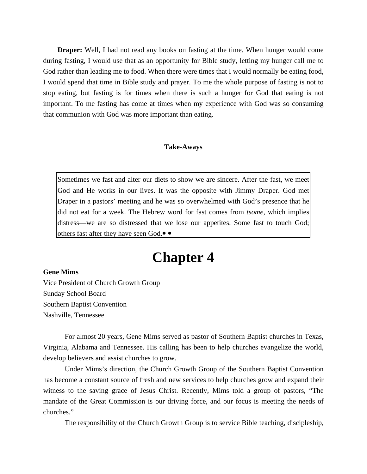**Draper:** Well, I had not read any books on fasting at the time. When hunger would come during fasting, I would use that as an opportunity for Bible study, letting my hunger call me to God rather than leading me to food. When there were times that I would normally be eating food, I would spend that time in Bible study and prayer. To me the whole purpose of fasting is not to stop eating, but fasting is for times when there is such a hunger for God that eating is not important. To me fasting has come at times when my experience with God was so consuming that communion with God was more important than eating.

#### **Take-Aways**

Sometimes we fast and alter our diets to show we are sincere. After the fast, we meet God and He works in our lives. It was the opposite with Jimmy Draper. God met Draper in a pastors' meeting and he was so overwhelmed with God's presence that he did not eat for a week. The Hebrew word for fast comes from *tsome*, which implies distress—we are so distressed that we lose our appetites. Some fast to touch God; others fast after they have seen God.

### **Chapter 4**

#### **Gene Mims**

Vice President of Church Growth Group Sunday School Board Southern Baptist Convention Nashville, Tennessee

For almost 20 years, Gene Mims served as pastor of Southern Baptist churches in Texas, Virginia, Alabama and Tennessee. His calling has been to help churches evangelize the world, develop believers and assist churches to grow.

Under Mims's direction, the Church Growth Group of the Southern Baptist Convention has become a constant source of fresh and new services to help churches grow and expand their witness to the saving grace of Jesus Christ. Recently, Mims told a group of pastors, "The mandate of the Great Commission is our driving force, and our focus is meeting the needs of churches."

The responsibility of the Church Growth Group is to service Bible teaching, discipleship,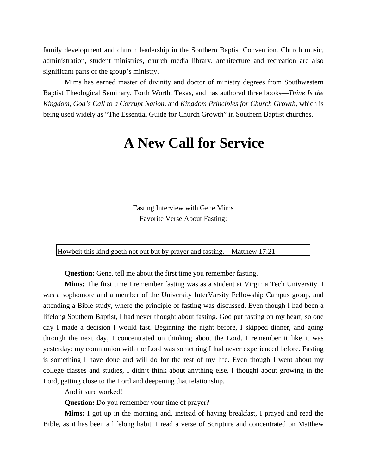family development and church leadership in the Southern Baptist Convention. Church music, administration, student ministries, church media library, architecture and recreation are also significant parts of the group's ministry.

Mims has earned master of divinity and doctor of ministry degrees from Southwestern Baptist Theological Seminary, Forth Worth, Texas, and has authored three books—*Thine Is the Kingdom, God's Call to a Corrupt Nation,* and *Kingdom Principles for Church Growth*, which is being used widely as "The Essential Guide for Church Growth" in Southern Baptist churches.

### **A New Call for Service**

Fasting Interview with Gene Mims Favorite Verse About Fasting:

Howbeit this kind goeth not out but by prayer and fasting.—Matthew 17:21

**Question:** Gene, tell me about the first time you remember fasting.

**Mims:** The first time I remember fasting was as a student at Virginia Tech University. I was a sophomore and a member of the University InterVarsity Fellowship Campus group, and attending a Bible study, where the principle of fasting was discussed. Even though I had been a lifelong Southern Baptist, I had never thought about fasting. God put fasting on my heart, so one day I made a decision I would fast. Beginning the night before, I skipped dinner, and going through the next day, I concentrated on thinking about the Lord. I remember it like it was yesterday; my communion with the Lord was something I had never experienced before. Fasting is something I have done and will do for the rest of my life. Even though I went about my college classes and studies, I didn't think about anything else. I thought about growing in the Lord, getting close to the Lord and deepening that relationship.

And it sure worked!

**Question:** Do you remember your time of prayer?

**Mims:** I got up in the morning and, instead of having breakfast, I prayed and read the Bible, as it has been a lifelong habit. I read a verse of Scripture and concentrated on Matthew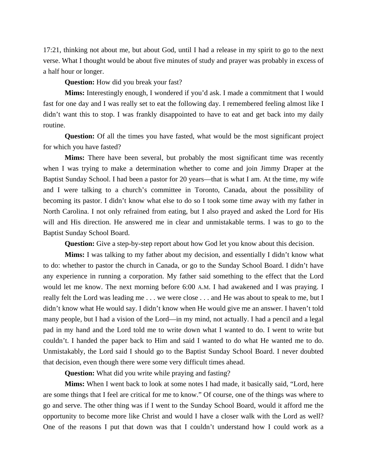17:21, thinking not about me, but about God, until I had a release in my spirit to go to the next verse. What I thought would be about five minutes of study and prayer was probably in excess of a half hour or longer.

**Question:** How did you break your fast?

**Mims:** Interestingly enough, I wondered if you'd ask. I made a commitment that I would fast for one day and I was really set to eat the following day. I remembered feeling almost like I didn't want this to stop. I was frankly disappointed to have to eat and get back into my daily routine.

**Question:** Of all the times you have fasted, what would be the most significant project for which you have fasted?

**Mims:** There have been several, but probably the most significant time was recently when I was trying to make a determination whether to come and join Jimmy Draper at the Baptist Sunday School. I had been a pastor for 20 years—that is what I am. At the time, my wife and I were talking to a church's committee in Toronto, Canada, about the possibility of becoming its pastor. I didn't know what else to do so I took some time away with my father in North Carolina. I not only refrained from eating, but I also prayed and asked the Lord for His will and His direction. He answered me in clear and unmistakable terms. I was to go to the Baptist Sunday School Board.

**Question:** Give a step-by-step report about how God let you know about this decision.

**Mims:** I was talking to my father about my decision, and essentially I didn't know what to do: whether to pastor the church in Canada, or go to the Sunday School Board. I didn't have any experience in running a corporation. My father said something to the effect that the Lord would let me know. The next morning before 6:00 A.M. I had awakened and I was praying. I really felt the Lord was leading me . . . we were close . . . and He was about to speak to me, but I didn't know what He would say. I didn't know when He would give me an answer. I haven't told many people, but I had a vision of the Lord—in my mind, not actually. I had a pencil and a legal pad in my hand and the Lord told me to write down what I wanted to do. I went to write but couldn't. I handed the paper back to Him and said I wanted to do what He wanted me to do. Unmistakably, the Lord said I should go to the Baptist Sunday School Board. I never doubted that decision, even though there were some very difficult times ahead.

**Question:** What did you write while praying and fasting?

**Mims:** When I went back to look at some notes I had made, it basically said, "Lord, here are some things that I feel are critical for me to know." Of course, one of the things was where to go and serve. The other thing was if I went to the Sunday School Board, would it afford me the opportunity to become more like Christ and would I have a closer walk with the Lord as well? One of the reasons I put that down was that I couldn't understand how I could work as a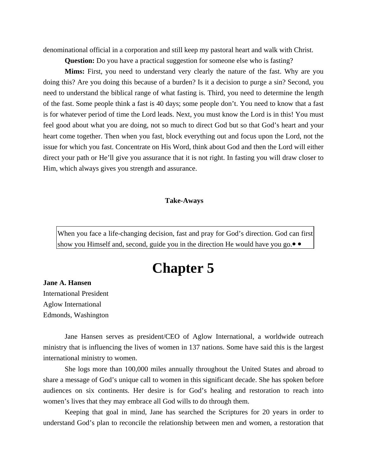denominational official in a corporation and still keep my pastoral heart and walk with Christ.

**Question:** Do you have a practical suggestion for someone else who is fasting?

**Mims:** First, you need to understand very clearly the nature of the fast. Why are you doing this? Are you doing this because of a burden? Is it a decision to purge a sin? Second, you need to understand the biblical range of what fasting is. Third, you need to determine the length of the fast. Some people think a fast is 40 days; some people don't. You need to know that a fast is for whatever period of time the Lord leads. Next, you must know the Lord is in this! You must feel good about what you are doing, not so much to direct God but so that God's heart and your heart come together. Then when you fast, block everything out and focus upon the Lord, not the issue for which you fast. Concentrate on His Word, think about God and then the Lord will either direct your path or He'll give you assurance that it is not right. In fasting you will draw closer to Him, which always gives you strength and assurance.

#### **Take-Aways**

When you face a life-changing decision, fast and pray for God's direction. God can first show you Himself and, second, guide you in the direction He would have you go.

### **Chapter 5**

#### **Jane A. Hansen**

International President Aglow International Edmonds, Washington

Jane Hansen serves as president/CEO of Aglow International, a worldwide outreach ministry that is influencing the lives of women in 137 nations. Some have said this is the largest international ministry to women.

She logs more than 100,000 miles annually throughout the United States and abroad to share a message of God's unique call to women in this significant decade. She has spoken before audiences on six continents. Her desire is for God's healing and restoration to reach into women's lives that they may embrace all God wills to do through them.

Keeping that goal in mind, Jane has searched the Scriptures for 20 years in order to understand God's plan to reconcile the relationship between men and women, a restoration that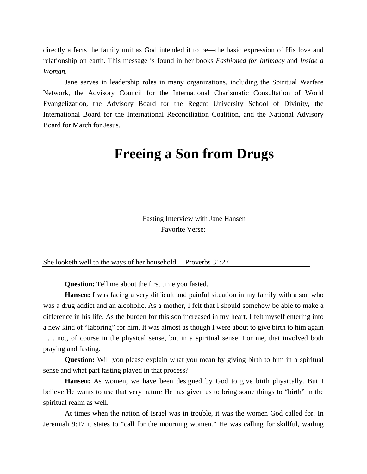directly affects the family unit as God intended it to be—the basic expression of His love and relationship on earth. This message is found in her books *Fashioned for Intimacy* and *Inside a Woman*.

Jane serves in leadership roles in many organizations, including the Spiritual Warfare Network, the Advisory Council for the International Charismatic Consultation of World Evangelization, the Advisory Board for the Regent University School of Divinity, the International Board for the International Reconciliation Coalition, and the National Advisory Board for March for Jesus.

### **Freeing a Son from Drugs**

Fasting Interview with Jane Hansen Favorite Verse:

She looketh well to the ways of her household.—Proverbs 31:27

**Question:** Tell me about the first time you fasted.

**Hansen:** I was facing a very difficult and painful situation in my family with a son who was a drug addict and an alcoholic. As a mother, I felt that I should somehow be able to make a difference in his life. As the burden for this son increased in my heart, I felt myself entering into a new kind of "laboring" for him. It was almost as though I were about to give birth to him again . . . not, of course in the physical sense, but in a spiritual sense. For me, that involved both praying and fasting.

**Question:** Will you please explain what you mean by giving birth to him in a spiritual sense and what part fasting played in that process?

**Hansen:** As women, we have been designed by God to give birth physically. But I believe He wants to use that very nature He has given us to bring some things to "birth" in the spiritual realm as well.

At times when the nation of Israel was in trouble, it was the women God called for. In Jeremiah 9:17 it states to "call for the mourning women." He was calling for skillful, wailing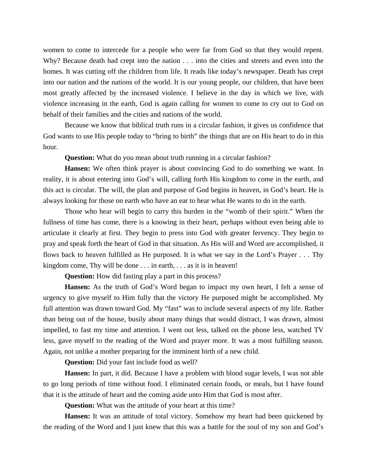women to come to intercede for a people who were far from God so that they would repent. Why? Because death had crept into the nation . . . into the cities and streets and even into the homes. It was cutting off the children from life. It reads like today's newspaper. Death has crept into our nation and the nations of the world. It is our young people, our children, that have been most greatly affected by the increased violence. I believe in the day in which we live, with violence increasing in the earth, God is again calling for women to come to cry out to God on behalf of their families and the cities and nations of the world.

Because we know that biblical truth runs in a circular fashion, it gives us confidence that God wants to use His people today to "bring to birth" the things that are on His heart to do in this hour.

**Question:** What do you mean about truth running in a circular fashion?

**Hansen:** We often think prayer is about convincing God to do something we want. In reality, it is about entering into God's will, calling forth His kingdom to come in the earth, and this act is circular. The will, the plan and purpose of God begins in heaven, in God's heart. He is always looking for those on earth who have an ear to hear what He wants to do in the earth.

Those who hear will begin to carry this burden in the "womb of their spirit." When the fullness of time has come, there is a knowing in their heart, perhaps without even being able to articulate it clearly at first. They begin to press into God with greater fervency. They begin to pray and speak forth the heart of God in that situation. As His will and Word are accomplished, it flows back to heaven fulfilled as He purposed. It is what we say in the Lord's Prayer . . . Thy kingdom come, Thy will be done . . . in earth, . . . as it is in heaven!

**Question:** How did fasting play a part in this process?

**Hansen:** As the truth of God's Word began to impact my own heart, I felt a sense of urgency to give myself to Him fully that the victory He purposed might be accomplished. My full attention was drawn toward God. My "fast" was to include several aspects of my life. Rather than being out of the house, busily about many things that would distract, I was drawn, almost impelled, to fast my time and attention. I went out less, talked on the phone less, watched TV less, gave myself to the reading of the Word and prayer more. It was a most fulfilling season. Again, not unlike a mother preparing for the imminent birth of a new child.

**Question:** Did your fast include food as well?

**Hansen:** In part, it did. Because I have a problem with blood sugar levels, I was not able to go long periods of time without food. I eliminated certain foods, or meals, but I have found that it is the attitude of heart and the coming aside unto Him that God is most after.

**Question:** What was the attitude of your heart at this time?

**Hansen:** It was an attitude of total victory. Somehow my heart had been quickened by the reading of the Word and I just knew that this was a battle for the soul of my son and God's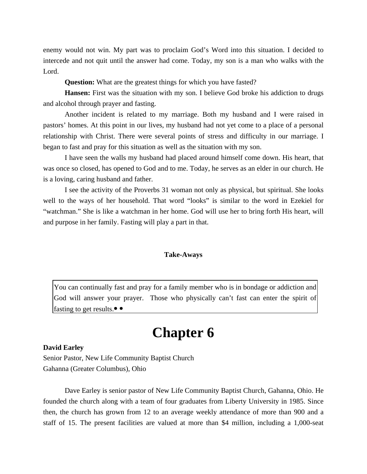enemy would not win. My part was to proclaim God's Word into this situation. I decided to intercede and not quit until the answer had come. Today, my son is a man who walks with the Lord.

**Question:** What are the greatest things for which you have fasted?

**Hansen:** First was the situation with my son. I believe God broke his addiction to drugs and alcohol through prayer and fasting.

Another incident is related to my marriage. Both my husband and I were raised in pastors' homes. At this point in our lives, my husband had not yet come to a place of a personal relationship with Christ. There were several points of stress and difficulty in our marriage. I began to fast and pray for this situation as well as the situation with my son.

I have seen the walls my husband had placed around himself come down. His heart, that was once so closed, has opened to God and to me. Today, he serves as an elder in our church. He is a loving, caring husband and father.

I see the activity of the Proverbs 31 woman not only as physical, but spiritual. She looks well to the ways of her household. That word "looks" is similar to the word in Ezekiel for "watchman." She is like a watchman in her home. God will use her to bring forth His heart, will and purpose in her family. Fasting will play a part in that.

#### **Take-Aways**

You can continually fast and pray for a family member who is in bondage or addiction and God will answer your prayer. Those who physically can't fast can enter the spirit of fasting to get results.  $\bullet$ 

### **Chapter 6**

#### **David Earley**

Senior Pastor, New Life Community Baptist Church Gahanna (Greater Columbus), Ohio

Dave Earley is senior pastor of New Life Community Baptist Church, Gahanna, Ohio. He founded the church along with a team of four graduates from Liberty University in 1985. Since then, the church has grown from 12 to an average weekly attendance of more than 900 and a staff of 15. The present facilities are valued at more than \$4 million, including a 1,000-seat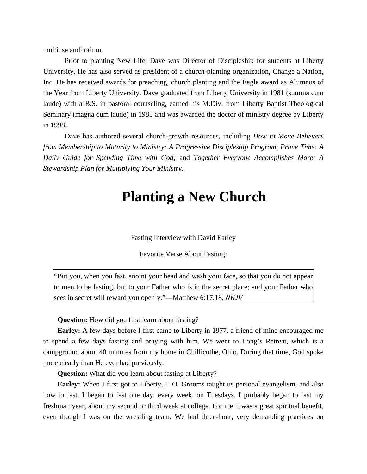multiuse auditorium.

Prior to planting New Life, Dave was Director of Discipleship for students at Liberty University. He has also served as president of a church-planting organization, Change a Nation, Inc. He has received awards for preaching, church planting and the Eagle award as Alumnus of the Year from Liberty University. Dave graduated from Liberty University in 1981 (summa cum laude) with a B.S. in pastoral counseling, earned his M.Div. from Liberty Baptist Theological Seminary (magna cum laude) in 1985 and was awarded the doctor of ministry degree by Liberty in 1998.

Dave has authored several church-growth resources, including *How to Move Believers from Membership to Maturity to Ministry: A Progressive Discipleship Program*; *Prime Time: A Daily Guide for Spending Time with God;* and *Together Everyone Accomplishes More: A Stewardship Plan for Multiplying Your Ministry*.

### **Planting a New Church**

Fasting Interview with David Earley

Favorite Verse About Fasting:

"But you, when you fast, anoint your head and wash your face, so that you do not appear to men to be fasting, but to your Father who is in the secret place; and your Father who sees in secret will reward you openly."—Matthew 6:17,18, *NKJV*

**Question:** How did you first learn about fasting?

**Earley:** A few days before I first came to Liberty in 1977, a friend of mine encouraged me to spend a few days fasting and praying with him. We went to Long's Retreat, which is a campground about 40 minutes from my home in Chillicothe, Ohio. During that time, God spoke more clearly than He ever had previously.

**Question:** What did you learn about fasting at Liberty?

**Earley:** When I first got to Liberty, J. O. Grooms taught us personal evangelism, and also how to fast. I began to fast one day, every week, on Tuesdays. I probably began to fast my freshman year, about my second or third week at college. For me it was a great spiritual benefit, even though I was on the wrestling team. We had three-hour, very demanding practices on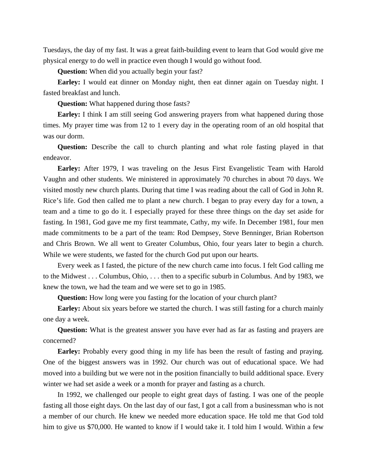Tuesdays, the day of my fast. It was a great faith-building event to learn that God would give me physical energy to do well in practice even though I would go without food.

**Question:** When did you actually begin your fast?

**Earley:** I would eat dinner on Monday night, then eat dinner again on Tuesday night. I fasted breakfast and lunch.

**Question:** What happened during those fasts?

**Earley:** I think I am still seeing God answering prayers from what happened during those times. My prayer time was from 12 to 1 every day in the operating room of an old hospital that was our dorm.

**Question:** Describe the call to church planting and what role fasting played in that endeavor.

**Earley:** After 1979, I was traveling on the Jesus First Evangelistic Team with Harold Vaughn and other students. We ministered in approximately 70 churches in about 70 days. We visited mostly new church plants. During that time I was reading about the call of God in John R. Rice's life. God then called me to plant a new church. I began to pray every day for a town, a team and a time to go do it. I especially prayed for these three things on the day set aside for fasting. In 1981, God gave me my first teammate, Cathy, my wife. In December 1981, four men made commitments to be a part of the team: Rod Dempsey, Steve Benninger, Brian Robertson and Chris Brown. We all went to Greater Columbus, Ohio, four years later to begin a church. While we were students, we fasted for the church God put upon our hearts.

Every week as I fasted, the picture of the new church came into focus. I felt God calling me to the Midwest . . . Columbus, Ohio, . . . then to a specific suburb in Columbus. And by 1983, we knew the town, we had the team and we were set to go in 1985.

**Question:** How long were you fasting for the location of your church plant?

**Earley:** About six years before we started the church. I was still fasting for a church mainly one day a week.

**Question:** What is the greatest answer you have ever had as far as fasting and prayers are concerned?

**Earley:** Probably every good thing in my life has been the result of fasting and praying. One of the biggest answers was in 1992. Our church was out of educational space. We had moved into a building but we were not in the position financially to build additional space. Every winter we had set aside a week or a month for prayer and fasting as a church.

In 1992, we challenged our people to eight great days of fasting. I was one of the people fasting all those eight days. On the last day of our fast, I got a call from a businessman who is not a member of our church. He knew we needed more education space. He told me that God told him to give us \$70,000. He wanted to know if I would take it. I told him I would. Within a few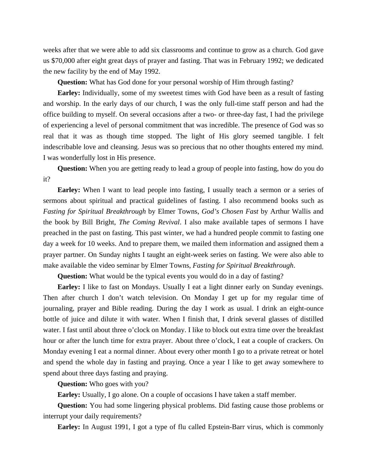weeks after that we were able to add six classrooms and continue to grow as a church. God gave us \$70,000 after eight great days of prayer and fasting. That was in February 1992; we dedicated the new facility by the end of May 1992.

**Question:** What has God done for your personal worship of Him through fasting?

**Earley:** Individually, some of my sweetest times with God have been as a result of fasting and worship. In the early days of our church, I was the only full-time staff person and had the office building to myself. On several occasions after a two- or three-day fast, I had the privilege of experiencing a level of personal commitment that was incredible. The presence of God was so real that it was as though time stopped. The light of His glory seemed tangible. I felt indescribable love and cleansing. Jesus was so precious that no other thoughts entered my mind. I was wonderfully lost in His presence.

**Question:** When you are getting ready to lead a group of people into fasting, how do you do it?

**Earley:** When I want to lead people into fasting, I usually teach a sermon or a series of sermons about spiritual and practical guidelines of fasting. I also recommend books such as *Fasting for Spiritual Breakthrough* by Elmer Towns, *God's Chosen Fast* by Arthur Wallis and the book by Bill Bright, *The Coming Revival*. I also make available tapes of sermons I have preached in the past on fasting. This past winter, we had a hundred people commit to fasting one day a week for 10 weeks. And to prepare them, we mailed them information and assigned them a prayer partner. On Sunday nights I taught an eight-week series on fasting. We were also able to make available the video seminar by Elmer Towns, *Fasting for Spiritual Breakthrough*.

**Question:** What would be the typical events you would do in a day of fasting?

**Earley:** I like to fast on Mondays. Usually I eat a light dinner early on Sunday evenings. Then after church I don't watch television. On Monday I get up for my regular time of journaling, prayer and Bible reading. During the day I work as usual. I drink an eight-ounce bottle of juice and dilute it with water. When I finish that, I drink several glasses of distilled water. I fast until about three o'clock on Monday. I like to block out extra time over the breakfast hour or after the lunch time for extra prayer. About three o'clock, I eat a couple of crackers. On Monday evening I eat a normal dinner. About every other month I go to a private retreat or hotel and spend the whole day in fasting and praying. Once a year I like to get away somewhere to spend about three days fasting and praying.

**Question:** Who goes with you?

**Earley:** Usually, I go alone. On a couple of occasions I have taken a staff member.

**Question:** You had some lingering physical problems. Did fasting cause those problems or interrupt your daily requirements?

**Earley:** In August 1991, I got a type of flu called Epstein-Barr virus, which is commonly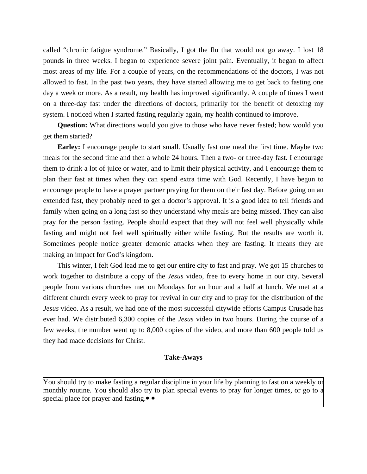called "chronic fatigue syndrome." Basically, I got the flu that would not go away. I lost 18 pounds in three weeks. I began to experience severe joint pain. Eventually, it began to affect most areas of my life. For a couple of years, on the recommendations of the doctors, I was not allowed to fast. In the past two years, they have started allowing me to get back to fasting one day a week or more. As a result, my health has improved significantly. A couple of times I went on a three-day fast under the directions of doctors, primarily for the benefit of detoxing my system. I noticed when I started fasting regularly again, my health continued to improve.

**Question:** What directions would you give to those who have never fasted; how would you get them started?

**Earley:** I encourage people to start small. Usually fast one meal the first time. Maybe two meals for the second time and then a whole 24 hours. Then a two- or three-day fast. I encourage them to drink a lot of juice or water, and to limit their physical activity, and I encourage them to plan their fast at times when they can spend extra time with God. Recently, I have begun to encourage people to have a prayer partner praying for them on their fast day. Before going on an extended fast, they probably need to get a doctor's approval. It is a good idea to tell friends and family when going on a long fast so they understand why meals are being missed. They can also pray for the person fasting. People should expect that they will not feel well physically while fasting and might not feel well spiritually either while fasting. But the results are worth it. Sometimes people notice greater demonic attacks when they are fasting. It means they are making an impact for God's kingdom.

This winter, I felt God lead me to get our entire city to fast and pray. We got 15 churches to work together to distribute a copy of the *Jesus* video, free to every home in our city. Several people from various churches met on Mondays for an hour and a half at lunch. We met at a different church every week to pray for revival in our city and to pray for the distribution of the *Jesus* video. As a result, we had one of the most successful citywide efforts Campus Crusade has ever had. We distributed 6,300 copies of the *Jesus* video in two hours. During the course of a few weeks, the number went up to 8,000 copies of the video, and more than 600 people told us they had made decisions for Christ.

#### **Take-Aways**

You should try to make fasting a regular discipline in your life by planning to fast on a weekly or monthly routine. You should also try to plan special events to pray for longer times, or go to a special place for prayer and fasting.  $\bullet$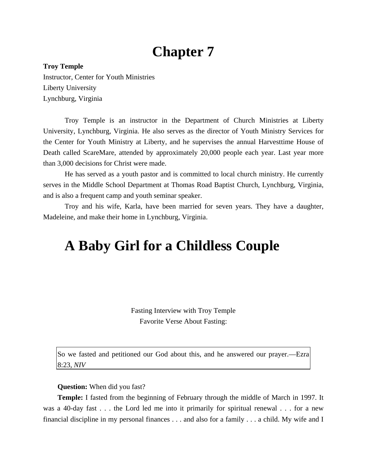### **Chapter 7**

### **Troy Temple**

Instructor, Center for Youth Ministries Liberty University Lynchburg, Virginia

Troy Temple is an instructor in the Department of Church Ministries at Liberty University, Lynchburg, Virginia. He also serves as the director of Youth Ministry Services for the Center for Youth Ministry at Liberty, and he supervises the annual Harvesttime House of Death called ScareMare, attended by approximately 20,000 people each year. Last year more than 3,000 decisions for Christ were made.

He has served as a youth pastor and is committed to local church ministry. He currently serves in the Middle School Department at Thomas Road Baptist Church, Lynchburg, Virginia, and is also a frequent camp and youth seminar speaker.

Troy and his wife, Karla, have been married for seven years. They have a daughter, Madeleine, and make their home in Lynchburg, Virginia.

# **A Baby Girl for a Childless Couple**

Fasting Interview with Troy Temple Favorite Verse About Fasting:

So we fasted and petitioned our God about this, and he answered our prayer.—Ezra 8:23, *NIV*

**Question:** When did you fast?

**Temple:** I fasted from the beginning of February through the middle of March in 1997. It was a 40-day fast . . . the Lord led me into it primarily for spiritual renewal . . . for a new financial discipline in my personal finances . . . and also for a family . . . a child. My wife and I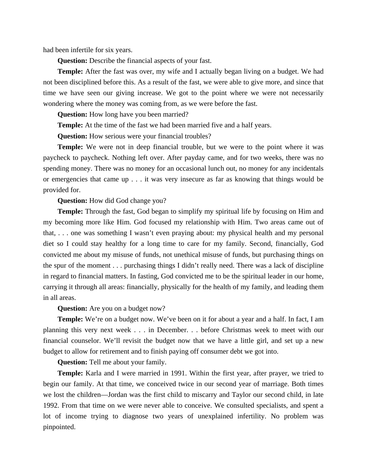had been infertile for six years.

**Question:** Describe the financial aspects of your fast.

**Temple:** After the fast was over, my wife and I actually began living on a budget. We had not been disciplined before this. As a result of the fast, we were able to give more, and since that time we have seen our giving increase. We got to the point where we were not necessarily wondering where the money was coming from, as we were before the fast.

**Question:** How long have you been married?

**Temple:** At the time of the fast we had been married five and a half years.

**Question:** How serious were your financial troubles?

**Temple:** We were not in deep financial trouble, but we were to the point where it was paycheck to paycheck. Nothing left over. After payday came, and for two weeks, there was no spending money. There was no money for an occasional lunch out, no money for any incidentals or emergencies that came up . . . it was very insecure as far as knowing that things would be provided for.

**Question:** How did God change you?

**Temple:** Through the fast, God began to simplify my spiritual life by focusing on Him and my becoming more like Him. God focused my relationship with Him. Two areas came out of that, . . . one was something I wasn't even praying about: my physical health and my personal diet so I could stay healthy for a long time to care for my family. Second, financially, God convicted me about my misuse of funds, not unethical misuse of funds, but purchasing things on the spur of the moment . . . purchasing things I didn't really need. There was a lack of discipline in regard to financial matters. In fasting, God convicted me to be the spiritual leader in our home, carrying it through all areas: financially, physically for the health of my family, and leading them in all areas.

**Question:** Are you on a budget now?

**Temple:** We're on a budget now. We've been on it for about a year and a half. In fact, I am planning this very next week . . . in December. . . before Christmas week to meet with our financial counselor. We'll revisit the budget now that we have a little girl, and set up a new budget to allow for retirement and to finish paying off consumer debt we got into.

**Question:** Tell me about your family.

**Temple:** Karla and I were married in 1991. Within the first year, after prayer, we tried to begin our family. At that time, we conceived twice in our second year of marriage. Both times we lost the children—Jordan was the first child to miscarry and Taylor our second child, in late 1992. From that time on we were never able to conceive. We consulted specialists, and spent a lot of income trying to diagnose two years of unexplained infertility. No problem was pinpointed.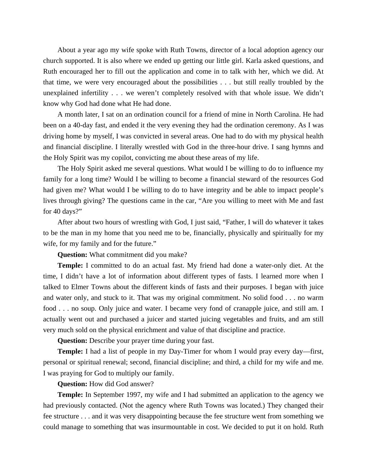About a year ago my wife spoke with Ruth Towns, director of a local adoption agency our church supported. It is also where we ended up getting our little girl. Karla asked questions, and Ruth encouraged her to fill out the application and come in to talk with her, which we did. At that time, we were very encouraged about the possibilities . . . but still really troubled by the unexplained infertility . . . we weren't completely resolved with that whole issue. We didn't know why God had done what He had done.

A month later, I sat on an ordination council for a friend of mine in North Carolina. He had been on a 40-day fast, and ended it the very evening they had the ordination ceremony. As I was driving home by myself, I was convicted in several areas. One had to do with my physical health and financial discipline. I literally wrestled with God in the three-hour drive. I sang hymns and the Holy Spirit was my copilot, convicting me about these areas of my life.

The Holy Spirit asked me several questions. What would I be willing to do to influence my family for a long time? Would I be willing to become a financial steward of the resources God had given me? What would I be willing to do to have integrity and be able to impact people's lives through giving? The questions came in the car, "Are you willing to meet with Me and fast for 40 days?"

After about two hours of wrestling with God, I just said, "Father, I will do whatever it takes to be the man in my home that you need me to be, financially, physically and spiritually for my wife, for my family and for the future."

**Question:** What commitment did you make?

**Temple:** I committed to do an actual fast. My friend had done a water-only diet. At the time, I didn't have a lot of information about different types of fasts. I learned more when I talked to Elmer Towns about the different kinds of fasts and their purposes. I began with juice and water only, and stuck to it. That was my original commitment. No solid food . . . no warm food . . . no soup. Only juice and water. I became very fond of cranapple juice, and still am. I actually went out and purchased a juicer and started juicing vegetables and fruits, and am still very much sold on the physical enrichment and value of that discipline and practice.

**Question:** Describe your prayer time during your fast.

**Temple:** I had a list of people in my Day-Timer for whom I would pray every day—first, personal or spiritual renewal; second, financial discipline; and third, a child for my wife and me. I was praying for God to multiply our family.

**Question:** How did God answer?

**Temple:** In September 1997, my wife and I had submitted an application to the agency we had previously contacted. (Not the agency where Ruth Towns was located.) They changed their fee structure . . . and it was very disappointing because the fee structure went from something we could manage to something that was insurmountable in cost. We decided to put it on hold. Ruth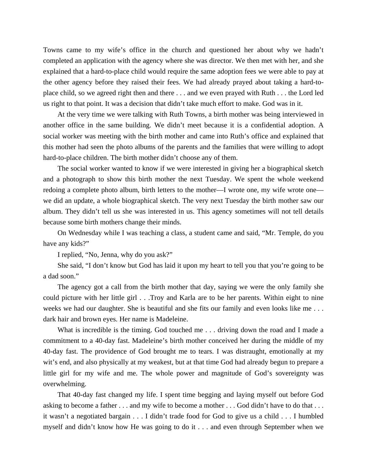Towns came to my wife's office in the church and questioned her about why we hadn't completed an application with the agency where she was director. We then met with her, and she explained that a hard-to-place child would require the same adoption fees we were able to pay at the other agency before they raised their fees. We had already prayed about taking a hard-toplace child, so we agreed right then and there . . . and we even prayed with Ruth . . . the Lord led us right to that point. It was a decision that didn't take much effort to make. God was in it.

At the very time we were talking with Ruth Towns, a birth mother was being interviewed in another office in the same building. We didn't meet because it is a confidential adoption. A social worker was meeting with the birth mother and came into Ruth's office and explained that this mother had seen the photo albums of the parents and the families that were willing to adopt hard-to-place children. The birth mother didn't choose any of them.

The social worker wanted to know if we were interested in giving her a biographical sketch and a photograph to show this birth mother the next Tuesday. We spent the whole weekend redoing a complete photo album, birth letters to the mother—I wrote one, my wife wrote one we did an update, a whole biographical sketch. The very next Tuesday the birth mother saw our album. They didn't tell us she was interested in us. This agency sometimes will not tell details because some birth mothers change their minds.

On Wednesday while I was teaching a class, a student came and said, "Mr. Temple, do you have any kids?"

I replied, "No, Jenna, why do you ask?"

She said, "I don't know but God has laid it upon my heart to tell you that you're going to be a dad soon."

The agency got a call from the birth mother that day, saying we were the only family she could picture with her little girl . . .Troy and Karla are to be her parents. Within eight to nine weeks we had our daughter. She is beautiful and she fits our family and even looks like me . . . dark hair and brown eyes. Her name is Madeleine.

What is incredible is the timing. God touched me . . . driving down the road and I made a commitment to a 40-day fast. Madeleine's birth mother conceived her during the middle of my 40-day fast. The providence of God brought me to tears. I was distraught, emotionally at my wit's end, and also physically at my weakest, but at that time God had already begun to prepare a little girl for my wife and me. The whole power and magnitude of God's sovereignty was overwhelming.

That 40-day fast changed my life. I spent time begging and laying myself out before God asking to become a father . . . and my wife to become a mother . . . God didn't have to do that . . . it wasn't a negotiated bargain . . . I didn't trade food for God to give us a child . . . I humbled myself and didn't know how He was going to do it . . . and even through September when we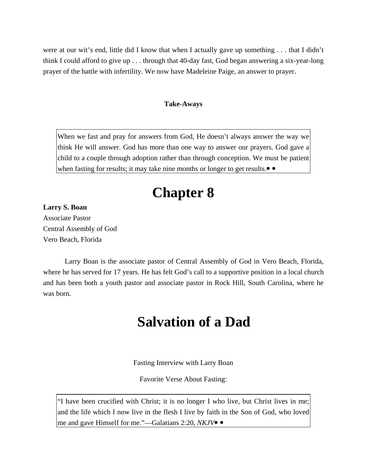were at our wit's end, little did I know that when I actually gave up something . . . that I didn't think I could afford to give up . . . through that 40-day fast, God began answering a six-year-long prayer of the battle with infertility. We now have Madeleine Paige, an answer to prayer.

### **Take-Aways**

When we fast and pray for answers from God, He doesn't always answer the way we think He will answer. God has more than one way to answer our prayers. God gave a child to a couple through adoption rather than through conception. We must be patient when fasting for results; it may take nine months or longer to get results. $\bullet$ 

## **Chapter 8**

**Larry S. Boan** Associate Pastor Central Assembly of God Vero Beach, Florida

Larry Boan is the associate pastor of Central Assembly of God in Vero Beach, Florida, where he has served for 17 years. He has felt God's call to a supportive position in a local church and has been both a youth pastor and associate pastor in Rock Hill, South Carolina, where he was born.

### **Salvation of a Dad**

Fasting Interview with Larry Boan

Favorite Verse About Fasting:

"I have been crucified with Christ; it is no longer I who live, but Christ lives in me; and the life which I now live in the flesh I live by faith in the Son of God, who loved me and gave Himself for me."—Galatians 2:20, *NKJV*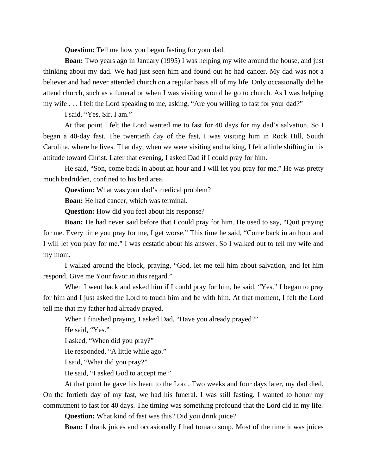**Question:** Tell me how you began fasting for your dad.

**Boan:** Two years ago in January (1995) I was helping my wife around the house, and just thinking about my dad. We had just seen him and found out he had cancer. My dad was not a believer and had never attended church on a regular basis all of my life. Only occasionally did he attend church, such as a funeral or when I was visiting would he go to church. As I was helping my wife . . . I felt the Lord speaking to me, asking, "Are you willing to fast for your dad?"

I said, "Yes, Sir, I am."

At that point I felt the Lord wanted me to fast for 40 days for my dad's salvation. So I began a 40-day fast. The twentieth day of the fast, I was visiting him in Rock Hill, South Carolina, where he lives. That day, when we were visiting and talking, I felt a little shifting in his attitude toward Christ. Later that evening, I asked Dad if I could pray for him.

He said, "Son, come back in about an hour and I will let you pray for me." He was pretty much bedridden, confined to his bed area.

**Question:** What was your dad's medical problem?

**Boan:** He had cancer, which was terminal.

**Question:** How did you feel about his response?

**Boan:** He had never said before that I could pray for him. He used to say, "Quit praying for me. Every time you pray for me, I get worse." This time he said, "Come back in an hour and I will let you pray for me." I was ecstatic about his answer. So I walked out to tell my wife and my mom.

I walked around the block, praying, "God, let me tell him about salvation, and let him respond. Give me Your favor in this regard."

When I went back and asked him if I could pray for him, he said, "Yes." I began to pray for him and I just asked the Lord to touch him and be with him. At that moment, I felt the Lord tell me that my father had already prayed.

When I finished praying, I asked Dad, "Have you already prayed?"

He said, "Yes."

I asked, "When did you pray?"

He responded, "A little while ago."

I said, "What did you pray?"

He said, "I asked God to accept me."

At that point he gave his heart to the Lord. Two weeks and four days later, my dad died. On the fortieth day of my fast, we had his funeral. I was still fasting. I wanted to honor my commitment to fast for 40 days. The timing was something profound that the Lord did in my life.

**Question:** What kind of fast was this? Did you drink juice?

**Boan:** I drank juices and occasionally I had tomato soup. Most of the time it was juices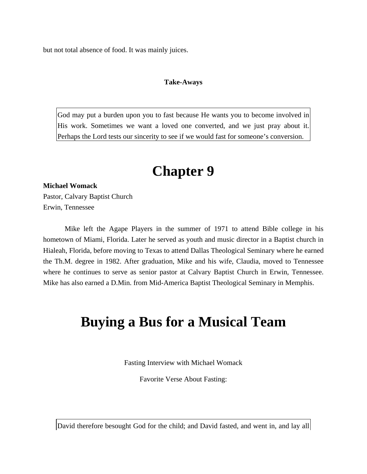but not total absence of food. It was mainly juices.

### **Take-Aways**

God may put a burden upon you to fast because He wants you to become involved in His work. Sometimes we want a loved one converted, and we just pray about it. Perhaps the Lord tests our sincerity to see if we would fast for someone's conversion.

## **Chapter 9**

**Michael Womack** Pastor, Calvary Baptist Church Erwin, Tennessee

Mike left the Agape Players in the summer of 1971 to attend Bible college in his hometown of Miami, Florida. Later he served as youth and music director in a Baptist church in Hialeah, Florida, before moving to Texas to attend Dallas Theological Seminary where he earned the Th.M. degree in 1982. After graduation, Mike and his wife, Claudia, moved to Tennessee where he continues to serve as senior pastor at Calvary Baptist Church in Erwin, Tennessee. Mike has also earned a D.Min. from Mid-America Baptist Theological Seminary in Memphis.

## **Buying a Bus for a Musical Team**

Fasting Interview with Michael Womack

Favorite Verse About Fasting:

David therefore besought God for the child; and David fasted, and went in, and lay all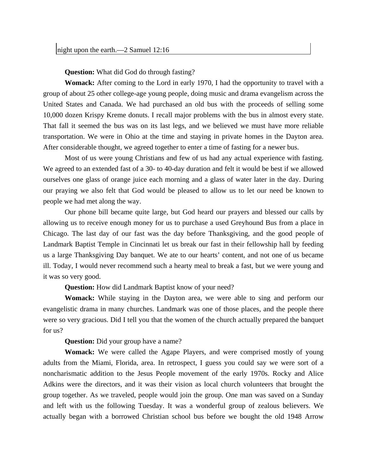### **Question:** What did God do through fasting?

**Womack:** After coming to the Lord in early 1970, I had the opportunity to travel with a group of about 25 other college-age young people, doing music and drama evangelism across the United States and Canada. We had purchased an old bus with the proceeds of selling some 10,000 dozen Krispy Kreme donuts. I recall major problems with the bus in almost every state. That fall it seemed the bus was on its last legs, and we believed we must have more reliable transportation. We were in Ohio at the time and staying in private homes in the Dayton area. After considerable thought, we agreed together to enter a time of fasting for a newer bus.

Most of us were young Christians and few of us had any actual experience with fasting. We agreed to an extended fast of a 30- to 40-day duration and felt it would be best if we allowed ourselves one glass of orange juice each morning and a glass of water later in the day. During our praying we also felt that God would be pleased to allow us to let our need be known to people we had met along the way.

Our phone bill became quite large, but God heard our prayers and blessed our calls by allowing us to receive enough money for us to purchase a used Greyhound Bus from a place in Chicago. The last day of our fast was the day before Thanksgiving, and the good people of Landmark Baptist Temple in Cincinnati let us break our fast in their fellowship hall by feeding us a large Thanksgiving Day banquet. We ate to our hearts' content, and not one of us became ill. Today, I would never recommend such a hearty meal to break a fast, but we were young and it was so very good.

**Question:** How did Landmark Baptist know of your need?

**Womack:** While staying in the Dayton area, we were able to sing and perform our evangelistic drama in many churches. Landmark was one of those places, and the people there were so very gracious. Did I tell you that the women of the church actually prepared the banquet for us?

**Question:** Did your group have a name?

**Womack:** We were called the Agape Players, and were comprised mostly of young adults from the Miami, Florida, area. In retrospect, I guess you could say we were sort of a noncharismatic addition to the Jesus People movement of the early 1970s. Rocky and Alice Adkins were the directors, and it was their vision as local church volunteers that brought the group together. As we traveled, people would join the group. One man was saved on a Sunday and left with us the following Tuesday. It was a wonderful group of zealous believers. We actually began with a borrowed Christian school bus before we bought the old 1948 Arrow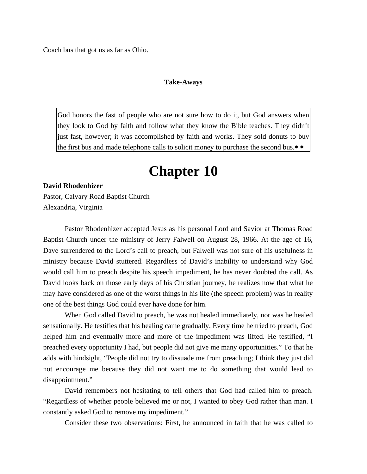Coach bus that got us as far as Ohio.

### **Take-Aways**

God honors the fast of people who are not sure how to do it, but God answers when they look to God by faith and follow what they know the Bible teaches. They didn't just fast, however; it was accomplished by faith and works. They sold donuts to buy the first bus and made telephone calls to solicit money to purchase the second bus.  $\bullet$ 

## **Chapter 10**

### **David Rhodenhizer**

Pastor, Calvary Road Baptist Church Alexandria, Virginia

Pastor Rhodenhizer accepted Jesus as his personal Lord and Savior at Thomas Road Baptist Church under the ministry of Jerry Falwell on August 28, 1966. At the age of 16, Dave surrendered to the Lord's call to preach, but Falwell was not sure of his usefulness in ministry because David stuttered. Regardless of David's inability to understand why God would call him to preach despite his speech impediment, he has never doubted the call. As David looks back on those early days of his Christian journey, he realizes now that what he may have considered as one of the worst things in his life (the speech problem) was in reality one of the best things God could ever have done for him.

When God called David to preach, he was not healed immediately, nor was he healed sensationally. He testifies that his healing came gradually. Every time he tried to preach, God helped him and eventually more and more of the impediment was lifted. He testified, "I preached every opportunity I had, but people did not give me many opportunities." To that he adds with hindsight, "People did not try to dissuade me from preaching; I think they just did not encourage me because they did not want me to do something that would lead to disappointment."

David remembers not hesitating to tell others that God had called him to preach. "Regardless of whether people believed me or not, I wanted to obey God rather than man. I constantly asked God to remove my impediment."

Consider these two observations: First, he announced in faith that he was called to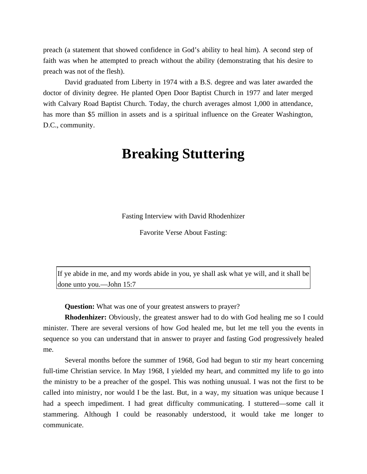preach (a statement that showed confidence in God's ability to heal him). A second step of faith was when he attempted to preach without the ability (demonstrating that his desire to preach was not of the flesh).

David graduated from Liberty in 1974 with a B.S. degree and was later awarded the doctor of divinity degree. He planted Open Door Baptist Church in 1977 and later merged with Calvary Road Baptist Church. Today, the church averages almost 1,000 in attendance, has more than \$5 million in assets and is a spiritual influence on the Greater Washington, D.C., community.

### **Breaking Stuttering**

Fasting Interview with David Rhodenhizer

Favorite Verse About Fasting:

If ye abide in me, and my words abide in you, ye shall ask what ye will, and it shall be done unto you.—John 15:7

**Question:** What was one of your greatest answers to prayer?

**Rhodenhizer:** Obviously, the greatest answer had to do with God healing me so I could minister. There are several versions of how God healed me, but let me tell you the events in sequence so you can understand that in answer to prayer and fasting God progressively healed me.

Several months before the summer of 1968, God had begun to stir my heart concerning full-time Christian service. In May 1968, I yielded my heart, and committed my life to go into the ministry to be a preacher of the gospel. This was nothing unusual. I was not the first to be called into ministry, nor would I be the last. But, in a way, my situation was unique because I had a speech impediment. I had great difficulty communicating. I stuttered—some call it stammering. Although I could be reasonably understood, it would take me longer to communicate.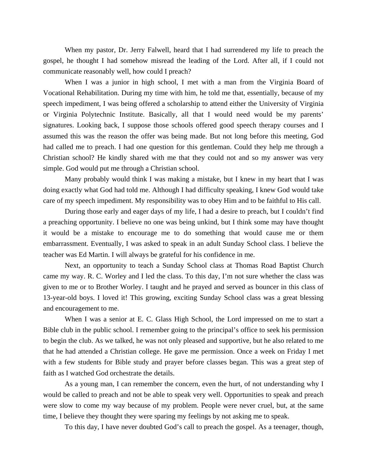When my pastor, Dr. Jerry Falwell, heard that I had surrendered my life to preach the gospel, he thought I had somehow misread the leading of the Lord. After all, if I could not communicate reasonably well, how could I preach?

When I was a junior in high school, I met with a man from the Virginia Board of Vocational Rehabilitation. During my time with him, he told me that, essentially, because of my speech impediment, I was being offered a scholarship to attend either the University of Virginia or Virginia Polytechnic Institute. Basically, all that I would need would be my parents' signatures. Looking back, I suppose those schools offered good speech therapy courses and I assumed this was the reason the offer was being made. But not long before this meeting, God had called me to preach. I had one question for this gentleman. Could they help me through a Christian school? He kindly shared with me that they could not and so my answer was very simple. God would put me through a Christian school.

Many probably would think I was making a mistake, but I knew in my heart that I was doing exactly what God had told me. Although I had difficulty speaking, I knew God would take care of my speech impediment. My responsibility was to obey Him and to be faithful to His call.

During those early and eager days of my life, I had a desire to preach, but I couldn't find a preaching opportunity. I believe no one was being unkind, but I think some may have thought it would be a mistake to encourage me to do something that would cause me or them embarrassment. Eventually, I was asked to speak in an adult Sunday School class. I believe the teacher was Ed Martin. I will always be grateful for his confidence in me.

Next, an opportunity to teach a Sunday School class at Thomas Road Baptist Church came my way. R. C. Worley and I led the class. To this day, I'm not sure whether the class was given to me or to Brother Worley. I taught and he prayed and served as bouncer in this class of 13-year-old boys. I loved it! This growing, exciting Sunday School class was a great blessing and encouragement to me.

When I was a senior at E. C. Glass High School, the Lord impressed on me to start a Bible club in the public school. I remember going to the principal's office to seek his permission to begin the club. As we talked, he was not only pleased and supportive, but he also related to me that he had attended a Christian college. He gave me permission. Once a week on Friday I met with a few students for Bible study and prayer before classes began. This was a great step of faith as I watched God orchestrate the details.

As a young man, I can remember the concern, even the hurt, of not understanding why I would be called to preach and not be able to speak very well. Opportunities to speak and preach were slow to come my way because of my problem. People were never cruel, but, at the same time, I believe they thought they were sparing my feelings by not asking me to speak.

To this day, I have never doubted God's call to preach the gospel. As a teenager, though,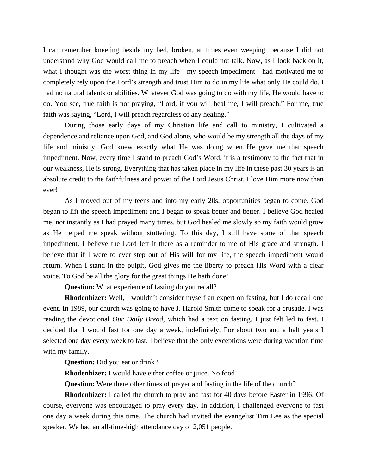I can remember kneeling beside my bed, broken, at times even weeping, because I did not understand why God would call me to preach when I could not talk. Now, as I look back on it, what I thought was the worst thing in my life—my speech impediment—had motivated me to completely rely upon the Lord's strength and trust Him to do in my life what only He could do. I had no natural talents or abilities. Whatever God was going to do with my life, He would have to do. You see, true faith is not praying, "Lord, if you will heal me, I will preach." For me, true faith was saying, "Lord, I will preach regardless of any healing."

During those early days of my Christian life and call to ministry, I cultivated a dependence and reliance upon God, and God alone, who would be my strength all the days of my life and ministry. God knew exactly what He was doing when He gave me that speech impediment. Now, every time I stand to preach God's Word, it is a testimony to the fact that in our weakness, He is strong. Everything that has taken place in my life in these past 30 years is an absolute credit to the faithfulness and power of the Lord Jesus Christ. I love Him more now than ever!

As I moved out of my teens and into my early 20s, opportunities began to come. God began to lift the speech impediment and I began to speak better and better. I believe God healed me, not instantly as I had prayed many times, but God healed me slowly so my faith would grow as He helped me speak without stuttering. To this day, I still have some of that speech impediment. I believe the Lord left it there as a reminder to me of His grace and strength. I believe that if I were to ever step out of His will for my life, the speech impediment would return. When I stand in the pulpit, God gives me the liberty to preach His Word with a clear voice. To God be all the glory for the great things He hath done!

**Question:** What experience of fasting do you recall?

**Rhodenhizer:** Well, I wouldn't consider myself an expert on fasting, but I do recall one event. In 1989, our church was going to have J. Harold Smith come to speak for a crusade. I was reading the devotional *Our Daily Bread*, which had a text on fasting. I just felt led to fast. I decided that I would fast for one day a week, indefinitely. For about two and a half years I selected one day every week to fast. I believe that the only exceptions were during vacation time with my family.

**Question:** Did you eat or drink?

**Rhodenhizer:** I would have either coffee or juice. No food!

**Question:** Were there other times of prayer and fasting in the life of the church?

**Rhodenhizer:** I called the church to pray and fast for 40 days before Easter in 1996. Of course, everyone was encouraged to pray every day. In addition, I challenged everyone to fast one day a week during this time. The church had invited the evangelist Tim Lee as the special speaker. We had an all-time-high attendance day of 2,051 people.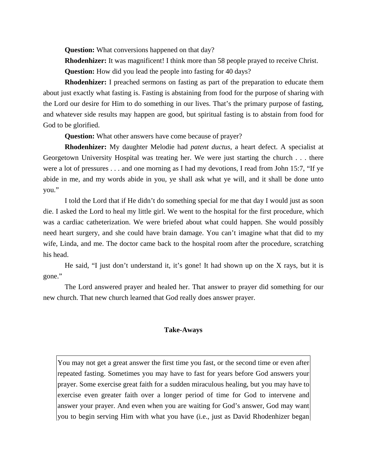**Question:** What conversions happened on that day?

**Rhodenhizer:** It was magnificent! I think more than 58 people prayed to receive Christ.

**Question:** How did you lead the people into fasting for 40 days?

**Rhodenhizer:** I preached sermons on fasting as part of the preparation to educate them about just exactly what fasting is. Fasting is abstaining from food for the purpose of sharing with the Lord our desire for Him to do something in our lives. That's the primary purpose of fasting, and whatever side results may happen are good, but spiritual fasting is to abstain from food for God to be glorified.

**Question:** What other answers have come because of prayer?

**Rhodenhizer:** My daughter Melodie had *patent ductus*, a heart defect. A specialist at Georgetown University Hospital was treating her. We were just starting the church . . . there were a lot of pressures . . . and one morning as I had my devotions, I read from John 15:7, "If ye abide in me, and my words abide in you, ye shall ask what ye will, and it shall be done unto you."

I told the Lord that if He didn't do something special for me that day I would just as soon die. I asked the Lord to heal my little girl. We went to the hospital for the first procedure, which was a cardiac catheterization. We were briefed about what could happen. She would possibly need heart surgery, and she could have brain damage. You can't imagine what that did to my wife, Linda, and me. The doctor came back to the hospital room after the procedure, scratching his head.

He said, "I just don't understand it, it's gone! It had shown up on the X rays, but it is gone."

The Lord answered prayer and healed her. That answer to prayer did something for our new church. That new church learned that God really does answer prayer.

### **Take-Aways**

You may not get a great answer the first time you fast, or the second time or even after repeated fasting. Sometimes you may have to fast for years before God answers your prayer. Some exercise great faith for a sudden miraculous healing, but you may have to exercise even greater faith over a longer period of time for God to intervene and answer your prayer. And even when you are waiting for God's answer, God may want you to begin serving Him with what you have (i.e., just as David Rhodenhizer began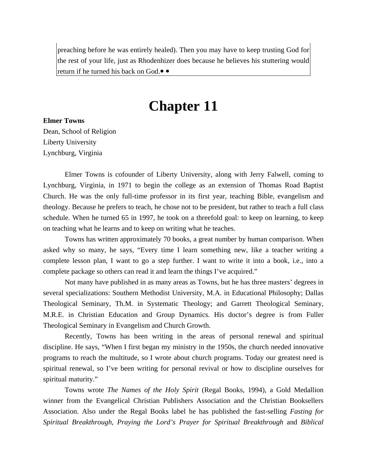preaching before he was entirely healed). Then you may have to keep trusting God for the rest of your life, just as Rhodenhizer does because he believes his stuttering would return if he turned his back on God.

## **Chapter 11**

### **Elmer Towns** Dean, School of Religion Liberty University Lynchburg, Virginia

Elmer Towns is cofounder of Liberty University, along with Jerry Falwell, coming to Lynchburg, Virginia, in 1971 to begin the college as an extension of Thomas Road Baptist Church. He was the only full-time professor in its first year, teaching Bible, evangelism and theology. Because he prefers to teach, he chose not to be president, but rather to teach a full class schedule. When he turned 65 in 1997, he took on a threefold goal: to keep on learning, to keep on teaching what he learns and to keep on writing what he teaches.

Towns has written approximately 70 books, a great number by human comparison. When asked why so many, he says, "Every time I learn something new, like a teacher writing a complete lesson plan, I want to go a step further. I want to write it into a book, i.e., into a complete package so others can read it and learn the things I've acquired."

Not many have published in as many areas as Towns, but he has three masters' degrees in several specializations: Southern Methodist University, M.A. in Educational Philosophy; Dallas Theological Seminary, Th.M. in Systematic Theology; and Garrett Theological Seminary, M.R.E. in Christian Education and Group Dynamics. His doctor's degree is from Fuller Theological Seminary in Evangelism and Church Growth.

Recently, Towns has been writing in the areas of personal renewal and spiritual discipline. He says, "When I first began my ministry in the 1950s, the church needed innovative programs to reach the multitude, so I wrote about church programs. Today our greatest need is spiritual renewal, so I've been writing for personal revival or how to discipline ourselves for spiritual maturity."

Towns wrote *The Names of the Holy Spirit* (Regal Books, 1994), a Gold Medallion winner from the Evangelical Christian Publishers Association and the Christian Booksellers Association. Also under the Regal Books label he has published the fast-selling *Fasting for Spiritual Breakthrough*, *Praying the Lord's Prayer for Spiritual Breakthrough* and *Biblical*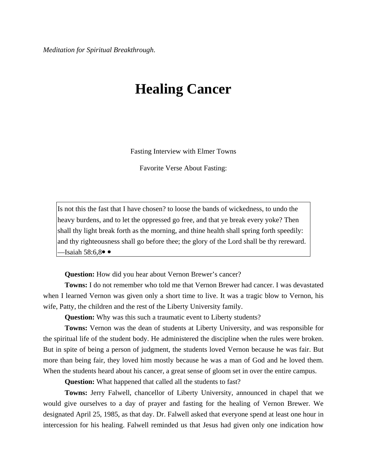## **Healing Cancer**

Fasting Interview with Elmer Towns

Favorite Verse About Fasting:

Is not this the fast that I have chosen? to loose the bands of wickedness, to undo the heavy burdens, and to let the oppressed go free, and that ye break every yoke? Then shall thy light break forth as the morning, and thine health shall spring forth speedily: and thy righteousness shall go before thee; the glory of the Lord shall be thy rereward.  $-$ Isaiah 58:6,8 $\bullet$   $\bullet$ 

**Question:** How did you hear about Vernon Brewer's cancer?

**Towns:** I do not remember who told me that Vernon Brewer had cancer. I was devastated when I learned Vernon was given only a short time to live. It was a tragic blow to Vernon, his wife, Patty, the children and the rest of the Liberty University family.

**Question:** Why was this such a traumatic event to Liberty students?

**Towns:** Vernon was the dean of students at Liberty University, and was responsible for the spiritual life of the student body. He administered the discipline when the rules were broken. But in spite of being a person of judgment, the students loved Vernon because he was fair. But more than being fair, they loved him mostly because he was a man of God and he loved them. When the students heard about his cancer, a great sense of gloom set in over the entire campus.

**Question:** What happened that called all the students to fast?

**Towns:** Jerry Falwell, chancellor of Liberty University, announced in chapel that we would give ourselves to a day of prayer and fasting for the healing of Vernon Brewer. We designated April 25, 1985, as that day. Dr. Falwell asked that everyone spend at least one hour in intercession for his healing. Falwell reminded us that Jesus had given only one indication how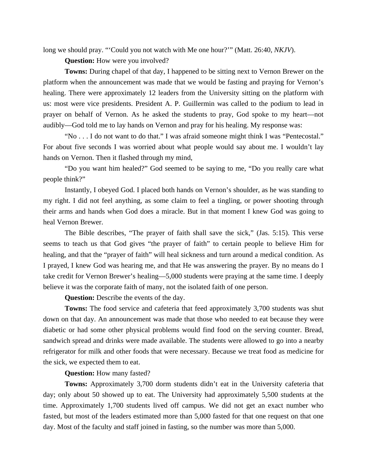long we should pray. "'Could you not watch with Me one hour?'" (Matt. 26:40, *NKJV*).

**Question:** How were you involved?

**Towns:** During chapel of that day, I happened to be sitting next to Vernon Brewer on the platform when the announcement was made that we would be fasting and praying for Vernon's healing. There were approximately 12 leaders from the University sitting on the platform with us: most were vice presidents. President A. P. Guillermin was called to the podium to lead in prayer on behalf of Vernon. As he asked the students to pray, God spoke to my heart—not audibly—God told me to lay hands on Vernon and pray for his healing. My response was:

"No . . . I do not want to do that." I was afraid someone might think I was "Pentecostal." For about five seconds I was worried about what people would say about me. I wouldn't lay hands on Vernon. Then it flashed through my mind,

"Do you want him healed?" God seemed to be saying to me, "Do you really care what people think?"

Instantly, I obeyed God. I placed both hands on Vernon's shoulder, as he was standing to my right. I did not feel anything, as some claim to feel a tingling, or power shooting through their arms and hands when God does a miracle. But in that moment I knew God was going to heal Vernon Brewer.

The Bible describes, "The prayer of faith shall save the sick," (Jas. 5:15). This verse seems to teach us that God gives "the prayer of faith" to certain people to believe Him for healing, and that the "prayer of faith" will heal sickness and turn around a medical condition. As I prayed, I knew God was hearing me, and that He was answering the prayer. By no means do I take credit for Vernon Brewer's healing—5,000 students were praying at the same time. I deeply believe it was the corporate faith of many, not the isolated faith of one person.

**Question:** Describe the events of the day.

**Towns:** The food service and cafeteria that feed approximately 3,700 students was shut down on that day. An announcement was made that those who needed to eat because they were diabetic or had some other physical problems would find food on the serving counter. Bread, sandwich spread and drinks were made available. The students were allowed to go into a nearby refrigerator for milk and other foods that were necessary. Because we treat food as medicine for the sick, we expected them to eat.

#### **Question:** How many fasted?

**Towns:** Approximately 3,700 dorm students didn't eat in the University cafeteria that day; only about 50 showed up to eat. The University had approximately 5,500 students at the time. Approximately 1,700 students lived off campus. We did not get an exact number who fasted, but most of the leaders estimated more than 5,000 fasted for that one request on that one day. Most of the faculty and staff joined in fasting, so the number was more than 5,000.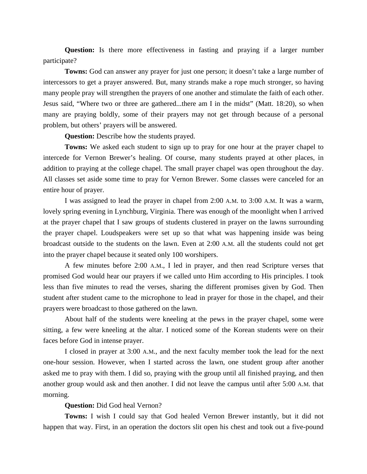**Question:** Is there more effectiveness in fasting and praying if a larger number participate?

**Towns:** God can answer any prayer for just one person; it doesn't take a large number of intercessors to get a prayer answered. But, many strands make a rope much stronger, so having many people pray will strengthen the prayers of one another and stimulate the faith of each other. Jesus said, "Where two or three are gathered...there am I in the midst" (Matt. 18:20), so when many are praying boldly, some of their prayers may not get through because of a personal problem, but others' prayers will be answered.

**Question:** Describe how the students prayed.

**Towns:** We asked each student to sign up to pray for one hour at the prayer chapel to intercede for Vernon Brewer's healing. Of course, many students prayed at other places, in addition to praying at the college chapel. The small prayer chapel was open throughout the day. All classes set aside some time to pray for Vernon Brewer. Some classes were canceled for an entire hour of prayer.

I was assigned to lead the prayer in chapel from 2:00 A.M. to 3:00 A.M. It was a warm, lovely spring evening in Lynchburg, Virginia. There was enough of the moonlight when I arrived at the prayer chapel that I saw groups of students clustered in prayer on the lawns surrounding the prayer chapel. Loudspeakers were set up so that what was happening inside was being broadcast outside to the students on the lawn. Even at 2:00 A.M. all the students could not get into the prayer chapel because it seated only 100 worshipers.

A few minutes before 2:00 A.M., I led in prayer, and then read Scripture verses that promised God would hear our prayers if we called unto Him according to His principles. I took less than five minutes to read the verses, sharing the different promises given by God. Then student after student came to the microphone to lead in prayer for those in the chapel, and their prayers were broadcast to those gathered on the lawn.

About half of the students were kneeling at the pews in the prayer chapel, some were sitting, a few were kneeling at the altar. I noticed some of the Korean students were on their faces before God in intense prayer.

I closed in prayer at 3:00 A.M., and the next faculty member took the lead for the next one-hour session. However, when I started across the lawn, one student group after another asked me to pray with them. I did so, praying with the group until all finished praying, and then another group would ask and then another. I did not leave the campus until after 5:00 A.M. that morning.

### **Question:** Did God heal Vernon?

**Towns:** I wish I could say that God healed Vernon Brewer instantly, but it did not happen that way. First, in an operation the doctors slit open his chest and took out a five-pound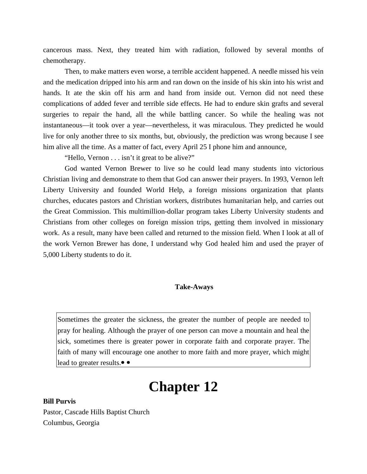cancerous mass. Next, they treated him with radiation, followed by several months of chemotherapy.

Then, to make matters even worse, a terrible accident happened. A needle missed his vein and the medication dripped into his arm and ran down on the inside of his skin into his wrist and hands. It ate the skin off his arm and hand from inside out. Vernon did not need these complications of added fever and terrible side effects. He had to endure skin grafts and several surgeries to repair the hand, all the while battling cancer. So while the healing was not instantaneous—it took over a year—nevertheless, it was miraculous. They predicted he would live for only another three to six months, but, obviously, the prediction was wrong because I see him alive all the time. As a matter of fact, every April 25 I phone him and announce,

"Hello, Vernon . . . isn't it great to be alive?"

God wanted Vernon Brewer to live so he could lead many students into victorious Christian living and demonstrate to them that God can answer their prayers. In 1993, Vernon left Liberty University and founded World Help, a foreign missions organization that plants churches, educates pastors and Christian workers, distributes humanitarian help, and carries out the Great Commission. This multimillion-dollar program takes Liberty University students and Christians from other colleges on foreign mission trips, getting them involved in missionary work. As a result, many have been called and returned to the mission field. When I look at all of the work Vernon Brewer has done, I understand why God healed him and used the prayer of 5,000 Liberty students to do it.

### **Take-Aways**

Sometimes the greater the sickness, the greater the number of people are needed to pray for healing. Although the prayer of one person can move a mountain and heal the sick, sometimes there is greater power in corporate faith and corporate prayer. The faith of many will encourage one another to more faith and more prayer, which might lead to greater results.  $\bullet$ 

## **Chapter 12**

#### **Bill Purvis**

Pastor, Cascade Hills Baptist Church Columbus, Georgia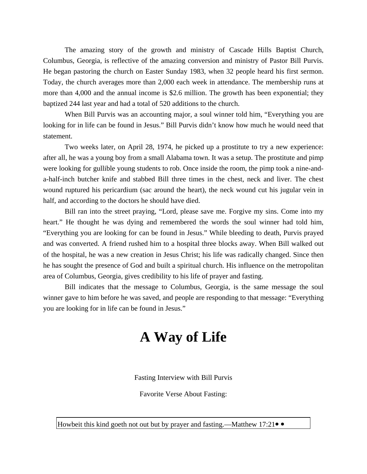The amazing story of the growth and ministry of Cascade Hills Baptist Church, Columbus, Georgia, is reflective of the amazing conversion and ministry of Pastor Bill Purvis. He began pastoring the church on Easter Sunday 1983, when 32 people heard his first sermon. Today, the church averages more than 2,000 each week in attendance. The membership runs at more than 4,000 and the annual income is \$2.6 million. The growth has been exponential; they baptized 244 last year and had a total of 520 additions to the church.

When Bill Purvis was an accounting major, a soul winner told him, "Everything you are looking for in life can be found in Jesus." Bill Purvis didn't know how much he would need that statement.

Two weeks later, on April 28, 1974, he picked up a prostitute to try a new experience: after all, he was a young boy from a small Alabama town. It was a setup. The prostitute and pimp were looking for gullible young students to rob. Once inside the room, the pimp took a nine-anda-half-inch butcher knife and stabbed Bill three times in the chest, neck and liver. The chest wound ruptured his pericardium (sac around the heart), the neck wound cut his jugular vein in half, and according to the doctors he should have died.

Bill ran into the street praying, "Lord, please save me. Forgive my sins. Come into my heart." He thought he was dying and remembered the words the soul winner had told him, "Everything you are looking for can be found in Jesus." While bleeding to death, Purvis prayed and was converted. A friend rushed him to a hospital three blocks away. When Bill walked out of the hospital, he was a new creation in Jesus Christ; his life was radically changed. Since then he has sought the presence of God and built a spiritual church. His influence on the metropolitan area of Columbus, Georgia, gives credibility to his life of prayer and fasting.

Bill indicates that the message to Columbus, Georgia, is the same message the soul winner gave to him before he was saved, and people are responding to that message: "Everything you are looking for in life can be found in Jesus."

## **A Way of Life**

Fasting Interview with Bill Purvis

Favorite Verse About Fasting:

Howbeit this kind goeth not out but by prayer and fasting.—Matthew 17:21 $\bullet$   $\bullet$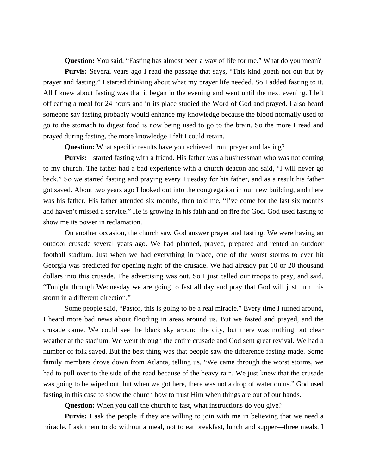**Question:** You said, "Fasting has almost been a way of life for me." What do you mean?

**Purvis:** Several years ago I read the passage that says, "This kind goeth not out but by prayer and fasting." I started thinking about what my prayer life needed. So I added fasting to it. All I knew about fasting was that it began in the evening and went until the next evening. I left off eating a meal for 24 hours and in its place studied the Word of God and prayed. I also heard someone say fasting probably would enhance my knowledge because the blood normally used to go to the stomach to digest food is now being used to go to the brain. So the more I read and prayed during fasting, the more knowledge I felt I could retain.

**Question:** What specific results have you achieved from prayer and fasting?

**Purvis:** I started fasting with a friend. His father was a businessman who was not coming to my church. The father had a bad experience with a church deacon and said, "I will never go back." So we started fasting and praying every Tuesday for his father, and as a result his father got saved. About two years ago I looked out into the congregation in our new building, and there was his father. His father attended six months, then told me, "I've come for the last six months and haven't missed a service." He is growing in his faith and on fire for God. God used fasting to show me its power in reclamation.

On another occasion, the church saw God answer prayer and fasting. We were having an outdoor crusade several years ago. We had planned, prayed, prepared and rented an outdoor football stadium. Just when we had everything in place, one of the worst storms to ever hit Georgia was predicted for opening night of the crusade. We had already put 10 or 20 thousand dollars into this crusade. The advertising was out. So I just called our troops to pray, and said, "Tonight through Wednesday we are going to fast all day and pray that God will just turn this storm in a different direction."

Some people said, "Pastor, this is going to be a real miracle." Every time I turned around, I heard more bad news about flooding in areas around us. But we fasted and prayed, and the crusade came. We could see the black sky around the city, but there was nothing but clear weather at the stadium. We went through the entire crusade and God sent great revival. We had a number of folk saved. But the best thing was that people saw the difference fasting made. Some family members drove down from Atlanta, telling us, "We came through the worst storms, we had to pull over to the side of the road because of the heavy rain. We just knew that the crusade was going to be wiped out, but when we got here, there was not a drop of water on us." God used fasting in this case to show the church how to trust Him when things are out of our hands.

**Question:** When you call the church to fast, what instructions do you give?

**Purvis:** I ask the people if they are willing to join with me in believing that we need a miracle. I ask them to do without a meal, not to eat breakfast, lunch and supper—three meals. I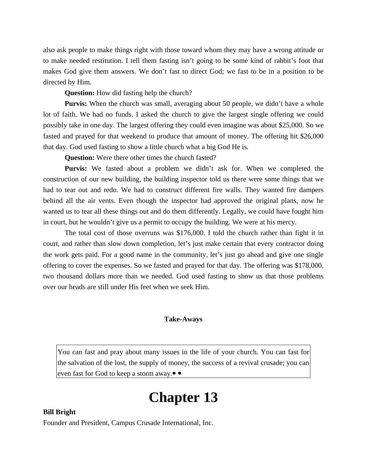also ask people to make things right with those toward whom they may have a wrong attitude or to make needed restitution. I tell them fasting isn't going to be some kind of rabbit's foot that makes God give them answers. We don't fast to direct God; we fast to be in a position to be directed by Him.

**Question:** How did fasting help the church?

**Purvis:** When the church was small, averaging about 50 people, we didn't have a whole lot of faith. We had no funds. I asked the church to give the largest single offering we could possibly take in one day. The largest offering they could even imagine was about \$25,000. So we fasted and prayed for that weekend to produce that amount of money. The offering hit \$26,000 that day. God used fasting to show a little church what a big God He is.

**Question:** Were there other times the church fasted?

**Purvis:** We fasted about a problem we didn't ask for. When we completed the construction of our new building, the building inspector told us there were some things that we had to tear out and redo. We had to construct different fire walls. They wanted fire dampers behind all the air vents. Even though the inspector had approved the original plans, now he wanted us to tear all these things out and do them differently. Legally, we could have fought him in court, but he wouldn't give us a permit to occupy the building. We were at his mercy.

The total cost of those overruns was \$176,000. I told the church rather than fight it in court, and rather than slow down completion, let's just make certain that every contractor doing the work gets paid. For a good name in the community, let's just go ahead and give one single offering to cover the expenses. So we fasted and prayed for that day. The offering was \$178,000, two thousand dollars more than we needed. God used fasting to show us that those problems over our heads are still under His feet when we seek Him.

### **Take-Aways**

You can fast and pray about many issues in the life of your church. You can fast for the salvation of the lost, the supply of money, the success of a revival crusade; you can even fast for God to keep a storm away.

# **Chapter 13**

### **Bill Bright**

Founder and President, Campus Crusade International, Inc.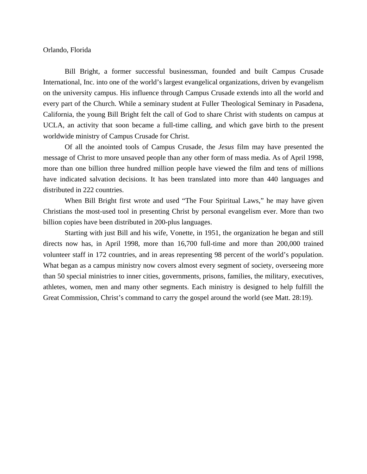Orlando, Florida

Bill Bright, a former successful businessman, founded and built Campus Crusade International, Inc. into one of the world's largest evangelical organizations, driven by evangelism on the university campus. His influence through Campus Crusade extends into all the world and every part of the Church. While a seminary student at Fuller Theological Seminary in Pasadena, California, the young Bill Bright felt the call of God to share Christ with students on campus at UCLA, an activity that soon became a full-time calling, and which gave birth to the present worldwide ministry of Campus Crusade for Christ.

Of all the anointed tools of Campus Crusade, the *Jesus* film may have presented the message of Christ to more unsaved people than any other form of mass media. As of April 1998, more than one billion three hundred million people have viewed the film and tens of millions have indicated salvation decisions. It has been translated into more than 440 languages and distributed in 222 countries.

When Bill Bright first wrote and used "The Four Spiritual Laws," he may have given Christians the most-used tool in presenting Christ by personal evangelism ever. More than two billion copies have been distributed in 200-plus languages.

Starting with just Bill and his wife, Vonette, in 1951, the organization he began and still directs now has, in April 1998, more than 16,700 full-time and more than 200,000 trained volunteer staff in 172 countries, and in areas representing 98 percent of the world's population. What began as a campus ministry now covers almost every segment of society, overseeing more than 50 special ministries to inner cities, governments, prisons, families, the military, executives, athletes, women, men and many other segments. Each ministry is designed to help fulfill the Great Commission, Christ's command to carry the gospel around the world (see Matt. 28:19).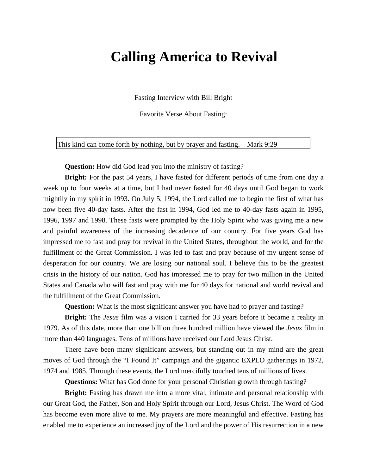### **Calling America to Revival**

Fasting Interview with Bill Bright

Favorite Verse About Fasting:

This kind can come forth by nothing, but by prayer and fasting.—Mark 9:29

**Question:** How did God lead you into the ministry of fasting?

**Bright:** For the past 54 years, I have fasted for different periods of time from one day a week up to four weeks at a time, but I had never fasted for 40 days until God began to work mightily in my spirit in 1993. On July 5, 1994, the Lord called me to begin the first of what has now been five 40-day fasts. After the fast in 1994, God led me to 40-day fasts again in 1995, 1996, 1997 and 1998. These fasts were prompted by the Holy Spirit who was giving me a new and painful awareness of the increasing decadence of our country. For five years God has impressed me to fast and pray for revival in the United States, throughout the world, and for the fulfillment of the Great Commission. I was led to fast and pray because of my urgent sense of desperation for our country. We are losing our national soul. I believe this to be the greatest crisis in the history of our nation. God has impressed me to pray for two million in the United States and Canada who will fast and pray with me for 40 days for national and world revival and the fulfillment of the Great Commission.

**Question:** What is the most significant answer you have had to prayer and fasting?

**Bright:** The *Jesus* film was a vision I carried for 33 years before it became a reality in 1979. As of this date, more than one billion three hundred million have viewed the *Jesus* film in more than 440 languages. Tens of millions have received our Lord Jesus Christ.

There have been many significant answers, but standing out in my mind are the great moves of God through the "I Found It" campaign and the gigantic EXPLO gatherings in 1972, 1974 and 1985. Through these events, the Lord mercifully touched tens of millions of lives.

**Questions:** What has God done for your personal Christian growth through fasting?

**Bright:** Fasting has drawn me into a more vital, intimate and personal relationship with our Great God, the Father, Son and Holy Spirit through our Lord, Jesus Christ. The Word of God has become even more alive to me. My prayers are more meaningful and effective. Fasting has enabled me to experience an increased joy of the Lord and the power of His resurrection in a new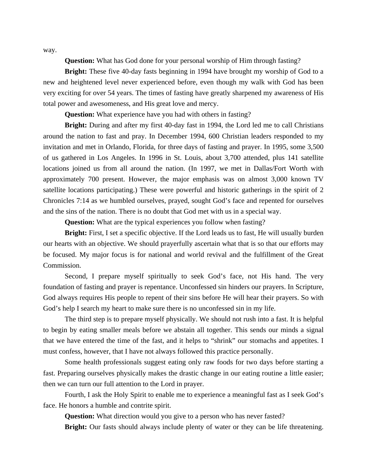way.

**Question:** What has God done for your personal worship of Him through fasting?

**Bright:** These five 40-day fasts beginning in 1994 have brought my worship of God to a new and heightened level never experienced before, even though my walk with God has been very exciting for over 54 years. The times of fasting have greatly sharpened my awareness of His total power and awesomeness, and His great love and mercy.

**Question:** What experience have you had with others in fasting?

**Bright:** During and after my first 40-day fast in 1994, the Lord led me to call Christians around the nation to fast and pray. In December 1994, 600 Christian leaders responded to my invitation and met in Orlando, Florida, for three days of fasting and prayer. In 1995, some 3,500 of us gathered in Los Angeles. In 1996 in St. Louis, about 3,700 attended, plus 141 satellite locations joined us from all around the nation. (In 1997, we met in Dallas/Fort Worth with approximately 700 present. However, the major emphasis was on almost 3,000 known TV satellite locations participating.) These were powerful and historic gatherings in the spirit of 2 Chronicles 7:14 as we humbled ourselves, prayed, sought God's face and repented for ourselves and the sins of the nation. There is no doubt that God met with us in a special way.

**Question:** What are the typical experiences you follow when fasting?

**Bright:** First, I set a specific objective. If the Lord leads us to fast, He will usually burden our hearts with an objective. We should prayerfully ascertain what that is so that our efforts may be focused. My major focus is for national and world revival and the fulfillment of the Great Commission.

Second, I prepare myself spiritually to seek God's face, not His hand. The very foundation of fasting and prayer is repentance. Unconfessed sin hinders our prayers. In Scripture, God always requires His people to repent of their sins before He will hear their prayers. So with God's help I search my heart to make sure there is no unconfessed sin in my life.

The third step is to prepare myself physically. We should not rush into a fast. It is helpful to begin by eating smaller meals before we abstain all together. This sends our minds a signal that we have entered the time of the fast, and it helps to "shrink" our stomachs and appetites. I must confess, however, that I have not always followed this practice personally.

Some health professionals suggest eating only raw foods for two days before starting a fast. Preparing ourselves physically makes the drastic change in our eating routine a little easier; then we can turn our full attention to the Lord in prayer.

Fourth, I ask the Holy Spirit to enable me to experience a meaningful fast as I seek God's face. He honors a humble and contrite spirit.

**Question:** What direction would you give to a person who has never fasted?

**Bright:** Our fasts should always include plenty of water or they can be life threatening.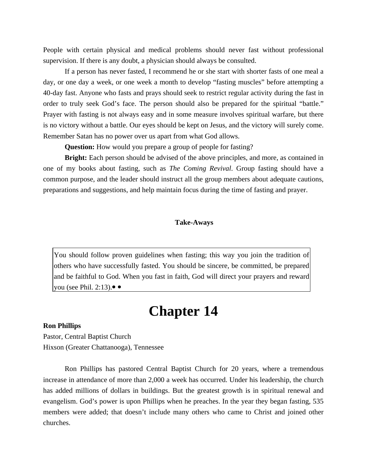People with certain physical and medical problems should never fast without professional supervision. If there is any doubt, a physician should always be consulted.

If a person has never fasted, I recommend he or she start with shorter fasts of one meal a day, or one day a week, or one week a month to develop "fasting muscles" before attempting a 40-day fast. Anyone who fasts and prays should seek to restrict regular activity during the fast in order to truly seek God's face. The person should also be prepared for the spiritual "battle." Prayer with fasting is not always easy and in some measure involves spiritual warfare, but there is no victory without a battle. Our eyes should be kept on Jesus, and the victory will surely come. Remember Satan has no power over us apart from what God allows.

**Question:** How would you prepare a group of people for fasting?

**Bright:** Each person should be advised of the above principles, and more, as contained in one of my books about fasting, such as *The Coming Revival*. Group fasting should have a common purpose, and the leader should instruct all the group members about adequate cautions, preparations and suggestions, and help maintain focus during the time of fasting and prayer.

#### **Take-Aways**

You should follow proven guidelines when fasting; this way you join the tradition of others who have successfully fasted. You should be sincere, be committed, be prepared and be faithful to God. When you fast in faith, God will direct your prayers and reward you (see Phil.  $2:13$ ).

### **Chapter 14**

### **Ron Phillips**

Pastor, Central Baptist Church Hixson (Greater Chattanooga), Tennessee

Ron Phillips has pastored Central Baptist Church for 20 years, where a tremendous increase in attendance of more than 2,000 a week has occurred. Under his leadership, the church has added millions of dollars in buildings. But the greatest growth is in spiritual renewal and evangelism. God's power is upon Phillips when he preaches. In the year they began fasting, 535 members were added; that doesn't include many others who came to Christ and joined other churches.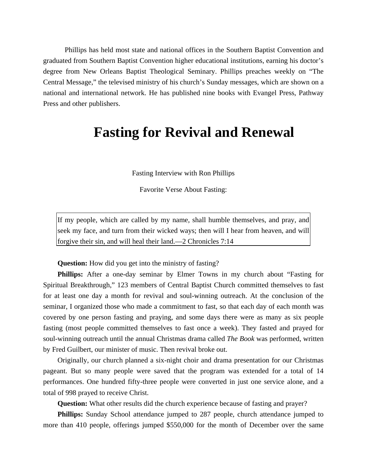Phillips has held most state and national offices in the Southern Baptist Convention and graduated from Southern Baptist Convention higher educational institutions, earning his doctor's degree from New Orleans Baptist Theological Seminary. Phillips preaches weekly on "The Central Message," the televised ministry of his church's Sunday messages, which are shown on a national and international network. He has published nine books with Evangel Press, Pathway Press and other publishers.

### **Fasting for Revival and Renewal**

Fasting Interview with Ron Phillips

Favorite Verse About Fasting:

If my people, which are called by my name, shall humble themselves, and pray, and seek my face, and turn from their wicked ways; then will I hear from heaven, and will forgive their sin, and will heal their land.—2 Chronicles 7:14

**Question:** How did you get into the ministry of fasting?

**Phillips:** After a one-day seminar by Elmer Towns in my church about "Fasting for Spiritual Breakthrough," 123 members of Central Baptist Church committed themselves to fast for at least one day a month for revival and soul-winning outreach. At the conclusion of the seminar, I organized those who made a commitment to fast, so that each day of each month was covered by one person fasting and praying, and some days there were as many as six people fasting (most people committed themselves to fast once a week). They fasted and prayed for soul-winning outreach until the annual Christmas drama called *The Book* was performed, written by Fred Guilbert, our minister of music. Then revival broke out.

Originally, our church planned a six-night choir and drama presentation for our Christmas pageant. But so many people were saved that the program was extended for a total of 14 performances. One hundred fifty-three people were converted in just one service alone, and a total of 998 prayed to receive Christ.

**Question:** What other results did the church experience because of fasting and prayer?

**Phillips:** Sunday School attendance jumped to 287 people, church attendance jumped to more than 410 people, offerings jumped \$550,000 for the month of December over the same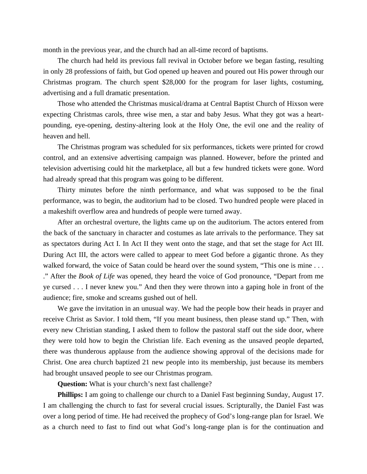month in the previous year, and the church had an all-time record of baptisms.

The church had held its previous fall revival in October before we began fasting, resulting in only 28 professions of faith, but God opened up heaven and poured out His power through our Christmas program. The church spent \$28,000 for the program for laser lights, costuming, advertising and a full dramatic presentation.

Those who attended the Christmas musical/drama at Central Baptist Church of Hixson were expecting Christmas carols, three wise men, a star and baby Jesus. What they got was a heartpounding, eye-opening, destiny-altering look at the Holy One, the evil one and the reality of heaven and hell.

The Christmas program was scheduled for six performances, tickets were printed for crowd control, and an extensive advertising campaign was planned. However, before the printed and television advertising could hit the marketplace, all but a few hundred tickets were gone. Word had already spread that this program was going to be different.

Thirty minutes before the ninth performance, and what was supposed to be the final performance, was to begin, the auditorium had to be closed. Two hundred people were placed in a makeshift overflow area and hundreds of people were turned away.

After an orchestral overture, the lights came up on the auditorium. The actors entered from the back of the sanctuary in character and costumes as late arrivals to the performance. They sat as spectators during Act I. In Act II they went onto the stage, and that set the stage for Act III. During Act III, the actors were called to appear to meet God before a gigantic throne. As they walked forward, the voice of Satan could be heard over the sound system, "This one is mine . . . ." After the *Book of Life* was opened, they heard the voice of God pronounce, "Depart from me ye cursed . . . I never knew you." And then they were thrown into a gaping hole in front of the audience; fire, smoke and screams gushed out of hell.

We gave the invitation in an unusual way. We had the people bow their heads in prayer and receive Christ as Savior. I told them, "If you meant business, then please stand up." Then, with every new Christian standing, I asked them to follow the pastoral staff out the side door, where they were told how to begin the Christian life. Each evening as the unsaved people departed, there was thunderous applause from the audience showing approval of the decisions made for Christ. One area church baptized 21 new people into its membership, just because its members had brought unsaved people to see our Christmas program.

**Question:** What is your church's next fast challenge?

**Phillips:** I am going to challenge our church to a Daniel Fast beginning Sunday, August 17. I am challenging the church to fast for several crucial issues. Scripturally, the Daniel Fast was over a long period of time. He had received the prophecy of God's long-range plan for Israel. We as a church need to fast to find out what God's long-range plan is for the continuation and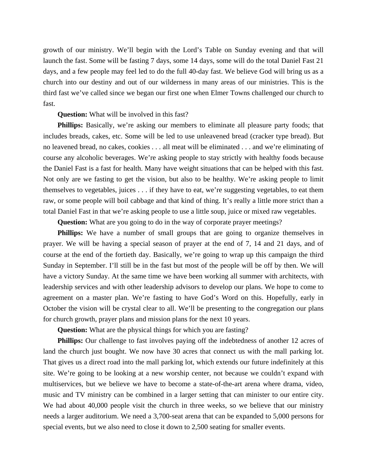growth of our ministry. We'll begin with the Lord's Table on Sunday evening and that will launch the fast. Some will be fasting 7 days, some 14 days, some will do the total Daniel Fast 21 days, and a few people may feel led to do the full 40-day fast. We believe God will bring us as a church into our destiny and out of our wilderness in many areas of our ministries. This is the third fast we've called since we began our first one when Elmer Towns challenged our church to fast.

#### **Question:** What will be involved in this fast?

**Phillips:** Basically, we're asking our members to eliminate all pleasure party foods; that includes breads, cakes, etc. Some will be led to use unleavened bread (cracker type bread). But no leavened bread, no cakes, cookies . . . all meat will be eliminated . . . and we're eliminating of course any alcoholic beverages. We're asking people to stay strictly with healthy foods because the Daniel Fast is a fast for health. Many have weight situations that can be helped with this fast. Not only are we fasting to get the vision, but also to be healthy. We're asking people to limit themselves to vegetables, juices . . . if they have to eat, we're suggesting vegetables, to eat them raw, or some people will boil cabbage and that kind of thing. It's really a little more strict than a total Daniel Fast in that we're asking people to use a little soup, juice or mixed raw vegetables.

**Question:** What are you going to do in the way of corporate prayer meetings?

**Phillips:** We have a number of small groups that are going to organize themselves in prayer. We will be having a special season of prayer at the end of 7, 14 and 21 days, and of course at the end of the fortieth day. Basically, we're going to wrap up this campaign the third Sunday in September. I'll still be in the fast but most of the people will be off by then. We will have a victory Sunday. At the same time we have been working all summer with architects, with leadership services and with other leadership advisors to develop our plans. We hope to come to agreement on a master plan. We're fasting to have God's Word on this. Hopefully, early in October the vision will be crystal clear to all. We'll be presenting to the congregation our plans for church growth, prayer plans and mission plans for the next 10 years.

**Question:** What are the physical things for which you are fasting?

**Phillips:** Our challenge to fast involves paying off the indebtedness of another 12 acres of land the church just bought. We now have 30 acres that connect us with the mall parking lot. That gives us a direct road into the mall parking lot, which extends our future indefinitely at this site. We're going to be looking at a new worship center, not because we couldn't expand with multiservices, but we believe we have to become a state-of-the-art arena where drama, video, music and TV ministry can be combined in a larger setting that can minister to our entire city. We had about 40,000 people visit the church in three weeks, so we believe that our ministry needs a larger auditorium. We need a 3,700-seat arena that can be expanded to 5,000 persons for special events, but we also need to close it down to 2,500 seating for smaller events.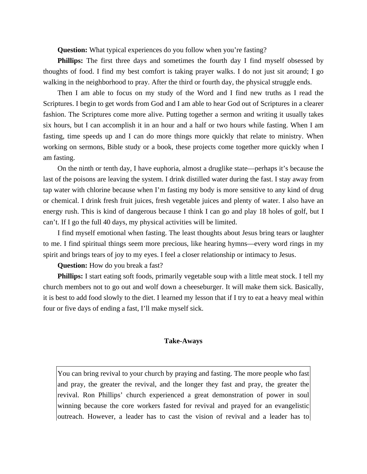**Question:** What typical experiences do you follow when you're fasting?

**Phillips:** The first three days and sometimes the fourth day I find myself obsessed by thoughts of food. I find my best comfort is taking prayer walks. I do not just sit around; I go walking in the neighborhood to pray. After the third or fourth day, the physical struggle ends.

Then I am able to focus on my study of the Word and I find new truths as I read the Scriptures. I begin to get words from God and I am able to hear God out of Scriptures in a clearer fashion. The Scriptures come more alive. Putting together a sermon and writing it usually takes six hours, but I can accomplish it in an hour and a half or two hours while fasting. When I am fasting, time speeds up and I can do more things more quickly that relate to ministry. When working on sermons, Bible study or a book, these projects come together more quickly when I am fasting.

On the ninth or tenth day, I have euphoria, almost a druglike state—perhaps it's because the last of the poisons are leaving the system. I drink distilled water during the fast. I stay away from tap water with chlorine because when I'm fasting my body is more sensitive to any kind of drug or chemical. I drink fresh fruit juices, fresh vegetable juices and plenty of water. I also have an energy rush. This is kind of dangerous because I think I can go and play 18 holes of golf, but I can't. If I go the full 40 days, my physical activities will be limited.

I find myself emotional when fasting. The least thoughts about Jesus bring tears or laughter to me. I find spiritual things seem more precious, like hearing hymns—every word rings in my spirit and brings tears of joy to my eyes. I feel a closer relationship or intimacy to Jesus.

**Question:** How do you break a fast?

**Phillips:** I start eating soft foods, primarily vegetable soup with a little meat stock. I tell my church members not to go out and wolf down a cheeseburger. It will make them sick. Basically, it is best to add food slowly to the diet. I learned my lesson that if I try to eat a heavy meal within four or five days of ending a fast, I'll make myself sick.

#### **Take-Aways**

You can bring revival to your church by praying and fasting. The more people who fast and pray, the greater the revival, and the longer they fast and pray, the greater the revival. Ron Phillips' church experienced a great demonstration of power in soul winning because the core workers fasted for revival and prayed for an evangelistic outreach. However, a leader has to cast the vision of revival and a leader has to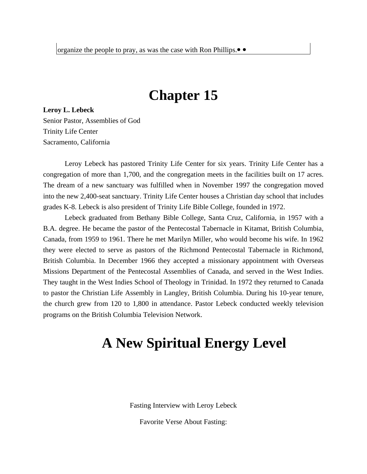## **Chapter 15**

**Leroy L. Lebeck** Senior Pastor, Assemblies of God Trinity Life Center Sacramento, California

Leroy Lebeck has pastored Trinity Life Center for six years. Trinity Life Center has a congregation of more than 1,700, and the congregation meets in the facilities built on 17 acres. The dream of a new sanctuary was fulfilled when in November 1997 the congregation moved into the new 2,400-seat sanctuary. Trinity Life Center houses a Christian day school that includes grades K-8. Lebeck is also president of Trinity Life Bible College, founded in 1972.

Lebeck graduated from Bethany Bible College, Santa Cruz, California, in 1957 with a B.A. degree. He became the pastor of the Pentecostal Tabernacle in Kitamat, British Columbia, Canada, from 1959 to 1961. There he met Marilyn Miller, who would become his wife. In 1962 they were elected to serve as pastors of the Richmond Pentecostal Tabernacle in Richmond, British Columbia. In December 1966 they accepted a missionary appointment with Overseas Missions Department of the Pentecostal Assemblies of Canada, and served in the West Indies. They taught in the West Indies School of Theology in Trinidad. In 1972 they returned to Canada to pastor the Christian Life Assembly in Langley, British Columbia. During his 10-year tenure, the church grew from 120 to 1,800 in attendance. Pastor Lebeck conducted weekly television programs on the British Columbia Television Network.

# **A New Spiritual Energy Level**

Fasting Interview with Leroy Lebeck

Favorite Verse About Fasting: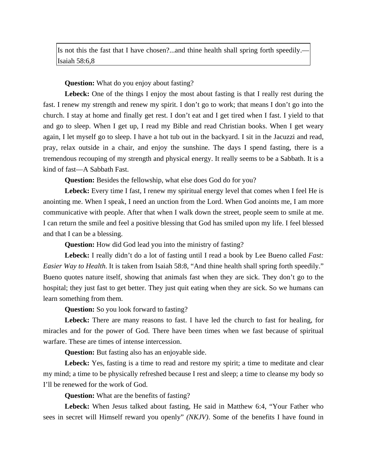Is not this the fast that I have chosen?...and thine health shall spring forth speedily.— Isaiah 58:6,8

### **Question:** What do you enjoy about fasting?

Lebeck: One of the things I enjoy the most about fasting is that I really rest during the fast. I renew my strength and renew my spirit. I don't go to work; that means I don't go into the church. I stay at home and finally get rest. I don't eat and I get tired when I fast. I yield to that and go to sleep. When I get up, I read my Bible and read Christian books. When I get weary again, I let myself go to sleep. I have a hot tub out in the backyard. I sit in the Jacuzzi and read, pray, relax outside in a chair, and enjoy the sunshine. The days I spend fasting, there is a tremendous recouping of my strength and physical energy. It really seems to be a Sabbath. It is a kind of fast—A Sabbath Fast.

**Question:** Besides the fellowship, what else does God do for you?

Lebeck: Every time I fast, I renew my spiritual energy level that comes when I feel He is anointing me. When I speak, I need an unction from the Lord. When God anoints me, I am more communicative with people. After that when I walk down the street, people seem to smile at me. I can return the smile and feel a positive blessing that God has smiled upon my life. I feel blessed and that I can be a blessing.

**Question:** How did God lead you into the ministry of fasting?

**Lebeck:** I really didn't do a lot of fasting until I read a book by Lee Bueno called *Fast: Easier Way to Health*. It is taken from Isaiah 58:8, "And thine health shall spring forth speedily." Bueno quotes nature itself, showing that animals fast when they are sick. They don't go to the hospital; they just fast to get better. They just quit eating when they are sick. So we humans can learn something from them.

**Question:** So you look forward to fasting?

**Lebeck:** There are many reasons to fast. I have led the church to fast for healing, for miracles and for the power of God. There have been times when we fast because of spiritual warfare. These are times of intense intercession.

**Question:** But fasting also has an enjoyable side.

Lebeck: Yes, fasting is a time to read and restore my spirit; a time to meditate and clear my mind; a time to be physically refreshed because I rest and sleep; a time to cleanse my body so I'll be renewed for the work of God.

**Question:** What are the benefits of fasting?

**Lebeck:** When Jesus talked about fasting, He said in Matthew 6:4, "Your Father who sees in secret will Himself reward you openly" *(NKJV)*. Some of the benefits I have found in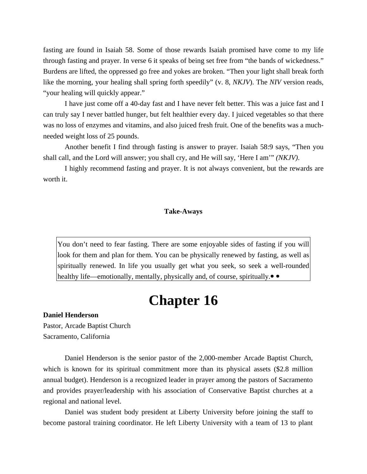fasting are found in Isaiah 58. Some of those rewards Isaiah promised have come to my life through fasting and prayer. In verse 6 it speaks of being set free from "the bands of wickedness." Burdens are lifted, the oppressed go free and yokes are broken. "Then your light shall break forth like the morning, your healing shall spring forth speedily" (v. 8, *NKJV*). The *NIV* version reads, "your healing will quickly appear."

I have just come off a 40-day fast and I have never felt better. This was a juice fast and I can truly say I never battled hunger, but felt healthier every day. I juiced vegetables so that there was no loss of enzymes and vitamins, and also juiced fresh fruit. One of the benefits was a muchneeded weight loss of 25 pounds.

Another benefit I find through fasting is answer to prayer. Isaiah 58:9 says, "Then you shall call, and the Lord will answer; you shall cry, and He will say, 'Here I am'" *(NKJV)*.

I highly recommend fasting and prayer. It is not always convenient, but the rewards are worth it.

### **Take-Aways**

You don't need to fear fasting. There are some enjoyable sides of fasting if you will look for them and plan for them. You can be physically renewed by fasting, as well as spiritually renewed. In life you usually get what you seek, so seek a well-rounded healthy life—emotionally, mentally, physically and, of course, spiritually.  $\bullet$ 

## **Chapter 16**

**Daniel Henderson**

Pastor, Arcade Baptist Church Sacramento, California

Daniel Henderson is the senior pastor of the 2,000-member Arcade Baptist Church, which is known for its spiritual commitment more than its physical assets  $(\$2.8$  million annual budget). Henderson is a recognized leader in prayer among the pastors of Sacramento and provides prayer/leadership with his association of Conservative Baptist churches at a regional and national level.

Daniel was student body president at Liberty University before joining the staff to become pastoral training coordinator. He left Liberty University with a team of 13 to plant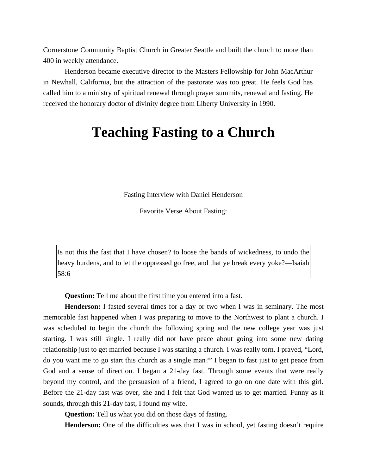Cornerstone Community Baptist Church in Greater Seattle and built the church to more than 400 in weekly attendance.

Henderson became executive director to the Masters Fellowship for John MacArthur in Newhall, California, but the attraction of the pastorate was too great. He feels God has called him to a ministry of spiritual renewal through prayer summits, renewal and fasting. He received the honorary doctor of divinity degree from Liberty University in 1990.

## **Teaching Fasting to a Church**

Fasting Interview with Daniel Henderson

Favorite Verse About Fasting:

Is not this the fast that I have chosen? to loose the bands of wickedness, to undo the heavy burdens, and to let the oppressed go free, and that ye break every yoke?—Isaiah 58:6

**Question:** Tell me about the first time you entered into a fast.

**Henderson:** I fasted several times for a day or two when I was in seminary. The most memorable fast happened when I was preparing to move to the Northwest to plant a church. I was scheduled to begin the church the following spring and the new college year was just starting. I was still single. I really did not have peace about going into some new dating relationship just to get married because I was starting a church. I was really torn. I prayed, "Lord, do you want me to go start this church as a single man?" I began to fast just to get peace from God and a sense of direction. I began a 21-day fast. Through some events that were really beyond my control, and the persuasion of a friend, I agreed to go on one date with this girl. Before the 21-day fast was over, she and I felt that God wanted us to get married. Funny as it sounds, through this 21-day fast, I found my wife.

**Question:** Tell us what you did on those days of fasting.

**Henderson:** One of the difficulties was that I was in school, yet fasting doesn't require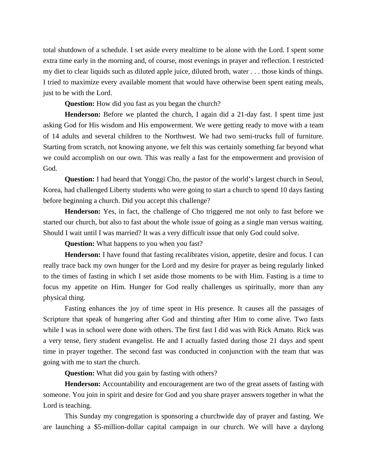total shutdown of a schedule. I set aside every mealtime to be alone with the Lord. I spent some extra time early in the morning and, of course, most evenings in prayer and reflection. I restricted my diet to clear liquids such as diluted apple juice, diluted broth, water . . . those kinds of things. I tried to maximize every available moment that would have otherwise been spent eating meals, just to be with the Lord.

**Question:** How did you fast as you began the church?

**Henderson:** Before we planted the church, I again did a 21-day fast. I spent time just asking God for His wisdom and His empowerment. We were getting ready to move with a team of 14 adults and several children to the Northwest. We had two semi-trucks full of furniture. Starting from scratch, not knowing anyone, we felt this was certainly something far beyond what we could accomplish on our own. This was really a fast for the empowerment and provision of God.

**Question:** I had heard that Yonggi Cho, the pastor of the world's largest church in Seoul, Korea, had challenged Liberty students who were going to start a church to spend 10 days fasting before beginning a church. Did you accept this challenge?

**Henderson:** Yes, in fact, the challenge of Cho triggered me not only to fast before we started our church, but also to fast about the whole issue of going as a single man versus waiting. Should I wait until I was married? It was a very difficult issue that only God could solve.

**Question:** What happens to you when you fast?

**Henderson:** I have found that fasting recalibrates vision, appetite, desire and focus. I can really trace back my own hunger for the Lord and my desire for prayer as being regularly linked to the times of fasting in which I set aside those moments to be with Him. Fasting is a time to focus my appetite on Him. Hunger for God really challenges us spiritually, more than any physical thing.

Fasting enhances the joy of time spent in His presence. It causes all the passages of Scripture that speak of hungering after God and thirsting after Him to come alive. Two fasts while I was in school were done with others. The first fast I did was with Rick Amato. Rick was a very tense, fiery student evangelist. He and I actually fasted during those 21 days and spent time in prayer together. The second fast was conducted in conjunction with the team that was going with me to start the church.

**Question:** What did you gain by fasting with others?

**Henderson:** Accountability and encouragement are two of the great assets of fasting with someone. You join in spirit and desire for God and you share prayer answers together in what the Lord is teaching.

This Sunday my congregation is sponsoring a churchwide day of prayer and fasting. We are launching a \$5-million-dollar capital campaign in our church. We will have a daylong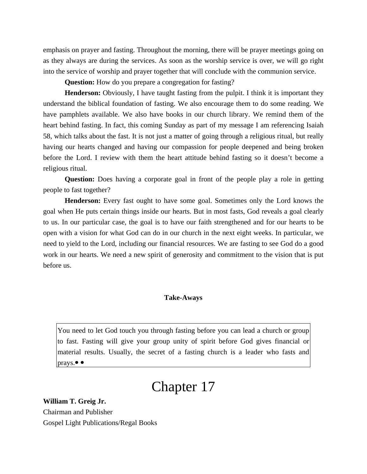emphasis on prayer and fasting. Throughout the morning, there will be prayer meetings going on as they always are during the services. As soon as the worship service is over, we will go right into the service of worship and prayer together that will conclude with the communion service.

**Question:** How do you prepare a congregation for fasting?

**Henderson:** Obviously, I have taught fasting from the pulpit. I think it is important they understand the biblical foundation of fasting. We also encourage them to do some reading. We have pamphlets available. We also have books in our church library. We remind them of the heart behind fasting. In fact, this coming Sunday as part of my message I am referencing Isaiah 58, which talks about the fast. It is not just a matter of going through a religious ritual, but really having our hearts changed and having our compassion for people deepened and being broken before the Lord. I review with them the heart attitude behind fasting so it doesn't become a religious ritual.

**Question:** Does having a corporate goal in front of the people play a role in getting people to fast together?

**Henderson:** Every fast ought to have some goal. Sometimes only the Lord knows the goal when He puts certain things inside our hearts. But in most fasts, God reveals a goal clearly to us. In our particular case, the goal is to have our faith strengthened and for our hearts to be open with a vision for what God can do in our church in the next eight weeks. In particular, we need to yield to the Lord, including our financial resources. We are fasting to see God do a good work in our hearts. We need a new spirit of generosity and commitment to the vision that is put before us.

### **Take-Aways**

You need to let God touch you through fasting before you can lead a church or group to fast. Fasting will give your group unity of spirit before God gives financial or material results. Usually, the secret of a fasting church is a leader who fasts and prays.<sup>••</sup>

# Chapter 17

**William T. Greig Jr.** Chairman and Publisher Gospel Light Publications/Regal Books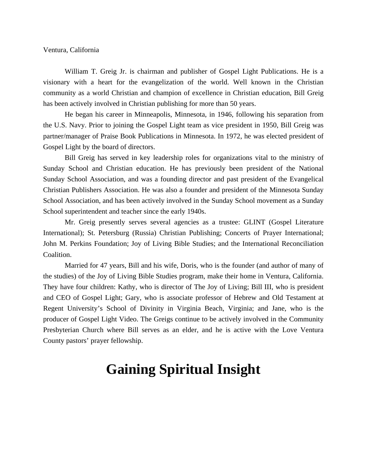### Ventura, California

William T. Greig Jr. is chairman and publisher of Gospel Light Publications. He is a visionary with a heart for the evangelization of the world. Well known in the Christian community as a world Christian and champion of excellence in Christian education, Bill Greig has been actively involved in Christian publishing for more than 50 years.

He began his career in Minneapolis, Minnesota, in 1946, following his separation from the U.S. Navy. Prior to joining the Gospel Light team as vice president in 1950, Bill Greig was partner/manager of Praise Book Publications in Minnesota. In 1972, he was elected president of Gospel Light by the board of directors.

Bill Greig has served in key leadership roles for organizations vital to the ministry of Sunday School and Christian education. He has previously been president of the National Sunday School Association, and was a founding director and past president of the Evangelical Christian Publishers Association. He was also a founder and president of the Minnesota Sunday School Association, and has been actively involved in the Sunday School movement as a Sunday School superintendent and teacher since the early 1940s.

Mr. Greig presently serves several agencies as a trustee: GLINT (Gospel Literature International); St. Petersburg (Russia) Christian Publishing; Concerts of Prayer International; John M. Perkins Foundation; Joy of Living Bible Studies; and the International Reconciliation Coalition.

Married for 47 years, Bill and his wife, Doris, who is the founder (and author of many of the studies) of the Joy of Living Bible Studies program, make their home in Ventura, California. They have four children: Kathy, who is director of The Joy of Living; Bill III, who is president and CEO of Gospel Light; Gary, who is associate professor of Hebrew and Old Testament at Regent University's School of Divinity in Virginia Beach, Virginia; and Jane, who is the producer of Gospel Light Video. The Greigs continue to be actively involved in the Community Presbyterian Church where Bill serves as an elder, and he is active with the Love Ventura County pastors' prayer fellowship.

## **Gaining Spiritual Insight**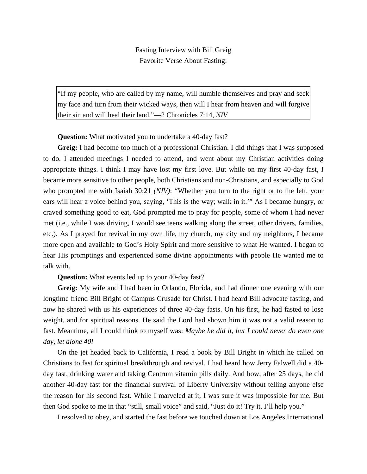### Fasting Interview with Bill Greig Favorite Verse About Fasting:

"If my people, who are called by my name, will humble themselves and pray and seek my face and turn from their wicked ways, then will I hear from heaven and will forgive their sin and will heal their land."—2 Chronicles 7:14, *NIV*

**Question:** What motivated you to undertake a 40-day fast?

**Greig:** I had become too much of a professional Christian. I did things that I was supposed to do. I attended meetings I needed to attend, and went about my Christian activities doing appropriate things. I think I may have lost my first love. But while on my first 40-day fast, I became more sensitive to other people, both Christians and non-Christians, and especially to God who prompted me with Isaiah 30:21 *(NIV)*: "Whether you turn to the right or to the left, your ears will hear a voice behind you, saying, 'This is the way; walk in it.'" As I became hungry, or craved something good to eat, God prompted me to pray for people, some of whom I had never met (i.e., while I was driving, I would see teens walking along the street, other drivers, families, etc.). As I prayed for revival in my own life, my church, my city and my neighbors, I became more open and available to God's Holy Spirit and more sensitive to what He wanted. I began to hear His promptings and experienced some divine appointments with people He wanted me to talk with.

**Question:** What events led up to your 40-day fast?

**Greig:** My wife and I had been in Orlando, Florida, and had dinner one evening with our longtime friend Bill Bright of Campus Crusade for Christ. I had heard Bill advocate fasting, and now he shared with us his experiences of three 40-day fasts. On his first, he had fasted to lose weight, and for spiritual reasons. He said the Lord had shown him it was not a valid reason to fast. Meantime, all I could think to myself was: *Maybe he did it, but I could never do even one day, let alone 40!*

On the jet headed back to California, I read a book by Bill Bright in which he called on Christians to fast for spiritual breakthrough and revival. I had heard how Jerry Falwell did a 40 day fast, drinking water and taking Centrum vitamin pills daily. And how, after 25 days, he did another 40-day fast for the financial survival of Liberty University without telling anyone else the reason for his second fast. While I marveled at it, I was sure it was impossible for me. But then God spoke to me in that "still, small voice" and said, "Just do it! Try it. I'll help you."

I resolved to obey, and started the fast before we touched down at Los Angeles International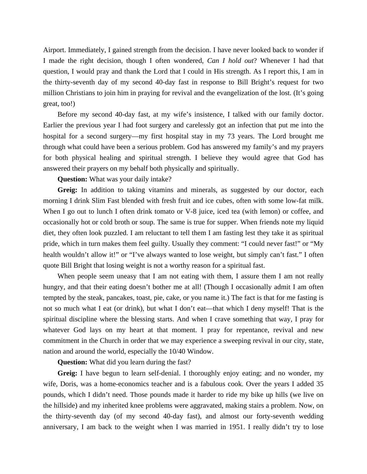Airport. Immediately, I gained strength from the decision. I have never looked back to wonder if I made the right decision, though I often wondered, *Can I hold out*? Whenever I had that question, I would pray and thank the Lord that I could in His strength. As I report this, I am in the thirty-seventh day of my second 40-day fast in response to Bill Bright's request for two million Christians to join him in praying for revival and the evangelization of the lost. (It's going great, too!)

Before my second 40-day fast, at my wife's insistence, I talked with our family doctor. Earlier the previous year I had foot surgery and carelessly got an infection that put me into the hospital for a second surgery—my first hospital stay in my 73 years. The Lord brought me through what could have been a serious problem. God has answered my family's and my prayers for both physical healing and spiritual strength. I believe they would agree that God has answered their prayers on my behalf both physically and spiritually.

**Question:** What was your daily intake?

**Greig:** In addition to taking vitamins and minerals, as suggested by our doctor, each morning I drink Slim Fast blended with fresh fruit and ice cubes, often with some low-fat milk. When I go out to lunch I often drink tomato or V-8 juice, iced tea (with lemon) or coffee, and occasionally hot or cold broth or soup. The same is true for supper. When friends note my liquid diet, they often look puzzled. I am reluctant to tell them I am fasting lest they take it as spiritual pride, which in turn makes them feel guilty. Usually they comment: "I could never fast!" or "My health wouldn't allow it!" or "I've always wanted to lose weight, but simply can't fast." I often quote Bill Bright that losing weight is not a worthy reason for a spiritual fast.

When people seem uneasy that I am not eating with them, I assure them I am not really hungry, and that their eating doesn't bother me at all! (Though I occasionally admit I am often tempted by the steak, pancakes, toast, pie, cake, or you name it.) The fact is that for me fasting is not so much what I eat (or drink), but what I don't eat—that which I deny myself! That is the spiritual discipline where the blessing starts. And when I crave something that way, I pray for whatever God lays on my heart at that moment. I pray for repentance, revival and new commitment in the Church in order that we may experience a sweeping revival in our city, state, nation and around the world, especially the 10/40 Window.

**Question:** What did you learn during the fast?

**Greig:** I have begun to learn self-denial. I thoroughly enjoy eating; and no wonder, my wife, Doris, was a home-economics teacher and is a fabulous cook. Over the years I added 35 pounds, which I didn't need. Those pounds made it harder to ride my bike up hills (we live on the hillside) and my inherited knee problems were aggravated, making stairs a problem. Now, on the thirty-seventh day (of my second 40-day fast), and almost our forty-seventh wedding anniversary, I am back to the weight when I was married in 1951. I really didn't try to lose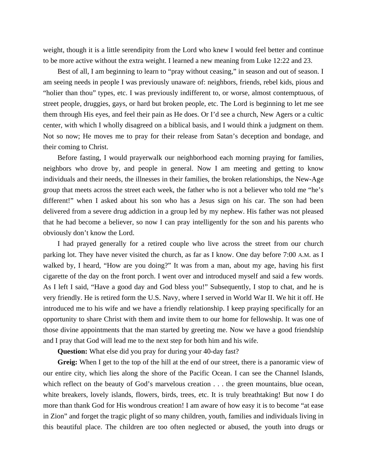weight, though it is a little serendipity from the Lord who knew I would feel better and continue to be more active without the extra weight. I learned a new meaning from Luke 12:22 and 23.

Best of all, I am beginning to learn to "pray without ceasing," in season and out of season. I am seeing needs in people I was previously unaware of: neighbors, friends, rebel kids, pious and "holier than thou" types, etc. I was previously indifferent to, or worse, almost contemptuous, of street people, druggies, gays, or hard but broken people, etc. The Lord is beginning to let me see them through His eyes, and feel their pain as He does. Or I'd see a church, New Agers or a cultic center, with which I wholly disagreed on a biblical basis, and I would think a judgment on them. Not so now; He moves me to pray for their release from Satan's deception and bondage, and their coming to Christ.

Before fasting, I would prayerwalk our neighborhood each morning praying for families, neighbors who drove by, and people in general. Now I am meeting and getting to know individuals and their needs, the illnesses in their families, the broken relationships, the New-Age group that meets across the street each week, the father who is not a believer who told me "he's different!" when I asked about his son who has a Jesus sign on his car. The son had been delivered from a severe drug addiction in a group led by my nephew. His father was not pleased that he had become a believer, so now I can pray intelligently for the son and his parents who obviously don't know the Lord.

I had prayed generally for a retired couple who live across the street from our church parking lot. They have never visited the church, as far as I know. One day before 7:00 A.M. as I walked by, I heard, "How are you doing?" It was from a man, about my age, having his first cigarette of the day on the front porch. I went over and introduced myself and said a few words. As I left I said, "Have a good day and God bless you!" Subsequently, I stop to chat, and he is very friendly. He is retired form the U.S. Navy, where I served in World War II. We hit it off. He introduced me to his wife and we have a friendly relationship. I keep praying specifically for an opportunity to share Christ with them and invite them to our home for fellowship. It was one of those divine appointments that the man started by greeting me. Now we have a good friendship and I pray that God will lead me to the next step for both him and his wife.

**Question:** What else did you pray for during your 40-day fast?

**Greig:** When I get to the top of the hill at the end of our street, there is a panoramic view of our entire city, which lies along the shore of the Pacific Ocean. I can see the Channel Islands, which reflect on the beauty of God's marvelous creation . . . the green mountains, blue ocean, white breakers, lovely islands, flowers, birds, trees, etc. It is truly breathtaking! But now I do more than thank God for His wondrous creation! I am aware of how easy it is to become "at ease in Zion" and forget the tragic plight of so many children, youth, families and individuals living in this beautiful place. The children are too often neglected or abused, the youth into drugs or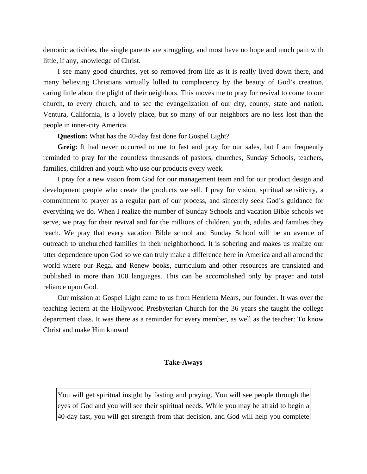demonic activities, the single parents are struggling, and most have no hope and much pain with little, if any, knowledge of Christ.

I see many good churches, yet so removed from life as it is really lived down there, and many believing Christians virtually lulled to complacency by the beauty of God's creation, caring little about the plight of their neighbors. This moves me to pray for revival to come to our church, to every church, and to see the evangelization of our city, county, state and nation. Ventura, California, is a lovely place, but so many of our neighbors are no less lost than the people in inner-city America.

**Question:** What has the 40-day fast done for Gospel Light?

**Greig:** It had never occurred to me to fast and pray for our sales, but I am frequently reminded to pray for the countless thousands of pastors, churches, Sunday Schools, teachers, families, children and youth who use our products every week.

I pray for a new vision from God for our management team and for our product design and development people who create the products we sell. I pray for vision, spiritual sensitivity, a commitment to prayer as a regular part of our process, and sincerely seek God's guidance for everything we do. When I realize the number of Sunday Schools and vacation Bible schools we serve, we pray for their revival and for the millions of children, youth, adults and families they reach. We pray that every vacation Bible school and Sunday School will be an avenue of outreach to unchurched families in their neighborhood. It is sobering and makes us realize our utter dependence upon God so we can truly make a difference here in America and all around the world where our Regal and Renew books, curriculum and other resources are translated and published in more than 100 languages. This can be accomplished only by prayer and total reliance upon God.

Our mission at Gospel Light came to us from Henrietta Mears, our founder. It was over the teaching lectern at the Hollywood Presbyterian Church for the 36 years she taught the college department class. It was there as a reminder for every member, as well as the teacher: To know Christ and make Him known!

### **Take-Aways**

You will get spiritual insight by fasting and praying. You will see people through the eyes of God and you will see their spiritual needs. While you may be afraid to begin a 40-day fast, you will get strength from that decision, and God will help you complete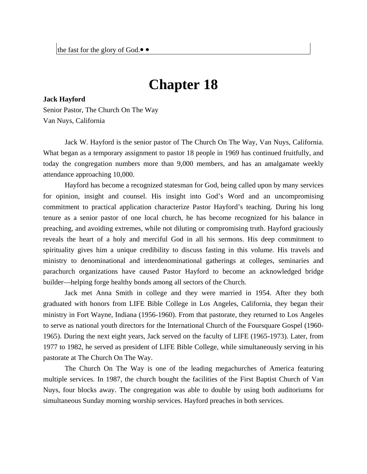### **Chapter 18**

#### **Jack Hayford**

Senior Pastor, The Church On The Way Van Nuys, California

Jack W. Hayford is the senior pastor of The Church On The Way, Van Nuys, California. What began as a temporary assignment to pastor 18 people in 1969 has continued fruitfully, and today the congregation numbers more than 9,000 members, and has an amalgamate weekly attendance approaching 10,000.

Hayford has become a recognized statesman for God, being called upon by many services for opinion, insight and counsel. His insight into God's Word and an uncompromising commitment to practical application characterize Pastor Hayford's teaching. During his long tenure as a senior pastor of one local church, he has become recognized for his balance in preaching, and avoiding extremes, while not diluting or compromising truth. Hayford graciously reveals the heart of a holy and merciful God in all his sermons. His deep commitment to spirituality gives him a unique credibility to discuss fasting in this volume. His travels and ministry to denominational and interdenominational gatherings at colleges, seminaries and parachurch organizations have caused Pastor Hayford to become an acknowledged bridge builder—helping forge healthy bonds among all sectors of the Church.

Jack met Anna Smith in college and they were married in 1954. After they both graduated with honors from LIFE Bible College in Los Angeles, California, they began their ministry in Fort Wayne, Indiana (1956-1960). From that pastorate, they returned to Los Angeles to serve as national youth directors for the International Church of the Foursquare Gospel (1960- 1965). During the next eight years, Jack served on the faculty of LIFE (1965-1973). Later, from 1977 to 1982, he served as president of LIFE Bible College, while simultaneously serving in his pastorate at The Church On The Way.

The Church On The Way is one of the leading megachurches of America featuring multiple services. In 1987, the church bought the facilities of the First Baptist Church of Van Nuys, four blocks away. The congregation was able to double by using both auditoriums for simultaneous Sunday morning worship services. Hayford preaches in both services.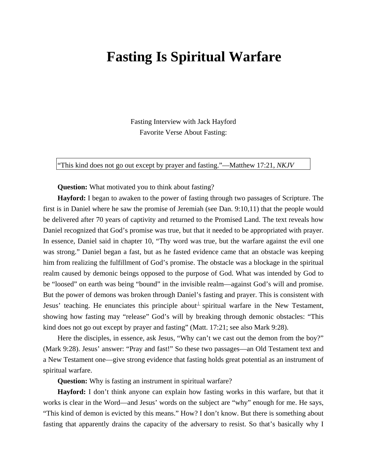### **Fasting Is Spiritual Warfare**

Fasting Interview with Jack Hayford Favorite Verse About Fasting:

"This kind does not go out except by prayer and fasting."—Matthew 17:21, *NKJV*

**Question:** What motivated you to think about fasting?

**Hayford:** I began to awaken to the power of fasting through two passages of Scripture. The first is in Daniel where he saw the promise of Jeremiah (see Dan. 9:10,11) that the people would be delivered after 70 years of captivity and returned to the Promised Land. The text reveals how Daniel recognized that God's promise was true, but that it needed to be appropriated with prayer. In essence, Daniel said in chapter 10, "Thy word was true, but the warfare against the evil one was strong." Daniel began a fast, but as he fasted evidence came that an obstacle was keeping him from realizing the fulfillment of God's promise. The obstacle was a blockage in the spiritual realm caused by demonic beings opposed to the purpose of God. What was intended by God to be "loosed" on earth was being "bound" in the invisible realm—against God's will and promise. But the power of demons was broken through Daniel's fasting and prayer. This is consistent with Jesus' teaching. He enunciates this principle about  $\pm$  spiritual warfare in the New Testament, showing how fasting may "release" God's will by breaking through demonic obstacles: "This kind does not go out except by prayer and fasting" (Matt. 17:21; see also Mark 9:28).

Here the disciples, in essence, ask Jesus, "Why can't we cast out the demon from the boy?" (Mark 9:28). Jesus' answer: "Pray and fast!" So these two passages—an Old Testament text and a New Testament one—give strong evidence that fasting holds great potential as an instrument of spiritual warfare.

**Question:** Why is fasting an instrument in spiritual warfare?

**Hayford:** I don't think anyone can explain how fasting works in this warfare, but that it works is clear in the Word—and Jesus' words on the subject are "why" enough for me. He says, "This kind of demon is evicted by this means." How? I don't know. But there is something about fasting that apparently drains the capacity of the adversary to resist. So that's basically why I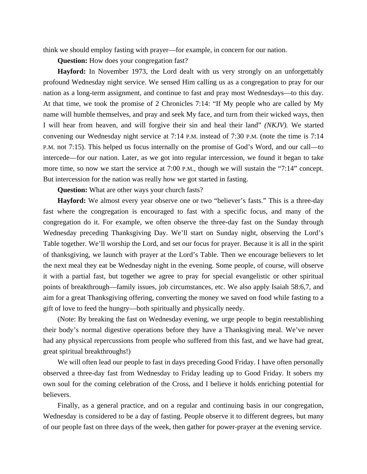think we should employ fasting with prayer—for example, in concern for our nation.

**Question:** How does your congregation fast?

**Hayford:** In November 1973, the Lord dealt with us very strongly on an unforgettably profound Wednesday night service. We sensed Him calling us as a congregation to pray for our nation as a long-term assignment, and continue to fast and pray most Wednesdays—to this day. At that time, we took the promise of 2 Chronicles 7:14: "If My people who are called by My name will humble themselves, and pray and seek My face, and turn from their wicked ways, then I will hear from heaven, and will forgive their sin and heal their land" *(NKJV).* We started convening our Wednesday night service at 7:14 P.M. instead of 7:30 P.M. (note the time is 7:14 P.M. not 7:15). This helped us focus internally on the promise of God's Word, and our call—to intercede—for our nation. Later, as we got into regular intercession, we found it began to take more time, so now we start the service at 7:00 P.M., though we will sustain the "7:14" concept. But intercession for the nation was really how we got started in fasting.

**Question:** What are other ways your church fasts?

**Hayford:** We almost every year observe one or two "believer's fasts." This is a three-day fast where the congregation is encouraged to fast with a specific focus, and many of the congregation do it. For example, we often observe the three-day fast on the Sunday through Wednesday preceding Thanksgiving Day. We'll start on Sunday night, observing the Lord's Table together. We'll worship the Lord, and set our focus for prayer. Because it is all in the spirit of thanksgiving, we launch with prayer at the Lord's Table. Then we encourage believers to let the next meal they eat be Wednesday night in the evening. Some people, of course, will observe it with a partial fast, but together we agree to pray for special evangelistic or other spiritual points of breakthrough—family issues, job circumstances, etc. We also apply Isaiah 58:6,7, and aim for a great Thanksgiving offering, converting the money we saved on food while fasting to a gift of love to feed the hungry—both spiritually and physically needy.

(Note: By breaking the fast on Wednesday evening, we urge people to begin reestablishing their body's normal digestive operations before they have a Thanksgiving meal. We've never had any physical repercussions from people who suffered from this fast, and we have had great, great spiritual breakthroughs!)

We will often lead our people to fast in days preceding Good Friday. I have often personally observed a three-day fast from Wednesday to Friday leading up to Good Friday. It sobers my own soul for the coming celebration of the Cross, and I believe it holds enriching potential for believers.

Finally, as a general practice, and on a regular and continuing basis in our congregation, Wednesday is considered to be a day of fasting. People observe it to different degrees, but many of our people fast on three days of the week, then gather for power-prayer at the evening service.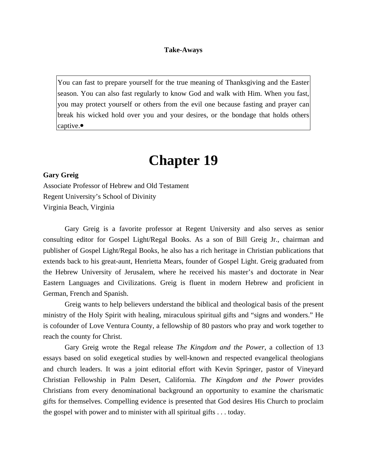#### **Take-Aways**

You can fast to prepare yourself for the true meaning of Thanksgiving and the Easter season. You can also fast regularly to know God and walk with Him. When you fast, you may protect yourself or others from the evil one because fasting and prayer can break his wicked hold over you and your desires, or the bondage that holds others captive.

### **Chapter 19**

#### **Gary Greig**

Associate Professor of Hebrew and Old Testament Regent University's School of Divinity Virginia Beach, Virginia

Gary Greig is a favorite professor at Regent University and also serves as senior consulting editor for Gospel Light/Regal Books. As a son of Bill Greig Jr., chairman and publisher of Gospel Light/Regal Books, he also has a rich heritage in Christian publications that extends back to his great-aunt, Henrietta Mears, founder of Gospel Light. Greig graduated from the Hebrew University of Jerusalem, where he received his master's and doctorate in Near Eastern Languages and Civilizations. Greig is fluent in modern Hebrew and proficient in German, French and Spanish.

Greig wants to help believers understand the biblical and theological basis of the present ministry of the Holy Spirit with healing, miraculous spiritual gifts and "signs and wonders." He is cofounder of Love Ventura County, a fellowship of 80 pastors who pray and work together to reach the county for Christ.

Gary Greig wrote the Regal release *The Kingdom and the Power*, a collection of 13 essays based on solid exegetical studies by well-known and respected evangelical theologians and church leaders. It was a joint editorial effort with Kevin Springer, pastor of Vineyard Christian Fellowship in Palm Desert, California. *The Kingdom and the Power* provides Christians from every denominational background an opportunity to examine the charismatic gifts for themselves. Compelling evidence is presented that God desires His Church to proclaim the gospel with power and to minister with all spiritual gifts . . . today.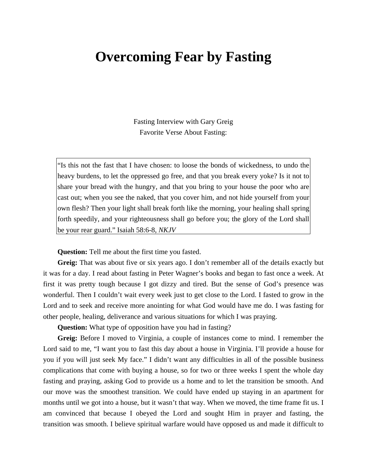### **Overcoming Fear by Fasting**

Fasting Interview with Gary Greig Favorite Verse About Fasting:

"Is this not the fast that I have chosen: to loose the bonds of wickedness, to undo the heavy burdens, to let the oppressed go free, and that you break every yoke? Is it not to share your bread with the hungry, and that you bring to your house the poor who are cast out; when you see the naked, that you cover him, and not hide yourself from your own flesh? Then your light shall break forth like the morning, your healing shall spring forth speedily, and your righteousness shall go before you; the glory of the Lord shall be your rear guard." Isaiah 58:6-8, *NKJV*

**Question:** Tell me about the first time you fasted.

**Greig:** That was about five or six years ago. I don't remember all of the details exactly but it was for a day. I read about fasting in Peter Wagner's books and began to fast once a week. At first it was pretty tough because I got dizzy and tired. But the sense of God's presence was wonderful. Then I couldn't wait every week just to get close to the Lord. I fasted to grow in the Lord and to seek and receive more anointing for what God would have me do. I was fasting for other people, healing, deliverance and various situations for which I was praying.

**Question:** What type of opposition have you had in fasting?

**Greig:** Before I moved to Virginia, a couple of instances come to mind. I remember the Lord said to me, "I want you to fast this day about a house in Virginia. I'll provide a house for you if you will just seek My face." I didn't want any difficulties in all of the possible business complications that come with buying a house, so for two or three weeks I spent the whole day fasting and praying, asking God to provide us a home and to let the transition be smooth. And our move was the smoothest transition. We could have ended up staying in an apartment for months until we got into a house, but it wasn't that way. When we moved, the time frame fit us. I am convinced that because I obeyed the Lord and sought Him in prayer and fasting, the transition was smooth. I believe spiritual warfare would have opposed us and made it difficult to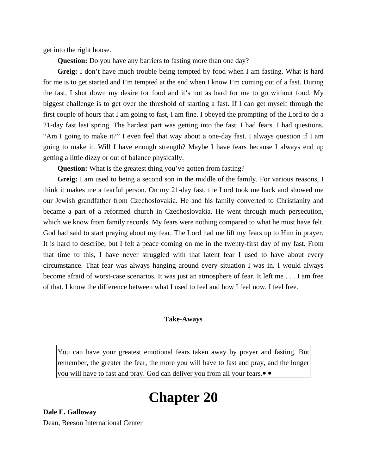get into the right house.

**Question:** Do you have any barriers to fasting more than one day?

**Greig:** I don't have much trouble being tempted by food when I am fasting. What is hard for me is to get started and I'm tempted at the end when I know I'm coming out of a fast. During the fast, I shut down my desire for food and it's not as hard for me to go without food. My biggest challenge is to get over the threshold of starting a fast. If I can get myself through the first couple of hours that I am going to fast, I am fine. I obeyed the prompting of the Lord to do a 21-day fast last spring. The hardest part was getting into the fast. I had fears. I had questions. "Am I going to make it?" I even feel that way about a one-day fast. I always question if I am going to make it. Will I have enough strength? Maybe I have fears because I always end up getting a little dizzy or out of balance physically.

**Question:** What is the greatest thing you've gotten from fasting?

**Greig:** I am used to being a second son in the middle of the family. For various reasons, I think it makes me a fearful person. On my 21-day fast, the Lord took me back and showed me our Jewish grandfather from Czechoslovakia. He and his family converted to Christianity and became a part of a reformed church in Czechoslovakia. He went through much persecution, which we know from family records. My fears were nothing compared to what he must have felt. God had said to start praying about my fear. The Lord had me lift my fears up to Him in prayer. It is hard to describe, but I felt a peace coming on me in the twenty-first day of my fast. From that time to this, I have never struggled with that latent fear I used to have about every circumstance. That fear was always hanging around every situation I was in. I would always become afraid of worst-case scenarios. It was just an atmosphere of fear. It left me . . . I am free of that. I know the difference between what I used to feel and how I feel now. I feel free.

### **Take-Aways**

You can have your greatest emotional fears taken away by prayer and fasting. But remember, the greater the fear, the more you will have to fast and pray, and the longer you will have to fast and pray. God can deliver you from all your fears.

### **Chapter 20**

**Dale E. Galloway** Dean, Beeson International Center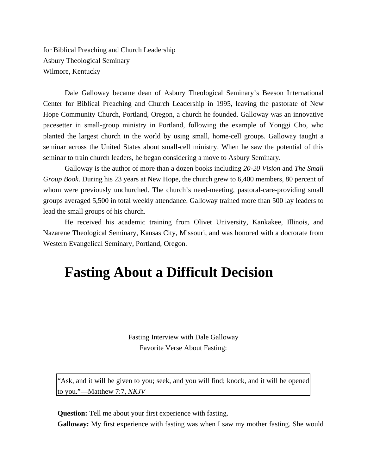for Biblical Preaching and Church Leadership Asbury Theological Seminary Wilmore, Kentucky

Dale Galloway became dean of Asbury Theological Seminary's Beeson International Center for Biblical Preaching and Church Leadership in 1995, leaving the pastorate of New Hope Community Church, Portland, Oregon, a church he founded. Galloway was an innovative pacesetter in small-group ministry in Portland, following the example of Yonggi Cho, who planted the largest church in the world by using small, home-cell groups. Galloway taught a seminar across the United States about small-cell ministry. When he saw the potential of this seminar to train church leaders, he began considering a move to Asbury Seminary.

Galloway is the author of more than a dozen books including *20-20 Vision* and *The Small Group Book*. During his 23 years at New Hope, the church grew to 6,400 members, 80 percent of whom were previously unchurched. The church's need-meeting, pastoral-care-providing small groups averaged 5,500 in total weekly attendance. Galloway trained more than 500 lay leaders to lead the small groups of his church.

He received his academic training from Olivet University, Kankakee, Illinois, and Nazarene Theological Seminary, Kansas City, Missouri, and was honored with a doctorate from Western Evangelical Seminary, Portland, Oregon.

### **Fasting About a Difficult Decision**

Fasting Interview with Dale Galloway Favorite Verse About Fasting:

"Ask, and it will be given to you; seek, and you will find; knock, and it will be opened to you."—Matthew 7:7, *NKJV*

**Question:** Tell me about your first experience with fasting.

**Galloway:** My first experience with fasting was when I saw my mother fasting. She would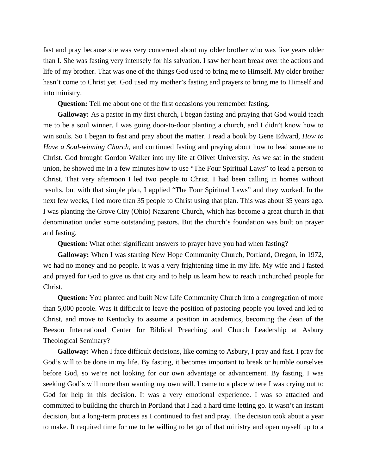fast and pray because she was very concerned about my older brother who was five years older than I. She was fasting very intensely for his salvation. I saw her heart break over the actions and life of my brother. That was one of the things God used to bring me to Himself. My older brother hasn't come to Christ yet. God used my mother's fasting and prayers to bring me to Himself and into ministry.

**Question:** Tell me about one of the first occasions you remember fasting.

**Galloway:** As a pastor in my first church, I began fasting and praying that God would teach me to be a soul winner. I was going door-to-door planting a church, and I didn't know how to win souls. So I began to fast and pray about the matter. I read a book by Gene Edward, *How to Have a Soul-winning Church*, and continued fasting and praying about how to lead someone to Christ. God brought Gordon Walker into my life at Olivet University. As we sat in the student union, he showed me in a few minutes how to use "The Four Spiritual Laws" to lead a person to Christ. That very afternoon I led two people to Christ. I had been calling in homes without results, but with that simple plan, I applied "The Four Spiritual Laws" and they worked. In the next few weeks, I led more than 35 people to Christ using that plan. This was about 35 years ago. I was planting the Grove City (Ohio) Nazarene Church, which has become a great church in that denomination under some outstanding pastors. But the church's foundation was built on prayer and fasting.

**Question:** What other significant answers to prayer have you had when fasting?

**Galloway:** When I was starting New Hope Community Church, Portland, Oregon, in 1972, we had no money and no people. It was a very frightening time in my life. My wife and I fasted and prayed for God to give us that city and to help us learn how to reach unchurched people for Christ.

**Question:** You planted and built New Life Community Church into a congregation of more than 5,000 people. Was it difficult to leave the position of pastoring people you loved and led to Christ, and move to Kentucky to assume a position in academics, becoming the dean of the Beeson International Center for Biblical Preaching and Church Leadership at Asbury Theological Seminary?

**Galloway:** When I face difficult decisions, like coming to Asbury, I pray and fast. I pray for God's will to be done in my life. By fasting, it becomes important to break or humble ourselves before God, so we're not looking for our own advantage or advancement. By fasting, I was seeking God's will more than wanting my own will. I came to a place where I was crying out to God for help in this decision. It was a very emotional experience. I was so attached and committed to building the church in Portland that I had a hard time letting go. It wasn't an instant decision, but a long-term process as I continued to fast and pray. The decision took about a year to make. It required time for me to be willing to let go of that ministry and open myself up to a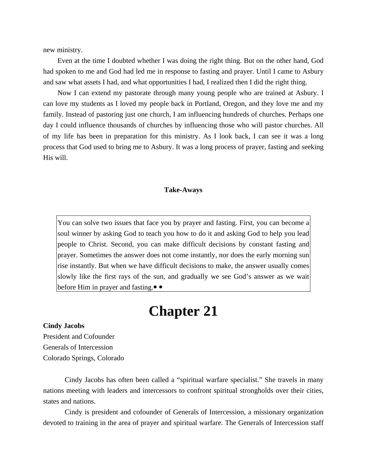new ministry.

Even at the time I doubted whether I was doing the right thing. But on the other hand, God had spoken to me and God had led me in response to fasting and prayer. Until I came to Asbury and saw what assets I had, and what opportunities I had, I realized then I did the right thing.

Now I can extend my pastorate through many young people who are trained at Asbury. I can love my students as I loved my people back in Portland, Oregon, and they love me and my family. Instead of pastoring just one church, I am influencing hundreds of churches. Perhaps one day I could influence thousands of churches by influencing those who will pastor churches. All of my life has been in preparation for this ministry. As I look back, I can see it was a long process that God used to bring me to Asbury. It was a long process of prayer, fasting and seeking His will.

#### **Take-Aways**

You can solve two issues that face you by prayer and fasting. First, you can become a soul winner by asking God to teach you how to do it and asking God to help you lead people to Christ. Second, you can make difficult decisions by constant fasting and prayer. Sometimes the answer does not come instantly, nor does the early morning sun rise instantly. But when we have difficult decisions to make, the answer usually comes slowly like the first rays of the sun, and gradually we see God's answer as we wait before Him in prayer and fasting.  $\bullet$ 

### **Chapter 21**

#### **Cindy Jacobs**

President and Cofounder Generals of Intercession Colorado Springs, Colorado

Cindy Jacobs has often been called a "spiritual warfare specialist." She travels in many nations meeting with leaders and intercessors to confront spiritual strongholds over their cities, states and nations.

Cindy is president and cofounder of Generals of Intercession, a missionary organization devoted to training in the area of prayer and spiritual warfare. The Generals of Intercession staff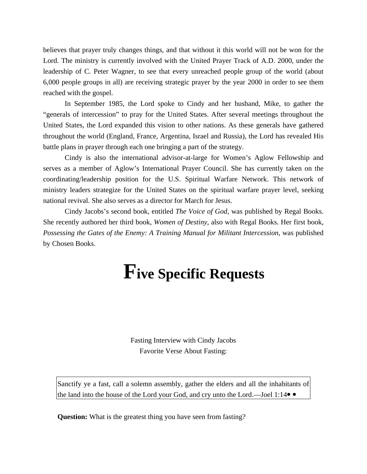believes that prayer truly changes things, and that without it this world will not be won for the Lord. The ministry is currently involved with the United Prayer Track of A.D. 2000, under the leadership of C. Peter Wagner, to see that every unreached people group of the world (about 6,000 people groups in all) are receiving strategic prayer by the year 2000 in order to see them reached with the gospel.

In September 1985, the Lord spoke to Cindy and her husband, Mike, to gather the "generals of intercession" to pray for the United States. After several meetings throughout the United States, the Lord expanded this vision to other nations. As these generals have gathered throughout the world (England, France, Argentina, Israel and Russia), the Lord has revealed His battle plans in prayer through each one bringing a part of the strategy.

Cindy is also the international advisor-at-large for Women's Aglow Fellowship and serves as a member of Aglow's International Prayer Council. She has currently taken on the coordinating/leadership position for the U.S. Spiritual Warfare Network. This network of ministry leaders strategize for the United States on the spiritual warfare prayer level, seeking national revival. She also serves as a director for March for Jesus.

Cindy Jacobs's second book, entitled *The Voice of God*, was published by Regal Books. She recently authored her third book, *Women of Destiny*, also with Regal Books. Her first book, *Possessing the Gates of the Enemy: A Training Manual for Militant Intercession*, was published by Chosen Books.

# **Five Specific Requests**

Fasting Interview with Cindy Jacobs Favorite Verse About Fasting:

Sanctify ye a fast, call a solemn assembly, gather the elders and all the inhabitants of the land into the house of the Lord your God, and cry unto the Lord.—Joel 1:14 $\bullet$   $\bullet$ 

**Question:** What is the greatest thing you have seen from fasting?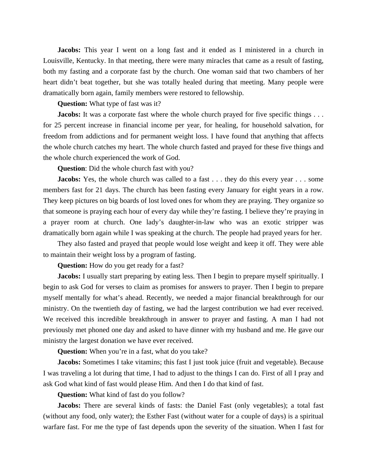**Jacobs:** This year I went on a long fast and it ended as I ministered in a church in Louisville, Kentucky. In that meeting, there were many miracles that came as a result of fasting, both my fasting and a corporate fast by the church. One woman said that two chambers of her heart didn't beat together, but she was totally healed during that meeting. Many people were dramatically born again, family members were restored to fellowship.

#### **Question:** What type of fast was it?

**Jacobs:** It was a corporate fast where the whole church prayed for five specific things . . . for 25 percent increase in financial income per year, for healing, for household salvation, for freedom from addictions and for permanent weight loss. I have found that anything that affects the whole church catches my heart. The whole church fasted and prayed for these five things and the whole church experienced the work of God.

**Question**: Did the whole church fast with you?

**Jacobs:** Yes, the whole church was called to a fast . . . they do this every year . . . some members fast for 21 days. The church has been fasting every January for eight years in a row. They keep pictures on big boards of lost loved ones for whom they are praying. They organize so that someone is praying each hour of every day while they're fasting. I believe they're praying in a prayer room at church. One lady's daughter-in-law who was an exotic stripper was dramatically born again while I was speaking at the church. The people had prayed years for her.

They also fasted and prayed that people would lose weight and keep it off. They were able to maintain their weight loss by a program of fasting.

**Question:** How do you get ready for a fast?

**Jacobs:** I usually start preparing by eating less. Then I begin to prepare myself spiritually. I begin to ask God for verses to claim as promises for answers to prayer. Then I begin to prepare myself mentally for what's ahead. Recently, we needed a major financial breakthrough for our ministry. On the twentieth day of fasting, we had the largest contribution we had ever received. We received this incredible breakthrough in answer to prayer and fasting. A man I had not previously met phoned one day and asked to have dinner with my husband and me. He gave our ministry the largest donation we have ever received.

**Question:** When you're in a fast, what do you take?

**Jacobs:** Sometimes I take vitamins; this fast I just took juice (fruit and vegetable). Because I was traveling a lot during that time, I had to adjust to the things I can do. First of all I pray and ask God what kind of fast would please Him. And then I do that kind of fast.

**Question:** What kind of fast do you follow?

**Jacobs:** There are several kinds of fasts: the Daniel Fast (only vegetables); a total fast (without any food, only water); the Esther Fast (without water for a couple of days) is a spiritual warfare fast. For me the type of fast depends upon the severity of the situation. When I fast for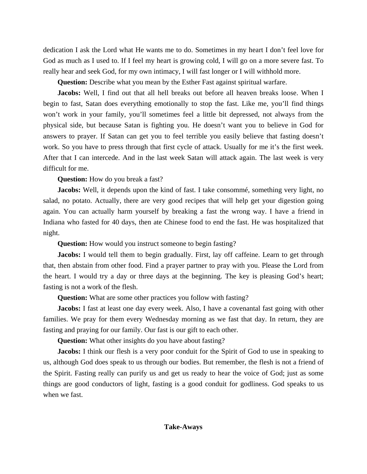dedication I ask the Lord what He wants me to do. Sometimes in my heart I don't feel love for God as much as I used to. If I feel my heart is growing cold, I will go on a more severe fast. To really hear and seek God, for my own intimacy, I will fast longer or I will withhold more.

**Question:** Describe what you mean by the Esther Fast against spiritual warfare.

**Jacobs:** Well, I find out that all hell breaks out before all heaven breaks loose. When I begin to fast, Satan does everything emotionally to stop the fast. Like me, you'll find things won't work in your family, you'll sometimes feel a little bit depressed, not always from the physical side, but because Satan is fighting you. He doesn't want you to believe in God for answers to prayer. If Satan can get you to feel terrible you easily believe that fasting doesn't work. So you have to press through that first cycle of attack. Usually for me it's the first week. After that I can intercede. And in the last week Satan will attack again. The last week is very difficult for me.

**Question:** How do you break a fast?

**Jacobs:** Well, it depends upon the kind of fast. I take consommé, something very light, no salad, no potato. Actually, there are very good recipes that will help get your digestion going again. You can actually harm yourself by breaking a fast the wrong way. I have a friend in Indiana who fasted for 40 days, then ate Chinese food to end the fast. He was hospitalized that night.

**Question:** How would you instruct someone to begin fasting?

**Jacobs:** I would tell them to begin gradually. First, lay off caffeine. Learn to get through that, then abstain from other food. Find a prayer partner to pray with you. Please the Lord from the heart. I would try a day or three days at the beginning. The key is pleasing God's heart; fasting is not a work of the flesh.

**Question:** What are some other practices you follow with fasting?

**Jacobs:** I fast at least one day every week. Also, I have a covenantal fast going with other families. We pray for them every Wednesday morning as we fast that day. In return, they are fasting and praying for our family. Our fast is our gift to each other.

**Question:** What other insights do you have about fasting?

**Jacobs:** I think our flesh is a very poor conduit for the Spirit of God to use in speaking to us, although God does speak to us through our bodies. But remember, the flesh is not a friend of the Spirit. Fasting really can purify us and get us ready to hear the voice of God; just as some things are good conductors of light, fasting is a good conduit for godliness. God speaks to us when we fast.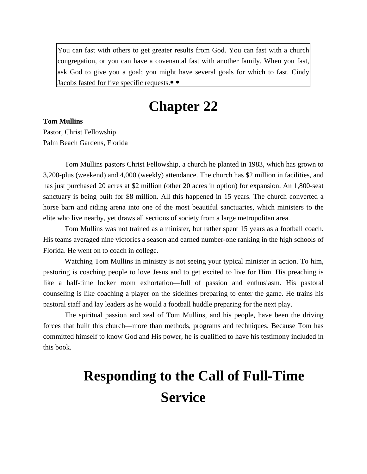You can fast with others to get greater results from God. You can fast with a church congregation, or you can have a covenantal fast with another family. When you fast, ask God to give you a goal; you might have several goals for which to fast. Cindy Jacobs fasted for five specific requests.  $\bullet$ 

### **Chapter 22**

### **Tom Mullins**

Pastor, Christ Fellowship Palm Beach Gardens, Florida

Tom Mullins pastors Christ Fellowship, a church he planted in 1983, which has grown to 3,200-plus (weekend) and 4,000 (weekly) attendance. The church has \$2 million in facilities, and has just purchased 20 acres at \$2 million (other 20 acres in option) for expansion. An 1,800-seat sanctuary is being built for \$8 million. All this happened in 15 years. The church converted a horse barn and riding arena into one of the most beautiful sanctuaries, which ministers to the elite who live nearby, yet draws all sections of society from a large metropolitan area.

Tom Mullins was not trained as a minister, but rather spent 15 years as a football coach. His teams averaged nine victories a season and earned number-one ranking in the high schools of Florida. He went on to coach in college.

Watching Tom Mullins in ministry is not seeing your typical minister in action. To him, pastoring is coaching people to love Jesus and to get excited to live for Him. His preaching is like a half-time locker room exhortation—full of passion and enthusiasm. His pastoral counseling is like coaching a player on the sidelines preparing to enter the game. He trains his pastoral staff and lay leaders as he would a football huddle preparing for the next play.

The spiritual passion and zeal of Tom Mullins, and his people, have been the driving forces that built this church—more than methods, programs and techniques. Because Tom has committed himself to know God and His power, he is qualified to have his testimony included in this book.

## **Responding to the Call of Full-Time Service**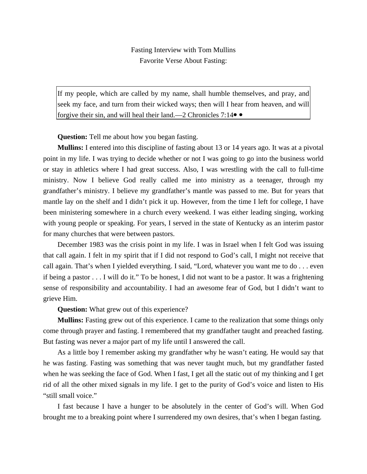Fasting Interview with Tom Mullins Favorite Verse About Fasting:

If my people, which are called by my name, shall humble themselves, and pray, and seek my face, and turn from their wicked ways; then will I hear from heaven, and will forgive their sin, and will heal their land.—2 Chronicles 7:14 $\bullet$   $\bullet$ 

**Question:** Tell me about how you began fasting.

**Mullins:** I entered into this discipline of fasting about 13 or 14 years ago. It was at a pivotal point in my life. I was trying to decide whether or not I was going to go into the business world or stay in athletics where I had great success. Also, I was wrestling with the call to full-time ministry. Now I believe God really called me into ministry as a teenager, through my grandfather's ministry. I believe my grandfather's mantle was passed to me. But for years that mantle lay on the shelf and I didn't pick it up. However, from the time I left for college, I have been ministering somewhere in a church every weekend. I was either leading singing, working with young people or speaking. For years, I served in the state of Kentucky as an interim pastor for many churches that were between pastors.

December 1983 was the crisis point in my life. I was in Israel when I felt God was issuing that call again. I felt in my spirit that if I did not respond to God's call, I might not receive that call again. That's when I yielded everything. I said, "Lord, whatever you want me to do . . . even if being a pastor . . . I will do it." To be honest, I did not want to be a pastor. It was a frightening sense of responsibility and accountability. I had an awesome fear of God, but I didn't want to grieve Him.

**Question:** What grew out of this experience?

**Mullins:** Fasting grew out of this experience. I came to the realization that some things only come through prayer and fasting. I remembered that my grandfather taught and preached fasting. But fasting was never a major part of my life until I answered the call.

As a little boy I remember asking my grandfather why he wasn't eating. He would say that he was fasting. Fasting was something that was never taught much, but my grandfather fasted when he was seeking the face of God. When I fast, I get all the static out of my thinking and I get rid of all the other mixed signals in my life. I get to the purity of God's voice and listen to His "still small voice."

I fast because I have a hunger to be absolutely in the center of God's will. When God brought me to a breaking point where I surrendered my own desires, that's when I began fasting.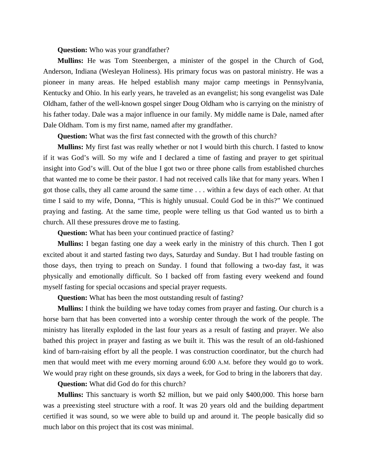**Question:** Who was your grandfather?

**Mullins:** He was Tom Steenbergen, a minister of the gospel in the Church of God, Anderson, Indiana (Wesleyan Holiness). His primary focus was on pastoral ministry. He was a pioneer in many areas. He helped establish many major camp meetings in Pennsylvania, Kentucky and Ohio. In his early years, he traveled as an evangelist; his song evangelist was Dale Oldham, father of the well-known gospel singer Doug Oldham who is carrying on the ministry of his father today. Dale was a major influence in our family. My middle name is Dale, named after Dale Oldham. Tom is my first name, named after my grandfather.

**Question:** What was the first fast connected with the growth of this church?

**Mullins:** My first fast was really whether or not I would birth this church. I fasted to know if it was God's will. So my wife and I declared a time of fasting and prayer to get spiritual insight into God's will. Out of the blue I got two or three phone calls from established churches that wanted me to come be their pastor. I had not received calls like that for many years. When I got those calls, they all came around the same time . . . within a few days of each other. At that time I said to my wife, Donna, "This is highly unusual. Could God be in this?" We continued praying and fasting. At the same time, people were telling us that God wanted us to birth a church. All these pressures drove me to fasting.

**Question:** What has been your continued practice of fasting?

**Mullins:** I began fasting one day a week early in the ministry of this church. Then I got excited about it and started fasting two days, Saturday and Sunday. But I had trouble fasting on those days, then trying to preach on Sunday. I found that following a two-day fast, it was physically and emotionally difficult. So I backed off from fasting every weekend and found myself fasting for special occasions and special prayer requests.

**Question:** What has been the most outstanding result of fasting?

**Mullins:** I think the building we have today comes from prayer and fasting. Our church is a horse barn that has been converted into a worship center through the work of the people. The ministry has literally exploded in the last four years as a result of fasting and prayer. We also bathed this project in prayer and fasting as we built it. This was the result of an old-fashioned kind of barn-raising effort by all the people. I was construction coordinator, but the church had men that would meet with me every morning around 6:00 A.M. before they would go to work. We would pray right on these grounds, six days a week, for God to bring in the laborers that day.

**Question:** What did God do for this church?

**Mullins:** This sanctuary is worth \$2 million, but we paid only \$400,000. This horse barn was a preexisting steel structure with a roof. It was 20 years old and the building department certified it was sound, so we were able to build up and around it. The people basically did so much labor on this project that its cost was minimal.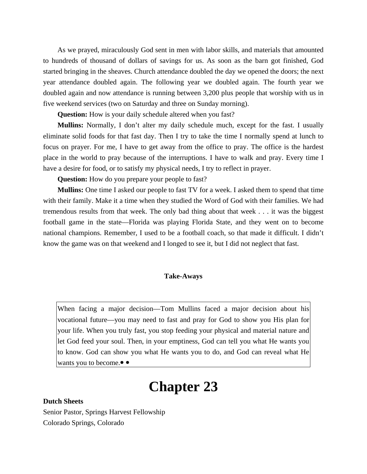As we prayed, miraculously God sent in men with labor skills, and materials that amounted to hundreds of thousand of dollars of savings for us. As soon as the barn got finished, God started bringing in the sheaves. Church attendance doubled the day we opened the doors; the next year attendance doubled again. The following year we doubled again. The fourth year we doubled again and now attendance is running between 3,200 plus people that worship with us in five weekend services (two on Saturday and three on Sunday morning).

**Question:** How is your daily schedule altered when you fast?

**Mullins:** Normally, I don't alter my daily schedule much, except for the fast. I usually eliminate solid foods for that fast day. Then I try to take the time I normally spend at lunch to focus on prayer. For me, I have to get away from the office to pray. The office is the hardest place in the world to pray because of the interruptions. I have to walk and pray. Every time I have a desire for food, or to satisfy my physical needs, I try to reflect in prayer.

**Question:** How do you prepare your people to fast?

**Mullins:** One time I asked our people to fast TV for a week. I asked them to spend that time with their family. Make it a time when they studied the Word of God with their families. We had tremendous results from that week. The only bad thing about that week . . . it was the biggest football game in the state—Florida was playing Florida State, and they went on to become national champions. Remember, I used to be a football coach, so that made it difficult. I didn't know the game was on that weekend and I longed to see it, but I did not neglect that fast.

### **Take-Aways**

When facing a major decision—Tom Mullins faced a major decision about his vocational future—you may need to fast and pray for God to show you His plan for your life. When you truly fast, you stop feeding your physical and material nature and let God feed your soul. Then, in your emptiness, God can tell you what He wants you to know. God can show you what He wants you to do, and God can reveal what He wants you to become.<sup>••</sup>

### **Chapter 23**

#### **Dutch Sheets**

Senior Pastor, Springs Harvest Fellowship Colorado Springs, Colorado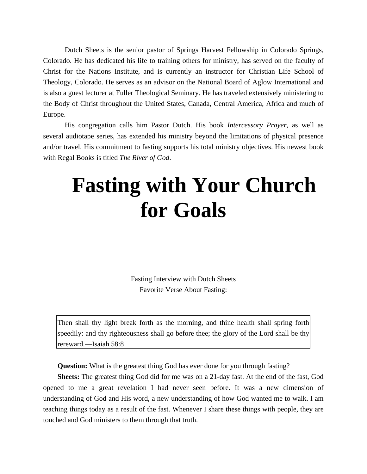Dutch Sheets is the senior pastor of Springs Harvest Fellowship in Colorado Springs, Colorado. He has dedicated his life to training others for ministry, has served on the faculty of Christ for the Nations Institute, and is currently an instructor for Christian Life School of Theology, Colorado. He serves as an advisor on the National Board of Aglow International and is also a guest lecturer at Fuller Theological Seminary. He has traveled extensively ministering to the Body of Christ throughout the United States, Canada, Central America, Africa and much of Europe.

His congregation calls him Pastor Dutch. His book *Intercessory Prayer*, as well as several audiotape series, has extended his ministry beyond the limitations of physical presence and/or travel. His commitment to fasting supports his total ministry objectives. His newest book with Regal Books is titled *The River of God*.

# **Fasting with Your Church for Goals**

Fasting Interview with Dutch Sheets Favorite Verse About Fasting:

Then shall thy light break forth as the morning, and thine health shall spring forth speedily: and thy righteousness shall go before thee; the glory of the Lord shall be thy rereward.—Isaiah 58:8

**Question:** What is the greatest thing God has ever done for you through fasting?

**Sheets:** The greatest thing God did for me was on a 21-day fast. At the end of the fast, God opened to me a great revelation I had never seen before. It was a new dimension of understanding of God and His word, a new understanding of how God wanted me to walk. I am teaching things today as a result of the fast. Whenever I share these things with people, they are touched and God ministers to them through that truth.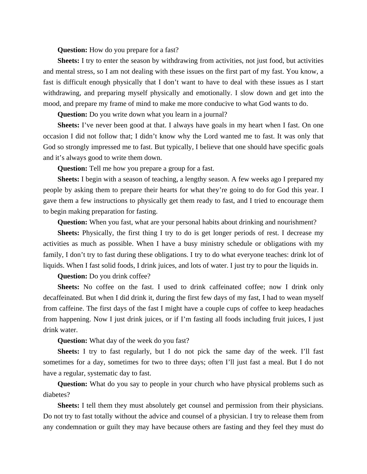**Question:** How do you prepare for a fast?

**Sheets:** I try to enter the season by withdrawing from activities, not just food, but activities and mental stress, so I am not dealing with these issues on the first part of my fast. You know, a fast is difficult enough physically that I don't want to have to deal with these issues as I start withdrawing, and preparing myself physically and emotionally. I slow down and get into the mood, and prepare my frame of mind to make me more conducive to what God wants to do.

**Question:** Do you write down what you learn in a journal?

**Sheets:** I've never been good at that. I always have goals in my heart when I fast. On one occasion I did not follow that; I didn't know why the Lord wanted me to fast. It was only that God so strongly impressed me to fast. But typically, I believe that one should have specific goals and it's always good to write them down.

**Question:** Tell me how you prepare a group for a fast.

**Sheets:** I begin with a season of teaching, a lengthy season. A few weeks ago I prepared my people by asking them to prepare their hearts for what they're going to do for God this year. I gave them a few instructions to physically get them ready to fast, and I tried to encourage them to begin making preparation for fasting.

**Question:** When you fast, what are your personal habits about drinking and nourishment?

**Sheets:** Physically, the first thing I try to do is get longer periods of rest. I decrease my activities as much as possible. When I have a busy ministry schedule or obligations with my family, I don't try to fast during these obligations. I try to do what everyone teaches: drink lot of liquids. When I fast solid foods, I drink juices, and lots of water. I just try to pour the liquids in.

### **Question:** Do you drink coffee?

**Sheets:** No coffee on the fast. I used to drink caffeinated coffee; now I drink only decaffeinated. But when I did drink it, during the first few days of my fast, I had to wean myself from caffeine. The first days of the fast I might have a couple cups of coffee to keep headaches from happening. Now I just drink juices, or if I'm fasting all foods including fruit juices, I just drink water.

**Question:** What day of the week do you fast?

**Sheets:** I try to fast regularly, but I do not pick the same day of the week. I'll fast sometimes for a day, sometimes for two to three days; often I'll just fast a meal. But I do not have a regular, systematic day to fast.

**Question:** What do you say to people in your church who have physical problems such as diabetes?

**Sheets:** I tell them they must absolutely get counsel and permission from their physicians. Do not try to fast totally without the advice and counsel of a physician. I try to release them from any condemnation or guilt they may have because others are fasting and they feel they must do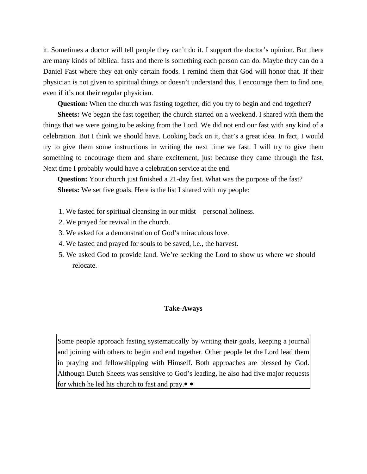it. Sometimes a doctor will tell people they can't do it. I support the doctor's opinion. But there are many kinds of biblical fasts and there is something each person can do. Maybe they can do a Daniel Fast where they eat only certain foods. I remind them that God will honor that. If their physician is not given to spiritual things or doesn't understand this, I encourage them to find one, even if it's not their regular physician.

**Question:** When the church was fasting together, did you try to begin and end together?

**Sheets:** We began the fast together; the church started on a weekend. I shared with them the things that we were going to be asking from the Lord. We did not end our fast with any kind of a celebration. But I think we should have. Looking back on it, that's a great idea. In fact, I would try to give them some instructions in writing the next time we fast. I will try to give them something to encourage them and share excitement, just because they came through the fast. Next time I probably would have a celebration service at the end.

**Question:** Your church just finished a 21-day fast. What was the purpose of the fast? **Sheets:** We set five goals. Here is the list I shared with my people:

- 1. We fasted for spiritual cleansing in our midst—personal holiness.
- 2. We prayed for revival in the church.
- 3. We asked for a demonstration of God's miraculous love.
- 4. We fasted and prayed for souls to be saved, i.e., the harvest.
- 5. We asked God to provide land. We're seeking the Lord to show us where we should relocate.

#### **Take-Aways**

Some people approach fasting systematically by writing their goals, keeping a journal and joining with others to begin and end together. Other people let the Lord lead them in praying and fellowshipping with Himself. Both approaches are blessed by God. Although Dutch Sheets was sensitive to God's leading, he also had five major requests for which he led his church to fast and pray. $\bullet$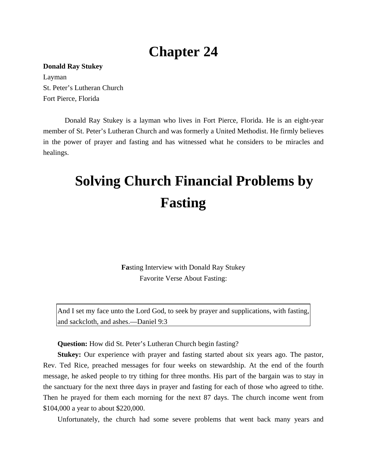### **Chapter 24**

#### **Donald Ray Stukey**

Layman St. Peter's Lutheran Church Fort Pierce, Florida

Donald Ray Stukey is a layman who lives in Fort Pierce, Florida. He is an eight-year member of St. Peter's Lutheran Church and was formerly a United Methodist. He firmly believes in the power of prayer and fasting and has witnessed what he considers to be miracles and healings.

## **Solving Church Financial Problems by Fasting**

**Fa**sting Interview with Donald Ray Stukey Favorite Verse About Fasting:

And I set my face unto the Lord God, to seek by prayer and supplications, with fasting, and sackcloth, and ashes.—Daniel 9:3

**Question:** How did St. Peter's Lutheran Church begin fasting?

**Stukey:** Our experience with prayer and fasting started about six years ago. The pastor, Rev. Ted Rice, preached messages for four weeks on stewardship. At the end of the fourth message, he asked people to try tithing for three months. His part of the bargain was to stay in the sanctuary for the next three days in prayer and fasting for each of those who agreed to tithe. Then he prayed for them each morning for the next 87 days. The church income went from \$104,000 a year to about \$220,000.

Unfortunately, the church had some severe problems that went back many years and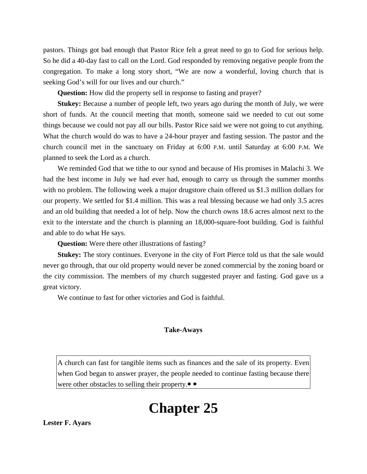pastors. Things got bad enough that Pastor Rice felt a great need to go to God for serious help. So he did a 40-day fast to call on the Lord. God responded by removing negative people from the congregation. To make a long story short, "We are now a wonderful, loving church that is seeking God's will for our lives and our church."

**Question:** How did the property sell in response to fasting and prayer?

**Stukey:** Because a number of people left, two years ago during the month of July, we were short of funds. At the council meeting that month, someone said we needed to cut out some things because we could not pay all our bills. Pastor Rice said we were not going to cut anything. What the church would do was to have a 24-hour prayer and fasting session. The pastor and the church council met in the sanctuary on Friday at 6:00 P.M. until Saturday at 6:00 P.M. We planned to seek the Lord as a church.

We reminded God that we tithe to our synod and because of His promises in Malachi 3. We had the best income in July we had ever had, enough to carry us through the summer months with no problem. The following week a major drugstore chain offered us \$1.3 million dollars for our property. We settled for \$1.4 million. This was a real blessing because we had only 3.5 acres and an old building that needed a lot of help. Now the church owns 18.6 acres almost next to the exit to the interstate and the church is planning an 18,000-square-foot building. God is faithful and able to do what He says.

**Question:** Were there other illustrations of fasting?

**Stukey:** The story continues. Everyone in the city of Fort Pierce told us that the sale would never go through, that our old property would never be zoned commercial by the zoning board or the city commission. The members of my church suggested prayer and fasting. God gave us a great victory.

We continue to fast for other victories and God is faithful.

#### **Take-Aways**

A church can fast for tangible items such as finances and the sale of its property. Even when God began to answer prayer, the people needed to continue fasting because there were other obstacles to selling their property.  $\bullet$ 

### **Chapter 25**

**Lester F. Ayars**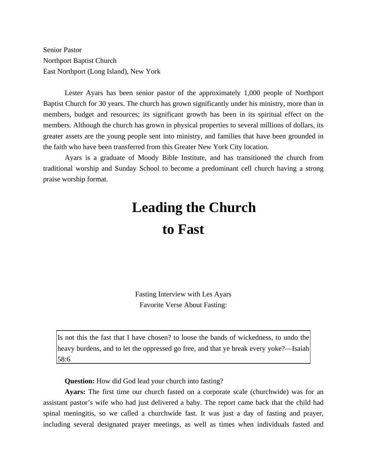Senior Pastor Northport Baptist Church East Northport (Long Island), New York

Lester Ayars has been senior pastor of the approximately 1,000 people of Northport Baptist Church for 30 years. The church has grown significantly under his ministry, more than in members, budget and resources; its significant growth has been in its spiritual effect on the members. Although the church has grown in physical properties to several millions of dollars, its greater assets are the young people sent into ministry, and families that have been grounded in the faith who have been transferred from this Greater New York City location.

Ayars is a graduate of Moody Bible Institute, and has transitioned the church from traditional worship and Sunday School to become a predominant cell church having a strong praise worship format.

## **Leading the Church to Fast**

Fasting Interview with Les Ayars Favorite Verse About Fasting:

Is not this the fast that I have chosen? to loose the bands of wickedness, to undo the heavy burdens, and to let the oppressed go free, and that ye break every yoke?—Isaiah 58:6

**Question:** How did God lead your church into fasting?

**Ayars:** The first time our church fasted on a corporate scale (churchwide) was for an assistant pastor's wife who had just delivered a baby. The report came back that the child had spinal meningitis, so we called a churchwide fast. It was just a day of fasting and prayer, including several designated prayer meetings, as well as times when individuals fasted and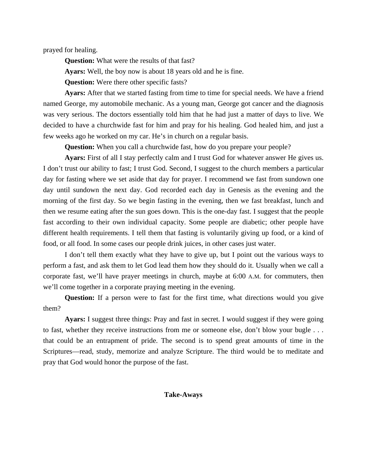prayed for healing.

**Question:** What were the results of that fast?

**Ayars:** Well, the boy now is about 18 years old and he is fine.

**Question:** Were there other specific fasts?

**Ayars:** After that we started fasting from time to time for special needs. We have a friend named George, my automobile mechanic. As a young man, George got cancer and the diagnosis was very serious. The doctors essentially told him that he had just a matter of days to live. We decided to have a churchwide fast for him and pray for his healing. God healed him, and just a few weeks ago he worked on my car. He's in church on a regular basis.

**Question:** When you call a churchwide fast, how do you prepare your people?

**Ayars:** First of all I stay perfectly calm and I trust God for whatever answer He gives us. I don't trust our ability to fast; I trust God. Second, I suggest to the church members a particular day for fasting where we set aside that day for prayer. I recommend we fast from sundown one day until sundown the next day. God recorded each day in Genesis as the evening and the morning of the first day. So we begin fasting in the evening, then we fast breakfast, lunch and then we resume eating after the sun goes down. This is the one-day fast. I suggest that the people fast according to their own individual capacity. Some people are diabetic; other people have different health requirements. I tell them that fasting is voluntarily giving up food, or a kind of food, or all food. In some cases our people drink juices, in other cases just water.

I don't tell them exactly what they have to give up, but I point out the various ways to perform a fast, and ask them to let God lead them how they should do it. Usually when we call a corporate fast, we'll have prayer meetings in church, maybe at 6:00 A.M. for commuters, then we'll come together in a corporate praying meeting in the evening.

**Question:** If a person were to fast for the first time, what directions would you give them?

**Ayars:** I suggest three things: Pray and fast in secret. I would suggest if they were going to fast, whether they receive instructions from me or someone else, don't blow your bugle . . . that could be an entrapment of pride. The second is to spend great amounts of time in the Scriptures—read, study, memorize and analyze Scripture. The third would be to meditate and pray that God would honor the purpose of the fast.

### **Take-Aways**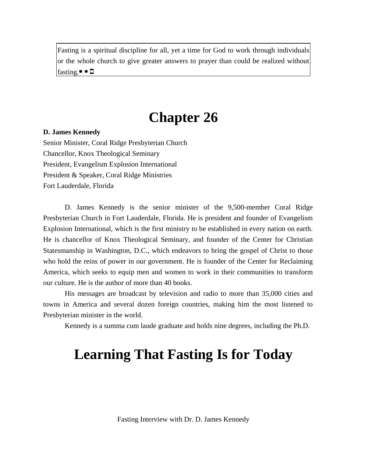Fasting is a spiritual discipline for all, yet a time for God to work through individuals or the whole church to give greater answers to prayer than could be realized without fasting. $\bullet$   $\Box$ 

### **Chapter 26**

### **D. James Kennedy**

Senior Minister, Coral Ridge Presbyterian Church Chancellor, Knox Theological Seminary President, Evangelism Explosion International President & Speaker, Coral Ridge Ministries Fort Lauderdale, Florida

D. James Kennedy is the senior minister of the 9,500-member Coral Ridge Presbyterian Church in Fort Lauderdale, Florida. He is president and founder of Evangelism Explosion International, which is the first ministry to be established in every nation on earth. He is chancellor of Knox Theological Seminary, and founder of the Center for Christian Statesmanship in Washington, D.C., which endeavors to bring the gospel of Christ to those who hold the reins of power in our government. He is founder of the Center for Reclaiming America, which seeks to equip men and women to work in their communities to transform our culture. He is the author of more than 40 books.

His messages are broadcast by television and radio to more than 35,000 cities and towns in America and several dozen foreign countries, making him the most listened to Presbyterian minister in the world.

Kennedy is a summa cum laude graduate and holds nine degrees, including the Ph.D.

### **Learning That Fasting Is for Today**

Fasting Interview with Dr. D. James Kennedy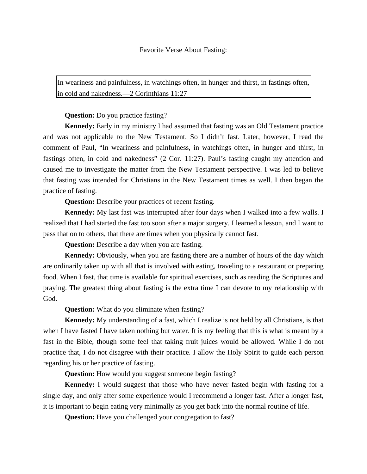In weariness and painfulness, in watchings often, in hunger and thirst, in fastings often, in cold and nakedness.—2 Corinthians 11:27

**Question:** Do you practice fasting?

**Kennedy:** Early in my ministry I had assumed that fasting was an Old Testament practice and was not applicable to the New Testament. So I didn't fast. Later, however, I read the comment of Paul, "In weariness and painfulness, in watchings often, in hunger and thirst, in fastings often, in cold and nakedness" (2 Cor. 11:27). Paul's fasting caught my attention and caused me to investigate the matter from the New Testament perspective. I was led to believe that fasting was intended for Christians in the New Testament times as well. I then began the practice of fasting.

**Question:** Describe your practices of recent fasting.

**Kennedy:** My last fast was interrupted after four days when I walked into a few walls. I realized that I had started the fast too soon after a major surgery. I learned a lesson, and I want to pass that on to others, that there are times when you physically cannot fast.

**Question:** Describe a day when you are fasting.

**Kennedy:** Obviously, when you are fasting there are a number of hours of the day which are ordinarily taken up with all that is involved with eating, traveling to a restaurant or preparing food. When I fast, that time is available for spiritual exercises, such as reading the Scriptures and praying. The greatest thing about fasting is the extra time I can devote to my relationship with God.

**Question:** What do you eliminate when fasting?

**Kennedy:** My understanding of a fast, which I realize is not held by all Christians, is that when I have fasted I have taken nothing but water. It is my feeling that this is what is meant by a fast in the Bible, though some feel that taking fruit juices would be allowed. While I do not practice that, I do not disagree with their practice. I allow the Holy Spirit to guide each person regarding his or her practice of fasting.

**Question:** How would you suggest someone begin fasting?

**Kennedy:** I would suggest that those who have never fasted begin with fasting for a single day, and only after some experience would I recommend a longer fast. After a longer fast, it is important to begin eating very minimally as you get back into the normal routine of life.

**Question:** Have you challenged your congregation to fast?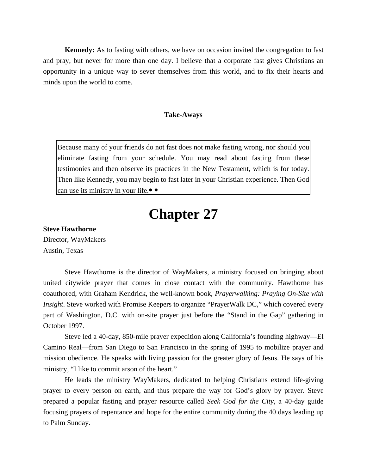**Kennedy:** As to fasting with others, we have on occasion invited the congregation to fast and pray, but never for more than one day. I believe that a corporate fast gives Christians an opportunity in a unique way to sever themselves from this world, and to fix their hearts and minds upon the world to come.

#### **Take-Aways**

Because many of your friends do not fast does not make fasting wrong, nor should you eliminate fasting from your schedule. You may read about fasting from these testimonies and then observe its practices in the New Testament, which is for today. Then like Kennedy, you may begin to fast later in your Christian experience. Then God can use its ministry in your life.

### **Chapter 27**

### **Steve Hawthorne**

Director, WayMakers Austin, Texas

Steve Hawthorne is the director of WayMakers, a ministry focused on bringing about united citywide prayer that comes in close contact with the community. Hawthorne has coauthored, with Graham Kendrick, the well-known book, *Prayerwalking: Praying On-Site with Insight*. Steve worked with Promise Keepers to organize "PrayerWalk DC," which covered every part of Washington, D.C. with on-site prayer just before the "Stand in the Gap" gathering in October 1997.

Steve led a 40-day, 850-mile prayer expedition along California's founding highway—El Camino Real—from San Diego to San Francisco in the spring of 1995 to mobilize prayer and mission obedience. He speaks with living passion for the greater glory of Jesus. He says of his ministry, "I like to commit arson of the heart."

He leads the ministry WayMakers, dedicated to helping Christians extend life-giving prayer to every person on earth, and thus prepare the way for God's glory by prayer. Steve prepared a popular fasting and prayer resource called *Seek God for the City*, a 40-day guide focusing prayers of repentance and hope for the entire community during the 40 days leading up to Palm Sunday.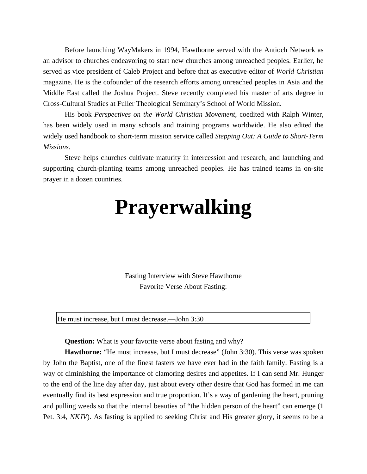Before launching WayMakers in 1994, Hawthorne served with the Antioch Network as an advisor to churches endeavoring to start new churches among unreached peoples. Earlier, he served as vice president of Caleb Project and before that as executive editor of *World Christian* magazine. He is the cofounder of the research efforts among unreached peoples in Asia and the Middle East called the Joshua Project. Steve recently completed his master of arts degree in Cross-Cultural Studies at Fuller Theological Seminary's School of World Mission.

His book *Perspectives on the World Christian Movement*, coedited with Ralph Winter, has been widely used in many schools and training programs worldwide. He also edited the widely used handbook to short-term mission service called *Stepping Out: A Guide to Short-Term Missions*.

Steve helps churches cultivate maturity in intercession and research, and launching and supporting church-planting teams among unreached peoples. He has trained teams in on-site prayer in a dozen countries.

# **Prayerwalking**

Fasting Interview with Steve Hawthorne Favorite Verse About Fasting:

He must increase, but I must decrease.—John 3:30

**Question:** What is your favorite verse about fasting and why?

**Hawthorne:** "He must increase, but I must decrease" (John 3:30). This verse was spoken by John the Baptist, one of the finest fasters we have ever had in the faith family. Fasting is a way of diminishing the importance of clamoring desires and appetites. If I can send Mr. Hunger to the end of the line day after day, just about every other desire that God has formed in me can eventually find its best expression and true proportion. It's a way of gardening the heart, pruning and pulling weeds so that the internal beauties of "the hidden person of the heart" can emerge (1 Pet. 3:4, *NKJV*). As fasting is applied to seeking Christ and His greater glory, it seems to be a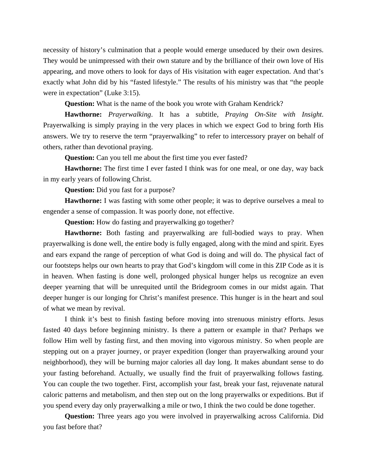necessity of history's culmination that a people would emerge unseduced by their own desires. They would be unimpressed with their own stature and by the brilliance of their own love of His appearing, and move others to look for days of His visitation with eager expectation. And that's exactly what John did by his "fasted lifestyle." The results of his ministry was that "the people were in expectation" (Luke 3:15).

**Question:** What is the name of the book you wrote with Graham Kendrick?

**Hawthorne:** *Prayerwalking*. It has a subtitle, *Praying On-Site with Insight*. Prayerwalking is simply praying in the very places in which we expect God to bring forth His answers. We try to reserve the term "prayerwalking" to refer to intercessory prayer on behalf of others, rather than devotional praying.

**Question:** Can you tell me about the first time you ever fasted?

**Hawthorne:** The first time I ever fasted I think was for one meal, or one day, way back in my early years of following Christ.

**Question:** Did you fast for a purpose?

**Hawthorne:** I was fasting with some other people; it was to deprive ourselves a meal to engender a sense of compassion. It was poorly done, not effective.

**Question:** How do fasting and prayerwalking go together?

**Hawthorne:** Both fasting and prayerwalking are full-bodied ways to pray. When prayerwalking is done well, the entire body is fully engaged, along with the mind and spirit. Eyes and ears expand the range of perception of what God is doing and will do. The physical fact of our footsteps helps our own hearts to pray that God's kingdom will come in this ZIP Code as it is in heaven. When fasting is done well, prolonged physical hunger helps us recognize an even deeper yearning that will be unrequited until the Bridegroom comes in our midst again. That deeper hunger is our longing for Christ's manifest presence. This hunger is in the heart and soul of what we mean by revival.

I think it's best to finish fasting before moving into strenuous ministry efforts. Jesus fasted 40 days before beginning ministry. Is there a pattern or example in that? Perhaps we follow Him well by fasting first, and then moving into vigorous ministry. So when people are stepping out on a prayer journey, or prayer expedition (longer than prayerwalking around your neighborhood), they will be burning major calories all day long. It makes abundant sense to do your fasting beforehand. Actually, we usually find the fruit of prayerwalking follows fasting. You can couple the two together. First, accomplish your fast, break your fast, rejuvenate natural caloric patterns and metabolism, and then step out on the long prayerwalks or expeditions. But if you spend every day only prayerwalking a mile or two, I think the two could be done together.

**Question:** Three years ago you were involved in prayerwalking across California. Did you fast before that?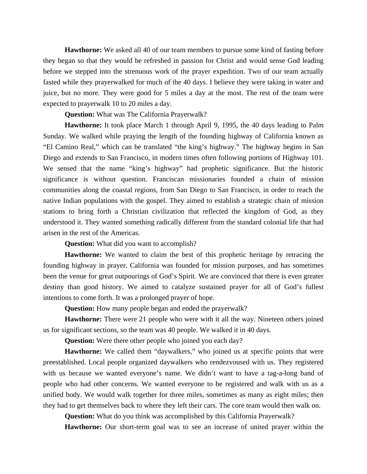**Hawthorne:** We asked all 40 of our team members to pursue some kind of fasting before they began so that they would be refreshed in passion for Christ and would sense God leading before we stepped into the strenuous work of the prayer expedition. Two of our team actually fasted while they prayerwalked for much of the 40 days. I believe they were taking in water and juice, but no more. They were good for 5 miles a day at the most. The rest of the team were expected to prayerwalk 10 to 20 miles a day.

**Question:** What was The California Prayerwalk?

**Hawthorne:** It took place March 1 through April 9, 1995, the 40 days leading to Palm Sunday. We walked while praying the length of the founding highway of California known as "El Camino Real," which can be translated "the king's highway." The highway begins in San Diego and extends to San Francisco, in modern times often following portions of Highway 101. We sensed that the name "king's highway" had prophetic significance. But the historic significance is without question. Franciscan missionaries founded a chain of mission communities along the coastal regions, from San Diego to San Francisco, in order to reach the native Indian populations with the gospel. They aimed to establish a strategic chain of mission stations to bring forth a Christian civilization that reflected the kingdom of God, as they understood it. They wanted something radically different from the standard colonial life that had arisen in the rest of the Americas.

**Question:** What did you want to accomplish?

**Hawthorne:** We wanted to claim the best of this prophetic heritage by retracing the founding highway in prayer. California was founded for mission purposes, and has sometimes been the venue for great outpourings of God's Spirit. We are convinced that there is even greater destiny than good history. We aimed to catalyze sustained prayer for all of God's fullest intentions to come forth. It was a prolonged prayer of hope.

**Question:** How many people began and ended the prayerwalk?

**Hawthorne:** There were 21 people who were with it all the way. Nineteen others joined us for significant sections, so the team was 40 people. We walked it in 40 days.

**Question:** Were there other people who joined you each day?

**Hawthorne:** We called them "daywalkers," who joined us at specific points that were preestablished. Local people organized daywalkers who rendezvoused with us. They registered with us because we wanted everyone's name. We didn't want to have a tag-a-long band of people who had other concerns. We wanted everyone to be registered and walk with us as a unified body. We would walk together for three miles, sometimes as many as eight miles; then they had to get themselves back to where they left their cars. The core team would then walk on.

**Question:** What do you think was accomplished by this California Prayerwalk?

**Hawthorne:** Our short-term goal was to see an increase of united prayer within the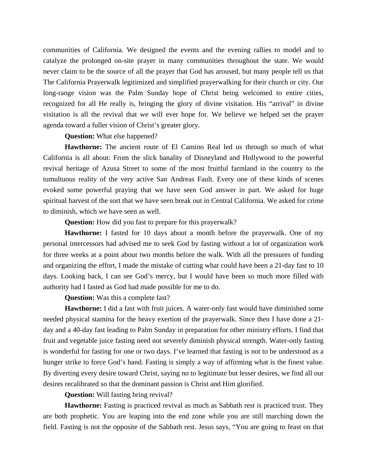communities of California. We designed the events and the evening rallies to model and to catalyze the prolonged on-site prayer in many communities throughout the state. We would never claim to be the source of all the prayer that God has aroused, but many people tell us that The California Prayerwalk legitimized and simplified prayerwalking for their church or city. Our long-range vision was the Palm Sunday hope of Christ being welcomed to entire cities, recognized for all He really is, bringing the glory of divine visitation. His "arrival" in divine visitation is all the revival that we will ever hope for. We believe we helped set the prayer agenda toward a fuller vision of Christ's greater glory.

### **Question:** What else happened?

**Hawthorne:** The ancient route of El Camino Real led us through so much of what California is all about: From the slick banality of Disneyland and Hollywood to the powerful revival heritage of Azusa Street to some of the most fruitful farmland in the country to the tumultuous reality of the very active San Andreas Fault. Every one of these kinds of scenes evoked some powerful praying that we have seen God answer in part. We asked for huge spiritual harvest of the sort that we have seen break out in Central California. We asked for crime to diminish, which we have seen as well.

#### **Question:** How did you fast to prepare for this prayerwalk?

**Hawthorne:** I fasted for 10 days about a month before the prayerwalk. One of my personal intercessors had advised me to seek God by fasting without a lot of organization work for three weeks at a point about two months before the walk. With all the pressures of funding and organizing the effort, I made the mistake of cutting what could have been a 21-day fast to 10 days. Looking back, I can see God's mercy, but I would have been so much more filled with authority had I fasted as God had made possible for me to do.

#### **Question:** Was this a complete fast?

**Hawthorne:** I did a fast with fruit juices. A water-only fast would have diminished some needed physical stamina for the heavy exertion of the prayerwalk. Since then I have done a 21 day and a 40-day fast leading to Palm Sunday in preparation for other ministry efforts. I find that fruit and vegetable juice fasting need not severely diminish physical strength. Water-only fasting is wonderful for fasting for one or two days. I've learned that fasting is not to be understood as a hunger strike to force God's hand. Fasting is simply a way of affirming what is the finest value. By diverting every desire toward Christ, saying no to legitimate but lesser desires, we find all our desires recalibrated so that the dominant passion is Christ and Him glorified.

### **Question:** Will fasting bring revival?

**Hawthorne:** Fasting is practiced revival as much as Sabbath rest is practiced trust. They are both prophetic. You are leaping into the end zone while you are still marching down the field. Fasting is not the opposite of the Sabbath rest. Jesus says, "You are going to feast on that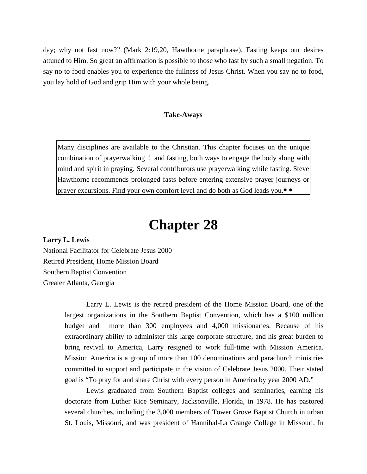day; why not fast now?" (Mark 2:19,20, Hawthorne paraphrase). Fasting keeps our desires attuned to Him. So great an affirmation is possible to those who fast by such a small negation. To say no to food enables you to experience the fullness of Jesus Christ. When you say no to food, you lay hold of God and grip Him with your whole being.

### **Take-Aways**

Many disciplines are available to the Christian. This chapter focuses on the unique combination of prayerwalking  $\parallel$  and fasting, both ways to engage the body along with mind and spirit in praying. Several contributors use prayerwalking while fasting. Steve Hawthorne recommends prolonged fasts before entering extensive prayer journeys or prayer excursions. Find your own comfort level and do both as God leads you.

### **Chapter 28**

#### **Larry L. Lewis**

National Facilitator for Celebrate Jesus 2000 Retired President, Home Mission Board Southern Baptist Convention Greater Atlanta, Georgia

> Larry L. Lewis is the retired president of the Home Mission Board, one of the largest organizations in the Southern Baptist Convention, which has a \$100 million budget and more than 300 employees and 4,000 missionaries. Because of his extraordinary ability to administer this large corporate structure, and his great burden to bring revival to America, Larry resigned to work full-time with Mission America. Mission America is a group of more than 100 denominations and parachurch ministries committed to support and participate in the vision of Celebrate Jesus 2000. Their stated goal is "To pray for and share Christ with every person in America by year 2000 AD."

> Lewis graduated from Southern Baptist colleges and seminaries, earning his doctorate from Luther Rice Seminary, Jacksonville, Florida, in 1978. He has pastored several churches, including the 3,000 members of Tower Grove Baptist Church in urban St. Louis, Missouri, and was president of Hannibal-La Grange College in Missouri. In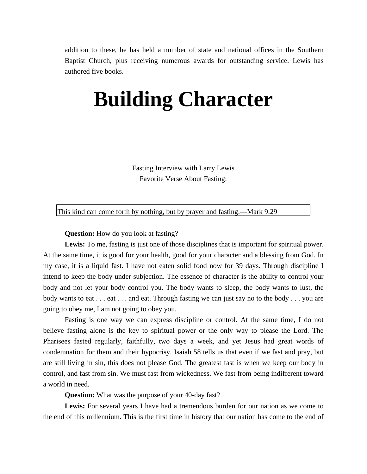addition to these, he has held a number of state and national offices in the Southern Baptist Church, plus receiving numerous awards for outstanding service. Lewis has authored five books.

# **Building Character**

Fasting Interview with Larry Lewis Favorite Verse About Fasting:

This kind can come forth by nothing, but by prayer and fasting.—Mark 9:29

**Question:** How do you look at fasting?

**Lewis:** To me, fasting is just one of those disciplines that is important for spiritual power. At the same time, it is good for your health, good for your character and a blessing from God. In my case, it is a liquid fast. I have not eaten solid food now for 39 days. Through discipline I intend to keep the body under subjection. The essence of character is the ability to control your body and not let your body control you. The body wants to sleep, the body wants to lust, the body wants to eat . . . eat . . . and eat. Through fasting we can just say no to the body . . . you are going to obey me, I am not going to obey you.

Fasting is one way we can express discipline or control. At the same time, I do not believe fasting alone is the key to spiritual power or the only way to please the Lord. The Pharisees fasted regularly, faithfully, two days a week, and yet Jesus had great words of condemnation for them and their hypocrisy. Isaiah 58 tells us that even if we fast and pray, but are still living in sin, this does not please God. The greatest fast is when we keep our body in control, and fast from sin. We must fast from wickedness. We fast from being indifferent toward a world in need.

**Question:** What was the purpose of your 40-day fast?

**Lewis:** For several years I have had a tremendous burden for our nation as we come to the end of this millennium. This is the first time in history that our nation has come to the end of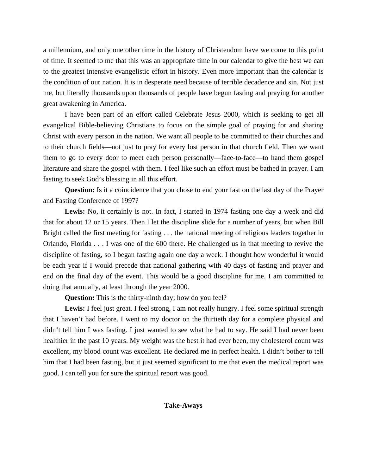a millennium, and only one other time in the history of Christendom have we come to this point of time. It seemed to me that this was an appropriate time in our calendar to give the best we can to the greatest intensive evangelistic effort in history. Even more important than the calendar is the condition of our nation. It is in desperate need because of terrible decadence and sin. Not just me, but literally thousands upon thousands of people have begun fasting and praying for another great awakening in America.

I have been part of an effort called Celebrate Jesus 2000, which is seeking to get all evangelical Bible-believing Christians to focus on the simple goal of praying for and sharing Christ with every person in the nation. We want all people to be committed to their churches and to their church fields—not just to pray for every lost person in that church field. Then we want them to go to every door to meet each person personally—face-to-face—to hand them gospel literature and share the gospel with them. I feel like such an effort must be bathed in prayer. I am fasting to seek God's blessing in all this effort.

**Question:** Is it a coincidence that you chose to end your fast on the last day of the Prayer and Fasting Conference of 1997?

**Lewis:** No, it certainly is not. In fact, I started in 1974 fasting one day a week and did that for about 12 or 15 years. Then I let the discipline slide for a number of years, but when Bill Bright called the first meeting for fasting . . . the national meeting of religious leaders together in Orlando, Florida . . . I was one of the 600 there. He challenged us in that meeting to revive the discipline of fasting, so I began fasting again one day a week. I thought how wonderful it would be each year if I would precede that national gathering with 40 days of fasting and prayer and end on the final day of the event. This would be a good discipline for me. I am committed to doing that annually, at least through the year 2000.

**Question:** This is the thirty-ninth day; how do you feel?

Lewis: I feel just great. I feel strong, I am not really hungry. I feel some spiritual strength that I haven't had before. I went to my doctor on the thirtieth day for a complete physical and didn't tell him I was fasting. I just wanted to see what he had to say. He said I had never been healthier in the past 10 years. My weight was the best it had ever been, my cholesterol count was excellent, my blood count was excellent. He declared me in perfect health. I didn't bother to tell him that I had been fasting, but it just seemed significant to me that even the medical report was good. I can tell you for sure the spiritual report was good.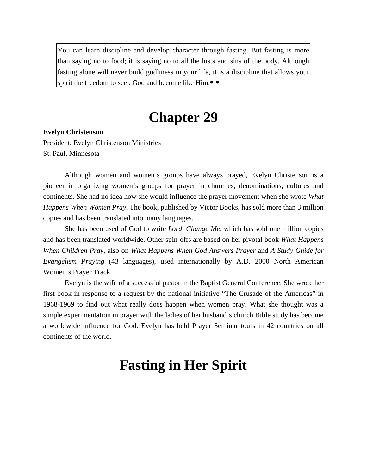You can learn discipline and develop character through fasting. But fasting is more than saying no to food; it is saying no to all the lusts and sins of the body. Although fasting alone will never build godliness in your life, it is a discipline that allows your spirit the freedom to seek God and become like Him.  $\bullet$   $\bullet$ 

# **Chapter 29**

#### **Evelyn Christenson**

President, Evelyn Christenson Ministries St. Paul, Minnesota

Although women and women's groups have always prayed, Evelyn Christenson is a pioneer in organizing women's groups for prayer in churches, denominations, cultures and continents. She had no idea how she would influence the prayer movement when she wrote *What Happens When Women Pray*. The book, published by Victor Books, has sold more than 3 million copies and has been translated into many languages.

She has been used of God to write *Lord, Change Me*, which has sold one million copies and has been translated worldwide. Other spin-offs are based on her pivotal book *What Happens When Children Pray*, also on *What Happens When God Answers Prayer* and *A Study Guide for Evangelism Praying* (43 languages), used internationally by A.D. 2000 North American Women's Prayer Track.

Evelyn is the wife of a successful pastor in the Baptist General Conference. She wrote her first book in response to a request by the national initiative "The Crusade of the Americas" in 1968-1969 to find out what really does happen when women pray. What she thought was a simple experimentation in prayer with the ladies of her husband's church Bible study has become a worldwide influence for God. Evelyn has held Prayer Seminar tours in 42 countries on all continents of the world.

# **Fasting in Her Spirit**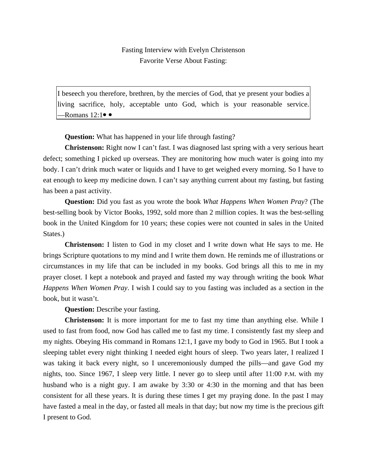Fasting Interview with Evelyn Christenson Favorite Verse About Fasting:

I beseech you therefore, brethren, by the mercies of God, that ye present your bodies a living sacrifice, holy, acceptable unto God, which is your reasonable service. -Romans  $12:1\bullet\bullet$ 

**Question:** What has happened in your life through fasting?

**Christenson:** Right now I can't fast. I was diagnosed last spring with a very serious heart defect; something I picked up overseas. They are monitoring how much water is going into my body. I can't drink much water or liquids and I have to get weighed every morning. So I have to eat enough to keep my medicine down. I can't say anything current about my fasting, but fasting has been a past activity.

**Question:** Did you fast as you wrote the book *What Happens When Women Pray*? (The best-selling book by Victor Books, 1992, sold more than 2 million copies. It was the best-selling book in the United Kingdom for 10 years; these copies were not counted in sales in the United States.)

**Christenson:** I listen to God in my closet and I write down what He says to me. He brings Scripture quotations to my mind and I write them down. He reminds me of illustrations or circumstances in my life that can be included in my books. God brings all this to me in my prayer closet. I kept a notebook and prayed and fasted my way through writing the book *What Happens When Women Pray*. I wish I could say to you fasting was included as a section in the book, but it wasn't.

**Question:** Describe your fasting.

**Christenson:** It is more important for me to fast my time than anything else. While I used to fast from food, now God has called me to fast my time. I consistently fast my sleep and my nights. Obeying His command in Romans 12:1, I gave my body to God in 1965. But I took a sleeping tablet every night thinking I needed eight hours of sleep. Two years later, I realized I was taking it back every night, so I unceremoniously dumped the pills—and gave God my nights, too. Since 1967, I sleep very little. I never go to sleep until after 11:00 P.M. with my husband who is a night guy. I am awake by 3:30 or 4:30 in the morning and that has been consistent for all these years. It is during these times I get my praying done. In the past I may have fasted a meal in the day, or fasted all meals in that day; but now my time is the precious gift I present to God.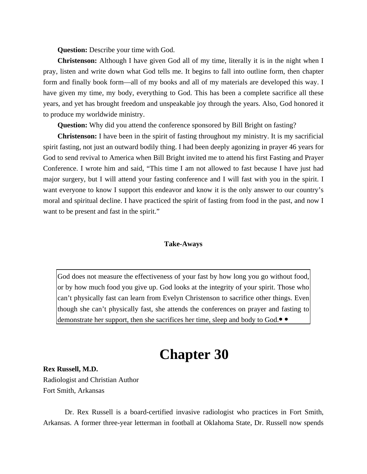**Question:** Describe your time with God.

**Christenson:** Although I have given God all of my time, literally it is in the night when I pray, listen and write down what God tells me. It begins to fall into outline form, then chapter form and finally book form—all of my books and all of my materials are developed this way. I have given my time, my body, everything to God. This has been a complete sacrifice all these years, and yet has brought freedom and unspeakable joy through the years. Also, God honored it to produce my worldwide ministry.

**Question:** Why did you attend the conference sponsored by Bill Bright on fasting?

**Christenson:** I have been in the spirit of fasting throughout my ministry. It is my sacrificial spirit fasting, not just an outward bodily thing. I had been deeply agonizing in prayer 46 years for God to send revival to America when Bill Bright invited me to attend his first Fasting and Prayer Conference. I wrote him and said, "This time I am not allowed to fast because I have just had major surgery, but I will attend your fasting conference and I will fast with you in the spirit. I want everyone to know I support this endeavor and know it is the only answer to our country's moral and spiritual decline. I have practiced the spirit of fasting from food in the past, and now I want to be present and fast in the spirit."

#### **Take-Aways**

God does not measure the effectiveness of your fast by how long you go without food, or by how much food you give up. God looks at the integrity of your spirit. Those who can't physically fast can learn from Evelyn Christenson to sacrifice other things. Even though she can't physically fast, she attends the conferences on prayer and fasting to demonstrate her support, then she sacrifices her time, sleep and body to God.

# **Chapter 30**

**Rex Russell, M.D.** Radiologist and Christian Author Fort Smith, Arkansas

Dr. Rex Russell is a board-certified invasive radiologist who practices in Fort Smith, Arkansas. A former three-year letterman in football at Oklahoma State, Dr. Russell now spends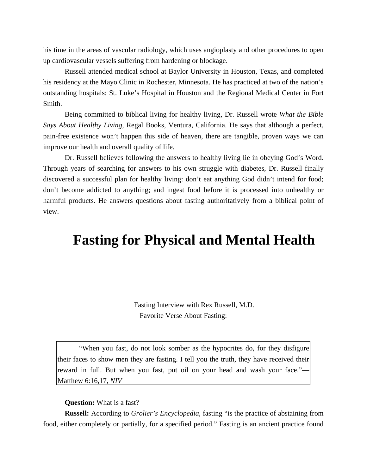his time in the areas of vascular radiology, which uses angioplasty and other procedures to open up cardiovascular vessels suffering from hardening or blockage.

Russell attended medical school at Baylor University in Houston, Texas, and completed his residency at the Mayo Clinic in Rochester, Minnesota. He has practiced at two of the nation's outstanding hospitals: St. Luke's Hospital in Houston and the Regional Medical Center in Fort Smith.

Being committed to biblical living for healthy living, Dr. Russell wrote *What the Bible Says About Healthy Living*, Regal Books, Ventura, California. He says that although a perfect, pain-free existence won't happen this side of heaven, there are tangible, proven ways we can improve our health and overall quality of life.

Dr. Russell believes following the answers to healthy living lie in obeying God's Word. Through years of searching for answers to his own struggle with diabetes, Dr. Russell finally discovered a successful plan for healthy living: don't eat anything God didn't intend for food; don't become addicted to anything; and ingest food before it is processed into unhealthy or harmful products. He answers questions about fasting authoritatively from a biblical point of view.

### **Fasting for Physical and Mental Health**

Fasting Interview with Rex Russell, M.D. Favorite Verse About Fasting:

"When you fast, do not look somber as the hypocrites do, for they disfigure their faces to show men they are fasting. I tell you the truth, they have received their reward in full. But when you fast, put oil on your head and wash your face."— Matthew 6:16,17, *NIV*

**Question:** What is a fast?

**Russell:** According to *Grolier's Encyclopedia*, fasting "is the practice of abstaining from food, either completely or partially, for a specified period." Fasting is an ancient practice found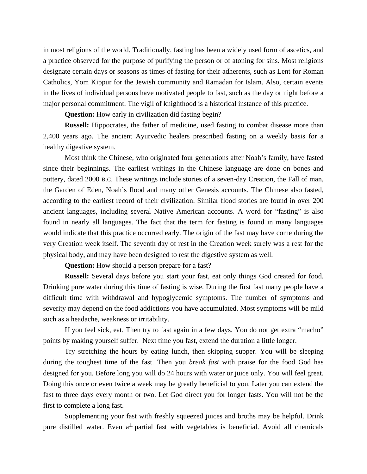in most religions of the world. Traditionally, fasting has been a widely used form of ascetics, and a practice observed for the purpose of purifying the person or of atoning for sins. Most religions designate certain days or seasons as times of fasting for their adherents, such as Lent for Roman Catholics, Yom Kippur for the Jewish community and Ramadan for Islam. Also, certain events in the lives of individual persons have motivated people to fast, such as the day or night before a major personal commitment. The vigil of knighthood is a historical instance of this practice.

**Question:** How early in civilization did fasting begin?

**Russell:** Hippocrates, the father of medicine, used fasting to combat disease more than 2,400 years ago. The ancient Ayurvedic healers prescribed fasting on a weekly basis for a healthy digestive system.

Most think the Chinese, who originated four generations after Noah's family, have fasted since their beginnings. The earliest writings in the Chinese language are done on bones and pottery, dated 2000 B.C. These writings include stories of a seven-day Creation, the Fall of man, the Garden of Eden, Noah's flood and many other Genesis accounts. The Chinese also fasted, according to the earliest record of their civilization. Similar flood stories are found in over 200 ancient languages, including several Native American accounts. A word for "fasting" is also found in nearly all languages. The fact that the term for fasting is found in many languages would indicate that this practice occurred early. The origin of the fast may have come during the very Creation week itself. The seventh day of rest in the Creation week surely was a rest for the physical body, and may have been designed to rest the digestive system as well.

**Question:** How should a person prepare for a fast?

**Russell:** Several days before you start your fast, eat only things God created for food. Drinking pure water during this time of fasting is wise. During the first fast many people have a difficult time with withdrawal and hypoglycemic symptoms. The number of symptoms and severity may depend on the food addictions you have accumulated. Most symptoms will be mild such as a headache, weakness or irritability.

If you feel sick, eat. Then try to fast again in a few days. You do not get extra "macho" points by making yourself suffer. Next time you fast, extend the duration a little longer.

Try stretching the hours by eating lunch, then skipping supper. You will be sleeping during the toughest time of the fast. Then you *break fast* with praise for the food God has designed for you. Before long you will do 24 hours with water or juice only. You will feel great. Doing this once or even twice a week may be greatly beneficial to you. Later you can extend the fast to three days every month or two. Let God direct you for longer fasts. You will not be the first to complete a long fast.

Supplementing your fast with freshly squeezed juices and broths may be helpful. Drink pure distilled water. Even  $a^{\perp}$  partial fast with vegetables is beneficial. Avoid all chemicals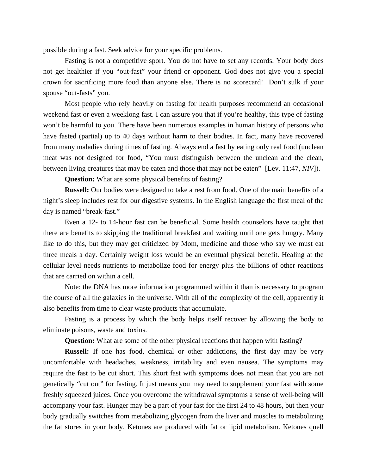possible during a fast. Seek advice for your specific problems.

Fasting is not a competitive sport. You do not have to set any records. Your body does not get healthier if you "out-fast" your friend or opponent. God does not give you a special crown for sacrificing more food than anyone else. There is no scorecard! Don't sulk if your spouse "out-fasts" you.

Most people who rely heavily on fasting for health purposes recommend an occasional weekend fast or even a weeklong fast. I can assure you that if you're healthy, this type of fasting won't be harmful to you. There have been numerous examples in human history of persons who have fasted (partial) up to 40 days without harm to their bodies. In fact, many have recovered from many maladies during times of fasting. Always end a fast by eating only real food (unclean meat was not designed for food, "You must distinguish between the unclean and the clean, between living creatures that may be eaten and those that may not be eaten" [Lev. 11:47, *NIV*]).

**Question:** What are some physical benefits of fasting?

**Russell:** Our bodies were designed to take a rest from food. One of the main benefits of a night's sleep includes rest for our digestive systems. In the English language the first meal of the day is named "break-fast."

Even a 12- to 14-hour fast can be beneficial. Some health counselors have taught that there are benefits to skipping the traditional breakfast and waiting until one gets hungry. Many like to do this, but they may get criticized by Mom, medicine and those who say we must eat three meals a day. Certainly weight loss would be an eventual physical benefit. Healing at the cellular level needs nutrients to metabolize food for energy plus the billions of other reactions that are carried on within a cell.

Note: the DNA has more information programmed within it than is necessary to program the course of all the galaxies in the universe. With all of the complexity of the cell, apparently it also benefits from time to clear waste products that accumulate.

Fasting is a process by which the body helps itself recover by allowing the body to eliminate poisons, waste and toxins.

**Question:** What are some of the other physical reactions that happen with fasting?

**Russell:** If one has food, chemical or other addictions, the first day may be very uncomfortable with headaches, weakness, irritability and even nausea. The symptoms may require the fast to be cut short. This short fast with symptoms does not mean that you are not genetically "cut out" for fasting. It just means you may need to supplement your fast with some freshly squeezed juices. Once you overcome the withdrawal symptoms a sense of well-being will accompany your fast. Hunger may be a part of your fast for the first 24 to 48 hours, but then your body gradually switches from metabolizing glycogen from the liver and muscles to metabolizing the fat stores in your body. Ketones are produced with fat or lipid metabolism. Ketones quell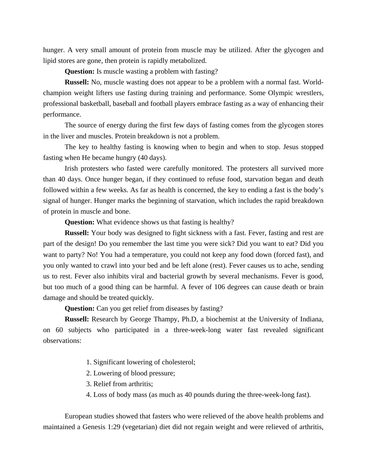hunger. A very small amount of protein from muscle may be utilized. After the glycogen and lipid stores are gone, then protein is rapidly metabolized.

**Question:** Is muscle wasting a problem with fasting?

**Russell:** No, muscle wasting does not appear to be a problem with a normal fast. Worldchampion weight lifters use fasting during training and performance. Some Olympic wrestlers, professional basketball, baseball and football players embrace fasting as a way of enhancing their performance.

The source of energy during the first few days of fasting comes from the glycogen stores in the liver and muscles. Protein breakdown is not a problem.

The key to healthy fasting is knowing when to begin and when to stop. Jesus stopped fasting when He became hungry (40 days).

Irish protesters who fasted were carefully monitored. The protesters all survived more than 40 days. Once hunger began, if they continued to refuse food, starvation began and death followed within a few weeks. As far as health is concerned, the key to ending a fast is the body's signal of hunger. Hunger marks the beginning of starvation, which includes the rapid breakdown of protein in muscle and bone.

**Question:** What evidence shows us that fasting is healthy?

**Russell:** Your body was designed to fight sickness with a fast. Fever, fasting and rest are part of the design! Do you remember the last time you were sick? Did you want to eat? Did you want to party? No! You had a temperature, you could not keep any food down (forced fast), and you only wanted to crawl into your bed and be left alone (rest). Fever causes us to ache, sending us to rest. Fever also inhibits viral and bacterial growth by several mechanisms. Fever is good, but too much of a good thing can be harmful. A fever of 106 degrees can cause death or brain damage and should be treated quickly.

**Question:** Can you get relief from diseases by fasting?

**Russell:** Research by George Thampy, Ph.D, a biochemist at the University of Indiana, on 60 subjects who participated in a three-week-long water fast revealed significant observations:

- 1. Significant lowering of cholesterol;
- 2. Lowering of blood pressure;
- 3. Relief from arthritis;
- 4. Loss of body mass (as much as 40 pounds during the three-week-long fast).

European studies showed that fasters who were relieved of the above health problems and maintained a Genesis 1:29 (vegetarian) diet did not regain weight and were relieved of arthritis,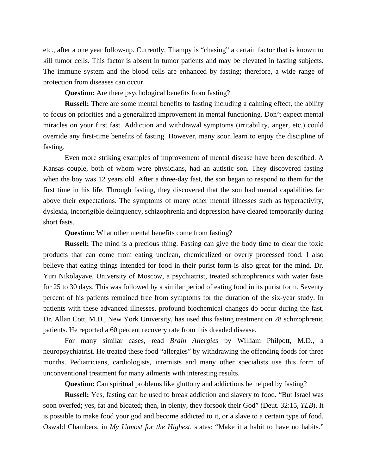etc., after a one year follow-up. Currently, Thampy is "chasing" a certain factor that is known to kill tumor cells. This factor is absent in tumor patients and may be elevated in fasting subjects. The immune system and the blood cells are enhanced by fasting; therefore, a wide range of protection from diseases can occur.

**Question:** Are there psychological benefits from fasting?

**Russell:** There are some mental benefits to fasting including a calming effect, the ability to focus on priorities and a generalized improvement in mental functioning. Don't expect mental miracles on your first fast. Addiction and withdrawal symptoms (irritability, anger, etc.) could override any first-time benefits of fasting. However, many soon learn to enjoy the discipline of fasting.

Even more striking examples of improvement of mental disease have been described. A Kansas couple, both of whom were physicians, had an autistic son. They discovered fasting when the boy was 12 years old. After a three-day fast, the son began to respond to them for the first time in his life. Through fasting, they discovered that the son had mental capabilities far above their expectations. The symptoms of many other mental illnesses such as hyperactivity, dyslexia, incorrigible delinquency, schizophrenia and depression have cleared temporarily during short fasts.

**Question:** What other mental benefits come from fasting?

**Russell:** The mind is a precious thing. Fasting can give the body time to clear the toxic products that can come from eating unclean, chemicalized or overly processed food. I also believe that eating things intended for food in their purist form is also great for the mind. Dr. Yuri Nikolayave, University of Moscow, a psychiatrist, treated schizophrenics with water fasts for 25 to 30 days. This was followed by a similar period of eating food in its purist form. Seventy percent of his patients remained free from symptoms for the duration of the six-year study. In patients with these advanced illnesses, profound biochemical changes do occur during the fast. Dr. Allan Cott, M.D., New York University, has used this fasting treatment on 28 schizophrenic patients. He reported a 60 percent recovery rate from this dreaded disease.

For many similar cases, read *Brain Allergies* by William Philpott, M.D., a neuropsychiatrist. He treated these food "allergies" by withdrawing the offending foods for three months. Pediatricians, cardiologists, internists and many other specialists use this form of unconventional treatment for many ailments with interesting results.

**Question:** Can spiritual problems like gluttony and addictions be helped by fasting?

**Russell:** Yes, fasting can be used to break addiction and slavery to food. "But Israel was soon overfed; yes, fat and bloated; then, in plenty, they forsook their God" (Deut. 32:15, *TLB*). It is possible to make food your god and become addicted to it, or a slave to a certain type of food. Oswald Chambers, in *My Utmost for the Highest*, states: "Make it a habit to have no habits."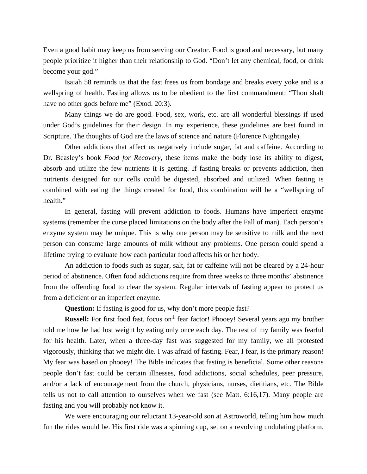Even a good habit may keep us from serving our Creator. Food is good and necessary, but many people prioritize it higher than their relationship to God. "Don't let any chemical, food, or drink become your god."

Isaiah 58 reminds us that the fast frees us from bondage and breaks every yoke and is a wellspring of health. Fasting allows us to be obedient to the first commandment: "Thou shalt have no other gods before me" (Exod. 20:3).

Many things we do are good. Food, sex, work, etc. are all wonderful blessings if used under God's guidelines for their design. In my experience, these guidelines are best found in Scripture. The thoughts of God are the laws of science and nature (Florence Nightingale).

Other addictions that affect us negatively include sugar, fat and caffeine. According to Dr. Beasley's book *Food for Recovery*, these items make the body lose its ability to digest, absorb and utilize the few nutrients it is getting. If fasting breaks or prevents addiction, then nutrients designed for our cells could be digested, absorbed and utilized. When fasting is combined with eating the things created for food, this combination will be a "wellspring of health."

In general, fasting will prevent addiction to foods. Humans have imperfect enzyme systems (remember the curse placed limitations on the body after the Fall of man). Each person's enzyme system may be unique. This is why one person may be sensitive to milk and the next person can consume large amounts of milk without any problems. One person could spend a lifetime trying to evaluate how each particular food affects his or her body.

An addiction to foods such as sugar, salt, fat or caffeine will not be cleared by a 24-hour period of abstinence. Often food addictions require from three weeks to three months' abstinence from the offending food to clear the system. Regular intervals of fasting appear to protect us from a deficient or an imperfect enzyme.

**Question:** If fasting is good for us, why don't more people fast?

**Russell:** For first food fast, focus on  $\pm$  fear factor! Phooey! Several years ago my brother told me how he had lost weight by eating only once each day. The rest of my family was fearful for his health. Later, when a three-day fast was suggested for my family, we all protested vigorously, thinking that we might die. I was afraid of fasting. Fear, I fear, is the primary reason! My fear was based on phooey! The Bible indicates that fasting is beneficial. Some other reasons people don't fast could be certain illnesses, food addictions, social schedules, peer pressure, and/or a lack of encouragement from the church, physicians, nurses, dietitians, etc. The Bible tells us not to call attention to ourselves when we fast (see Matt. 6:16,17). Many people are fasting and you will probably not know it.

We were encouraging our reluctant 13-year-old son at Astroworld, telling him how much fun the rides would be. His first ride was a spinning cup, set on a revolving undulating platform.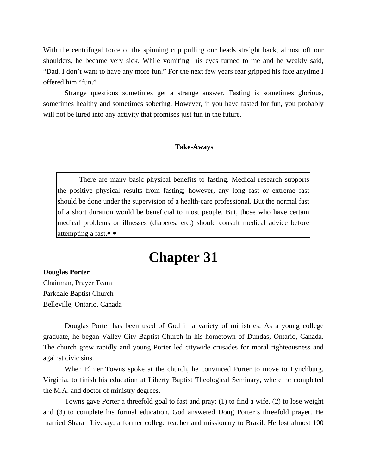With the centrifugal force of the spinning cup pulling our heads straight back, almost off our shoulders, he became very sick. While vomiting, his eyes turned to me and he weakly said, "Dad, I don't want to have any more fun." For the next few years fear gripped his face anytime I offered him "fun."

Strange questions sometimes get a strange answer. Fasting is sometimes glorious, sometimes healthy and sometimes sobering. However, if you have fasted for fun, you probably will not be lured into any activity that promises just fun in the future.

#### **Take-Aways**

There are many basic physical benefits to fasting. Medical research supports the positive physical results from fasting; however, any long fast or extreme fast should be done under the supervision of a health-care professional. But the normal fast of a short duration would be beneficial to most people. But, those who have certain medical problems or illnesses (diabetes, etc.) should consult medical advice before attempting a fast. • •

### **Chapter 31**

#### **Douglas Porter**

Chairman, Prayer Team Parkdale Baptist Church Belleville, Ontario, Canada

Douglas Porter has been used of God in a variety of ministries. As a young college graduate, he began Valley City Baptist Church in his hometown of Dundas, Ontario, Canada. The church grew rapidly and young Porter led citywide crusades for moral righteousness and against civic sins.

When Elmer Towns spoke at the church, he convinced Porter to move to Lynchburg, Virginia, to finish his education at Liberty Baptist Theological Seminary, where he completed the M.A. and doctor of ministry degrees.

Towns gave Porter a threefold goal to fast and pray: (1) to find a wife, (2) to lose weight and (3) to complete his formal education. God answered Doug Porter's threefold prayer. He married Sharan Livesay, a former college teacher and missionary to Brazil. He lost almost 100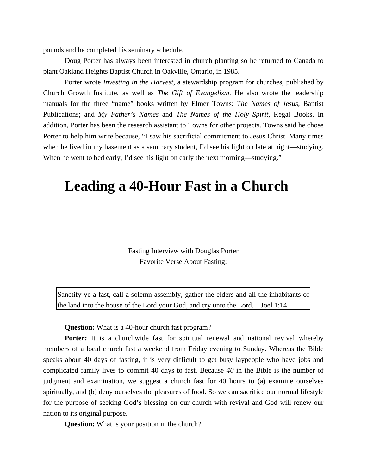pounds and he completed his seminary schedule.

Doug Porter has always been interested in church planting so he returned to Canada to plant Oakland Heights Baptist Church in Oakville, Ontario, in 1985.

Porter wrote *Investing in the Harvest*, a stewardship program for churches, published by Church Growth Institute, as well as *The Gift of Evangelism*. He also wrote the leadership manuals for the three "name" books written by Elmer Towns: *The Names of Jesus*, Baptist Publications; and *My Father's Names* and *The Names of the Holy Spirit*, Regal Books. In addition, Porter has been the research assistant to Towns for other projects. Towns said he chose Porter to help him write because, "I saw his sacrificial commitment to Jesus Christ. Many times when he lived in my basement as a seminary student, I'd see his light on late at night—studying. When he went to bed early, I'd see his light on early the next morning—studying."

# **Leading a 40-Hour Fast in a Church**

Fasting Interview with Douglas Porter Favorite Verse About Fasting:

Sanctify ye a fast, call a solemn assembly, gather the elders and all the inhabitants of the land into the house of the Lord your God, and cry unto the Lord.—Joel 1:14

**Question:** What is a 40-hour church fast program?

**Porter:** It is a churchwide fast for spiritual renewal and national revival whereby members of a local church fast a weekend from Friday evening to Sunday. Whereas the Bible speaks about 40 days of fasting, it is very difficult to get busy laypeople who have jobs and complicated family lives to commit 40 days to fast. Because *40* in the Bible is the number of judgment and examination, we suggest a church fast for 40 hours to (a) examine ourselves spiritually, and (b) deny ourselves the pleasures of food. So we can sacrifice our normal lifestyle for the purpose of seeking God's blessing on our church with revival and God will renew our nation to its original purpose.

**Question:** What is your position in the church?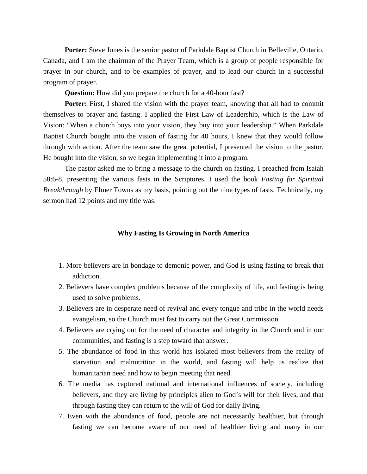**Porter:** Steve Jones is the senior pastor of Parkdale Baptist Church in Belleville, Ontario, Canada, and I am the chairman of the Prayer Team, which is a group of people responsible for prayer in our church, and to be examples of prayer, and to lead our church in a successful program of prayer.

**Question:** How did you prepare the church for a 40-hour fast?

**Porter:** First, I shared the vision with the prayer team, knowing that all had to commit themselves to prayer and fasting. I applied the First Law of Leadership, which is the Law of Vision: "When a church buys into your vision, they buy into your leadership." When Parkdale Baptist Church bought into the vision of fasting for 40 hours, I knew that they would follow through with action. After the team saw the great potential, I presented the vision to the pastor. He bought into the vision, so we began implementing it into a program.

The pastor asked me to bring a message to the church on fasting. I preached from Isaiah 58:6-8, presenting the various fasts in the Scriptures. I used the book *Fasting for Spiritual Breakthrough* by Elmer Towns as my basis, pointing out the nine types of fasts. Technically, my sermon had 12 points and my title was:

#### **Why Fasting Is Growing in North America**

- 1. More believers are in bondage to demonic power, and God is using fasting to break that addiction.
- 2. Believers have complex problems because of the complexity of life, and fasting is being used to solve problems.
- 3. Believers are in desperate need of revival and every tongue and tribe in the world needs evangelism, so the Church must fast to carry out the Great Commission.
- 4. Believers are crying out for the need of character and integrity in the Church and in our communities, and fasting is a step toward that answer.
- 5. The abundance of food in this world has isolated most believers from the reality of starvation and malnutrition in the world, and fasting will help us realize that humanitarian need and how to begin meeting that need.
- 6. The media has captured national and international influences of society, including believers, and they are living by principles alien to God's will for their lives, and that through fasting they can return to the will of God for daily living.
- 7. Even with the abundance of food, people are not necessarily healthier, but through fasting we can become aware of our need of healthier living and many in our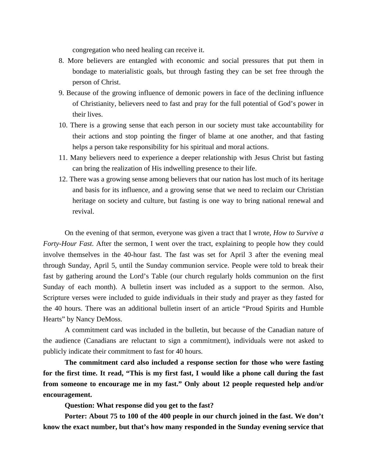congregation who need healing can receive it.

- 8. More believers are entangled with economic and social pressures that put them in bondage to materialistic goals, but through fasting they can be set free through the person of Christ.
- 9. Because of the growing influence of demonic powers in face of the declining influence of Christianity, believers need to fast and pray for the full potential of God's power in their lives.
- 10. There is a growing sense that each person in our society must take accountability for their actions and stop pointing the finger of blame at one another, and that fasting helps a person take responsibility for his spiritual and moral actions.
- 11. Many believers need to experience a deeper relationship with Jesus Christ but fasting can bring the realization of His indwelling presence to their life.
- 12. There was a growing sense among believers that our nation has lost much of its heritage and basis for its influence, and a growing sense that we need to reclaim our Christian heritage on society and culture, but fasting is one way to bring national renewal and revival.

On the evening of that sermon, everyone was given a tract that I wrote, *How to Survive a Forty-Hour Fast*. After the sermon, I went over the tract, explaining to people how they could involve themselves in the 40-hour fast. The fast was set for April 3 after the evening meal through Sunday, April 5, until the Sunday communion service. People were told to break their fast by gathering around the Lord's Table (our church regularly holds communion on the first Sunday of each month). A bulletin insert was included as a support to the sermon. Also, Scripture verses were included to guide individuals in their study and prayer as they fasted for the 40 hours. There was an additional bulletin insert of an article "Proud Spirits and Humble Hearts" by Nancy DeMoss.

A commitment card was included in the bulletin, but because of the Canadian nature of the audience (Canadians are reluctant to sign a commitment), individuals were not asked to publicly indicate their commitment to fast for 40 hours.

**The commitment card also included a response section for those who were fasting for the first time. It read, "This is my first fast, I would like a phone call during the fast from someone to encourage me in my fast." Only about 12 people requested help and/or encouragement.** 

**Question: What response did you get to the fast?** 

**Porter: About 75 to 100 of the 400 people in our church joined in the fast. We don't know the exact number, but that's how many responded in the Sunday evening service that**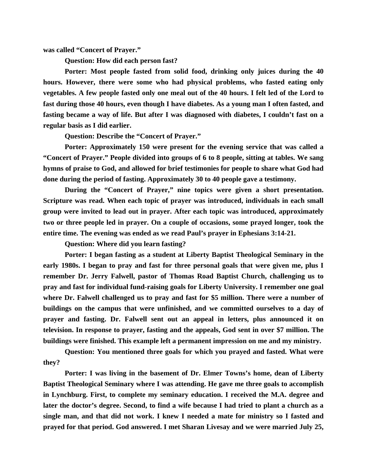**was called "Concert of Prayer."** 

**Question: How did each person fast?** 

**Porter: Most people fasted from solid food, drinking only juices during the 40 hours. However, there were some who had physical problems, who fasted eating only vegetables. A few people fasted only one meal out of the 40 hours. I felt led of the Lord to fast during those 40 hours, even though I have diabetes. As a young man I often fasted, and fasting became a way of life. But after I was diagnosed with diabetes, I couldn't fast on a regular basis as I did earlier.** 

**Question: Describe the "Concert of Prayer."** 

**Porter: Approximately 150 were present for the evening service that was called a "Concert of Prayer." People divided into groups of 6 to 8 people, sitting at tables. We sang hymns of praise to God, and allowed for brief testimonies for people to share what God had done during the period of fasting. Approximately 30 to 40 people gave a testimony.** 

**During the "Concert of Prayer," nine topics were given a short presentation. Scripture was read. When each topic of prayer was introduced, individuals in each small group were invited to lead out in prayer. After each topic was introduced, approximately two or three people led in prayer. On a couple of occasions, some prayed longer, took the entire time. The evening was ended as we read Paul's prayer in Ephesians 3:14-21.** 

**Question: Where did you learn fasting?** 

**Porter: I began fasting as a student at Liberty Baptist Theological Seminary in the early 1980s. I began to pray and fast for three personal goals that were given me, plus I remember Dr. Jerry Falwell, pastor of Thomas Road Baptist Church, challenging us to pray and fast for individual fund-raising goals for Liberty University. I remember one goal where Dr. Falwell challenged us to pray and fast for \$5 million. There were a number of buildings on the campus that were unfinished, and we committed ourselves to a day of prayer and fasting. Dr. Falwell sent out an appeal in letters, plus announced it on television. In response to prayer, fasting and the appeals, God sent in over \$7 million. The buildings were finished. This example left a permanent impression on me and my ministry.** 

**Question: You mentioned three goals for which you prayed and fasted. What were they?** 

**Porter: I was living in the basement of Dr. Elmer Towns's home, dean of Liberty Baptist Theological Seminary where I was attending. He gave me three goals to accomplish in Lynchburg. First, to complete my seminary education. I received the M.A. degree and later the doctor's degree. Second, to find a wife because I had tried to plant a church as a single man, and that did not work. I knew I needed a mate for ministry so I fasted and prayed for that period. God answered. I met Sharan Livesay and we were married July 25,**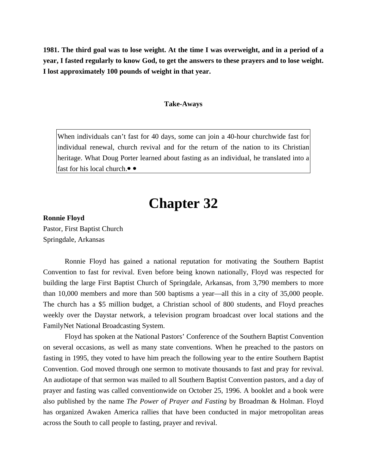**1981. The third goal was to lose weight. At the time I was overweight, and in a period of a year, I fasted regularly to know God, to get the answers to these prayers and to lose weight. I lost approximately 100 pounds of weight in that year.** 

#### **Take-Aways**

When individuals can't fast for 40 days, some can join a 40-hour churchwide fast for individual renewal, church revival and for the return of the nation to its Christian heritage. What Doug Porter learned about fasting as an individual, he translated into a fast for his local church.  $\bullet$ 

# **Chapter 32**

#### **Ronnie Floyd**

Pastor, First Baptist Church Springdale, Arkansas

Ronnie Floyd has gained a national reputation for motivating the Southern Baptist Convention to fast for revival. Even before being known nationally, Floyd was respected for building the large First Baptist Church of Springdale, Arkansas, from 3,790 members to more than 10,000 members and more than 500 baptisms a year—all this in a city of 35,000 people. The church has a \$5 million budget, a Christian school of 800 students, and Floyd preaches weekly over the Daystar network, a television program broadcast over local stations and the FamilyNet National Broadcasting System.

Floyd has spoken at the National Pastors' Conference of the Southern Baptist Convention on several occasions, as well as many state conventions. When he preached to the pastors on fasting in 1995, they voted to have him preach the following year to the entire Southern Baptist Convention. God moved through one sermon to motivate thousands to fast and pray for revival. An audiotape of that sermon was mailed to all Southern Baptist Convention pastors, and a day of prayer and fasting was called conventionwide on October 25, 1996. A booklet and a book were also published by the name *The Power of Prayer and Fasting* by Broadman & Holman. Floyd has organized Awaken America rallies that have been conducted in major metropolitan areas across the South to call people to fasting, prayer and revival.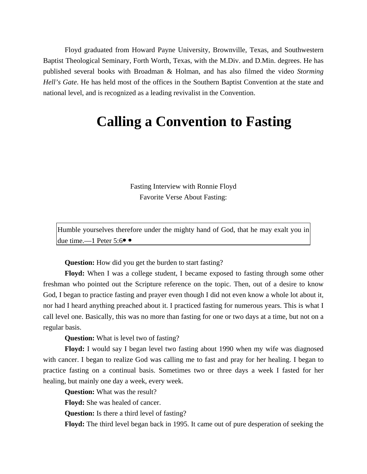Floyd graduated from Howard Payne University, Brownville, Texas, and Southwestern Baptist Theological Seminary, Forth Worth, Texas, with the M.Div. and D.Min. degrees. He has published several books with Broadman & Holman, and has also filmed the video *Storming Hell's Gate*. He has held most of the offices in the Southern Baptist Convention at the state and national level, and is recognized as a leading revivalist in the Convention.

# **Calling a Convention to Fasting**

Fasting Interview with Ronnie Floyd Favorite Verse About Fasting:

Humble yourselves therefore under the mighty hand of God, that he may exalt you in due time.—1 Peter 5:6● ●

**Question:** How did you get the burden to start fasting?

**Floyd:** When I was a college student, I became exposed to fasting through some other freshman who pointed out the Scripture reference on the topic. Then, out of a desire to know God, I began to practice fasting and prayer even though I did not even know a whole lot about it, nor had I heard anything preached about it. I practiced fasting for numerous years. This is what I call level one. Basically, this was no more than fasting for one or two days at a time, but not on a regular basis.

**Question:** What is level two of fasting?

**Floyd:** I would say I began level two fasting about 1990 when my wife was diagnosed with cancer. I began to realize God was calling me to fast and pray for her healing. I began to practice fasting on a continual basis. Sometimes two or three days a week I fasted for her healing, but mainly one day a week, every week.

**Question:** What was the result?

**Floyd:** She was healed of cancer.

**Question:** Is there a third level of fasting?

**Floyd:** The third level began back in 1995. It came out of pure desperation of seeking the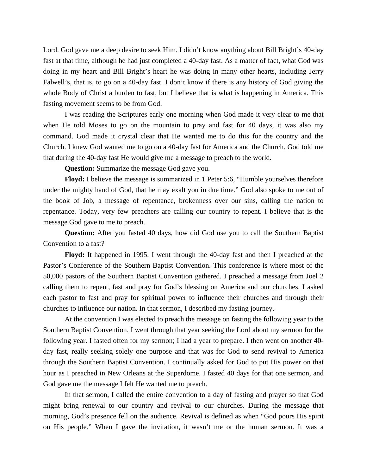Lord. God gave me a deep desire to seek Him. I didn't know anything about Bill Bright's 40-day fast at that time, although he had just completed a 40-day fast. As a matter of fact, what God was doing in my heart and Bill Bright's heart he was doing in many other hearts, including Jerry Falwell's, that is, to go on a 40-day fast. I don't know if there is any history of God giving the whole Body of Christ a burden to fast, but I believe that is what is happening in America. This fasting movement seems to be from God.

I was reading the Scriptures early one morning when God made it very clear to me that when He told Moses to go on the mountain to pray and fast for 40 days, it was also my command. God made it crystal clear that He wanted me to do this for the country and the Church. I knew God wanted me to go on a 40-day fast for America and the Church. God told me that during the 40-day fast He would give me a message to preach to the world.

**Question:** Summarize the message God gave you.

**Floyd:** I believe the message is summarized in 1 Peter 5:6, "Humble yourselves therefore under the mighty hand of God, that he may exalt you in due time." God also spoke to me out of the book of Job, a message of repentance, brokenness over our sins, calling the nation to repentance. Today, very few preachers are calling our country to repent. I believe that is the message God gave to me to preach.

**Question:** After you fasted 40 days, how did God use you to call the Southern Baptist Convention to a fast?

**Floyd:** It happened in 1995. I went through the 40-day fast and then I preached at the Pastor's Conference of the Southern Baptist Convention. This conference is where most of the 50,000 pastors of the Southern Baptist Convention gathered. I preached a message from Joel 2 calling them to repent, fast and pray for God's blessing on America and our churches. I asked each pastor to fast and pray for spiritual power to influence their churches and through their churches to influence our nation. In that sermon, I described my fasting journey.

At the convention I was elected to preach the message on fasting the following year to the Southern Baptist Convention. I went through that year seeking the Lord about my sermon for the following year. I fasted often for my sermon; I had a year to prepare. I then went on another 40 day fast, really seeking solely one purpose and that was for God to send revival to America through the Southern Baptist Convention. I continually asked for God to put His power on that hour as I preached in New Orleans at the Superdome. I fasted 40 days for that one sermon, and God gave me the message I felt He wanted me to preach.

In that sermon, I called the entire convention to a day of fasting and prayer so that God might bring renewal to our country and revival to our churches. During the message that morning, God's presence fell on the audience. Revival is defined as when "God pours His spirit on His people." When I gave the invitation, it wasn't me or the human sermon. It was a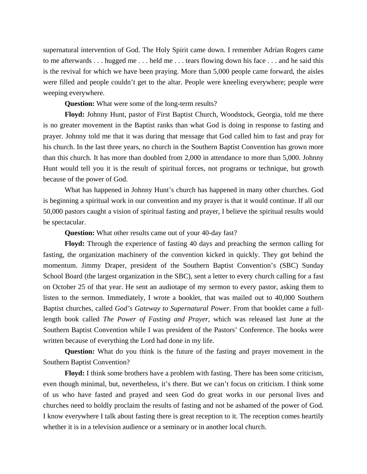supernatural intervention of God. The Holy Spirit came down. I remember Adrian Rogers came to me afterwards . . . hugged me . . . held me . . . tears flowing down his face . . . and he said this is the revival for which we have been praying. More than 5,000 people came forward, the aisles were filled and people couldn't get to the altar. People were kneeling everywhere; people were weeping everywhere.

**Question:** What were some of the long-term results?

**Floyd:** Johnny Hunt, pastor of First Baptist Church, Woodstock, Georgia, told me there is no greater movement in the Baptist ranks than what God is doing in response to fasting and prayer. Johnny told me that it was during that message that God called him to fast and pray for his church. In the last three years, no church in the Southern Baptist Convention has grown more than this church. It has more than doubled from 2,000 in attendance to more than 5,000. Johnny Hunt would tell you it is the result of spiritual forces, not programs or technique, but growth because of the power of God.

What has happened in Johnny Hunt's church has happened in many other churches. God is beginning a spiritual work in our convention and my prayer is that it would continue. If all our 50,000 pastors caught a vision of spiritual fasting and prayer, I believe the spiritual results would be spectacular.

**Question:** What other results came out of your 40-day fast?

**Floyd:** Through the experience of fasting 40 days and preaching the sermon calling for fasting, the organization machinery of the convention kicked in quickly. They got behind the momentum. Jimmy Draper, president of the Southern Baptist Convention's (SBC) Sunday School Board (the largest organization in the SBC), sent a letter to every church calling for a fast on October 25 of that year. He sent an audiotape of my sermon to every pastor, asking them to listen to the sermon. Immediately, I wrote a booklet, that was mailed out to 40,000 Southern Baptist churches, called *God's Gateway to Supernatural Power*. From that booklet came a fulllength book called *The Power of Fasting and Prayer*, which was released last June at the Southern Baptist Convention while I was president of the Pastors' Conference. The books were written because of everything the Lord had done in my life.

**Question:** What do you think is the future of the fasting and prayer movement in the Southern Baptist Convention?

**Floyd:** I think some brothers have a problem with fasting. There has been some criticism, even though minimal, but, nevertheless, it's there. But we can't focus on criticism. I think some of us who have fasted and prayed and seen God do great works in our personal lives and churches need to boldly proclaim the results of fasting and not be ashamed of the power of God. I know everywhere I talk about fasting there is great reception to it. The reception comes heartily whether it is in a television audience or a seminary or in another local church.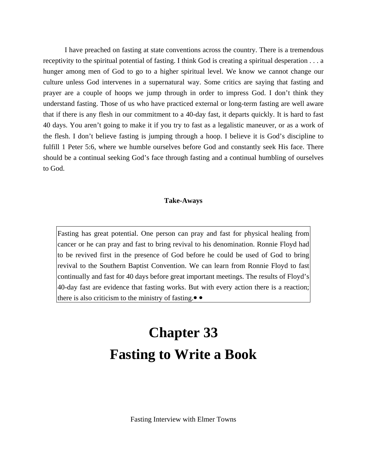I have preached on fasting at state conventions across the country. There is a tremendous receptivity to the spiritual potential of fasting. I think God is creating a spiritual desperation . . . a hunger among men of God to go to a higher spiritual level. We know we cannot change our culture unless God intervenes in a supernatural way. Some critics are saying that fasting and prayer are a couple of hoops we jump through in order to impress God. I don't think they understand fasting. Those of us who have practiced external or long-term fasting are well aware that if there is any flesh in our commitment to a 40-day fast, it departs quickly. It is hard to fast 40 days. You aren't going to make it if you try to fast as a legalistic maneuver, or as a work of the flesh. I don't believe fasting is jumping through a hoop. I believe it is God's discipline to fulfill 1 Peter 5:6, where we humble ourselves before God and constantly seek His face. There should be a continual seeking God's face through fasting and a continual humbling of ourselves to God.

#### **Take-Aways**

Fasting has great potential. One person can pray and fast for physical healing from cancer or he can pray and fast to bring revival to his denomination. Ronnie Floyd had to be revived first in the presence of God before he could be used of God to bring revival to the Southern Baptist Convention. We can learn from Ronnie Floyd to fast continually and fast for 40 days before great important meetings. The results of Floyd's 40-day fast are evidence that fasting works. But with every action there is a reaction; there is also criticism to the ministry of fasting. $\bullet$ 

# **Chapter 33 Fasting to Write a Book**

Fasting Interview with Elmer Towns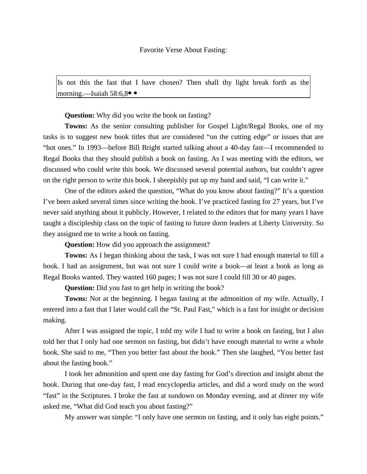Is not this the fast that I have chosen? Then shall thy light break forth as the morning.—Isaiah 58:6,8

**Question:** Why did you write the book on fasting?

**Towns:** As the senior consulting publisher for Gospel Light/Regal Books, one of my tasks is to suggest new book titles that are considered "on the cutting edge" or issues that are "hot ones." In 1993—before Bill Bright started talking about a 40-day fast—I recommended to Regal Books that they should publish a book on fasting. As I was meeting with the editors, we discussed who could write this book. We discussed several potential authors, but couldn't agree on the right person to write this book. I sheepishly put up my hand and said, "I can write it."

One of the editors asked the question, "What do you know about fasting?" It's a question I've been asked several times since writing the book. I've practiced fasting for 27 years, but I've never said anything about it publicly. However, I related to the editors that for many years I have taught a discipleship class on the topic of fasting to future dorm leaders at Liberty University. So they assigned me to write a book on fasting.

**Question:** How did you approach the assignment?

**Towns:** As I began thinking about the task, I was not sure I had enough material to fill a book. I had an assignment, but was not sure I could write a book—at least a book as long as Regal Books wanted. They wanted 160 pages; I was not sure I could fill 30 or 40 pages.

**Question:** Did you fast to get help in writing the book?

**Towns:** Not at the beginning. I began fasting at the admonition of my wife. Actually, I entered into a fast that I later would call the "St. Paul Fast," which is a fast for insight or decision making.

After I was assigned the topic, I told my wife I had to write a book on fasting, but I also told her that I only had one sermon on fasting, but didn't have enough material to write a whole book. She said to me, "Then you better fast about the book." Then she laughed, "You better fast about the fasting book."

I took her admonition and spent one day fasting for God's direction and insight about the book. During that one-day fast, I read encyclopedia articles, and did a word study on the word "fast" in the Scriptures. I broke the fast at sundown on Monday evening, and at dinner my wife asked me, "What did God teach you about fasting?"

My answer was simple: "I only have one sermon on fasting, and it only has eight points."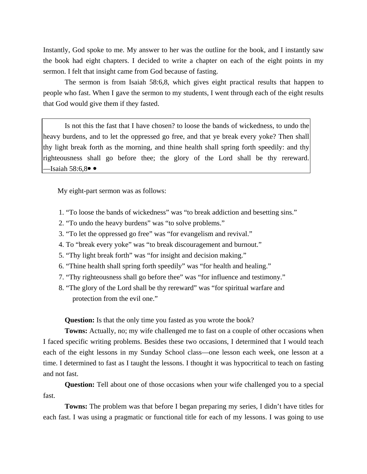Instantly, God spoke to me. My answer to her was the outline for the book, and I instantly saw the book had eight chapters. I decided to write a chapter on each of the eight points in my sermon. I felt that insight came from God because of fasting.

The sermon is from Isaiah 58:6,8, which gives eight practical results that happen to people who fast. When I gave the sermon to my students, I went through each of the eight results that God would give them if they fasted.

Is not this the fast that I have chosen? to loose the bands of wickedness, to undo the heavy burdens, and to let the oppressed go free, and that ye break every yoke? Then shall thy light break forth as the morning, and thine health shall spring forth speedily: and thy righteousness shall go before thee; the glory of the Lord shall be thy rereward.  $-$ Isaiah 58:6,8 $\bullet$   $\bullet$ 

My eight-part sermon was as follows:

- 1. "To loose the bands of wickedness" was "to break addiction and besetting sins."
- 2. "To undo the heavy burdens" was "to solve problems."
- 3. "To let the oppressed go free" was "for evangelism and revival."
- 4. To "break every yoke" was "to break discouragement and burnout."
- 5. "Thy light break forth" was "for insight and decision making."
- 6. "Thine health shall spring forth speedily" was "for health and healing."
- 7. "Thy righteousness shall go before thee" was "for influence and testimony."
- 8. "The glory of the Lord shall be thy rereward" was "for spiritual warfare and protection from the evil one."

**Question:** Is that the only time you fasted as you wrote the book?

**Towns:** Actually, no; my wife challenged me to fast on a couple of other occasions when I faced specific writing problems. Besides these two occasions, I determined that I would teach each of the eight lessons in my Sunday School class—one lesson each week, one lesson at a time. I determined to fast as I taught the lessons. I thought it was hypocritical to teach on fasting and not fast.

**Question:** Tell about one of those occasions when your wife challenged you to a special fast.

**Towns:** The problem was that before I began preparing my series, I didn't have titles for each fast. I was using a pragmatic or functional title for each of my lessons. I was going to use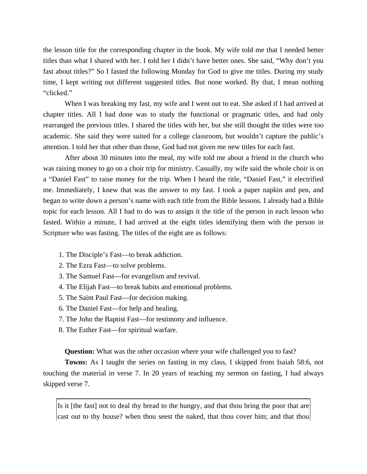the lesson title for the corresponding chapter in the book. My wife told me that I needed better titles than what I shared with her. I told her I didn't have better ones. She said, "Why don't you fast about titles?" So I fasted the following Monday for God to give me titles. During my study time, I kept writing out different suggested titles. But none worked. By that, I mean nothing "clicked."

When I was breaking my fast, my wife and I went out to eat. She asked if I had arrived at chapter titles. All I had done was to study the functional or pragmatic titles, and had only rearranged the previous titles. I shared the titles with her, but she still thought the titles were too academic. She said they were suited for a college classroom, but wouldn't capture the public's attention. I told her that other than those, God had not given me new titles for each fast.

After about 30 minutes into the meal, my wife told me about a friend in the church who was raising money to go on a choir trip for ministry. Casually, my wife said the whole choir is on a "Daniel Fast" to raise money for the trip. When I heard the title, "Daniel Fast," it electrified me. Immediately, I knew that was the answer to my fast. I took a paper napkin and pen, and began to write down a person's name with each title from the Bible lessons. I already had a Bible topic for each lesson. All I had to do was to assign it the title of the person in each lesson who fasted. Within a minute, I had arrived at the eight titles identifying them with the person in Scripture who was fasting. The titles of the eight are as follows:

- 1. The Disciple's Fast—to break addiction.
- 2. The Ezra Fast—to solve problems.
- 3. The Samuel Fast—for evangelism and revival.
- 4. The Elijah Fast—to break habits and emotional problems.
- 5. The Saint Paul Fast—for decision making.
- 6. The Daniel Fast—for help and healing.
- 7. The John the Baptist Fast—for testimony and influence.
- 8. The Esther Fast—for spiritual warfare.

**Question:** What was the other occasion where your wife challenged you to fast?

**Towns:** As I taught the series on fasting in my class, I skipped from Isaiah 58:6, not touching the material in verse 7. In 20 years of teaching my sermon on fasting, I had always skipped verse 7.

Is it [the fast] not to deal thy bread to the hungry, and that thou bring the poor that are cast out to thy house? when thou seest the naked, that thou cover him; and that thou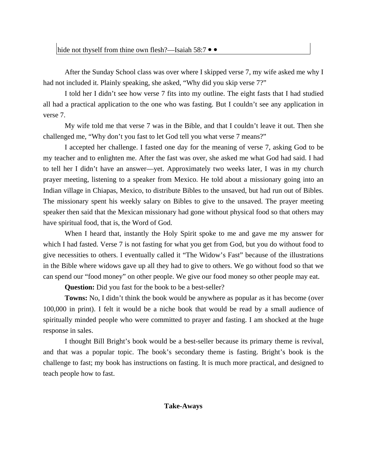After the Sunday School class was over where I skipped verse 7, my wife asked me why I had not included it. Plainly speaking, she asked, "Why did you skip verse 7?"

I told her I didn't see how verse 7 fits into my outline. The eight fasts that I had studied all had a practical application to the one who was fasting. But I couldn't see any application in verse 7.

My wife told me that verse 7 was in the Bible, and that I couldn't leave it out. Then she challenged me, "Why don't you fast to let God tell you what verse 7 means?"

I accepted her challenge. I fasted one day for the meaning of verse 7, asking God to be my teacher and to enlighten me. After the fast was over, she asked me what God had said. I had to tell her I didn't have an answer—yet. Approximately two weeks later, I was in my church prayer meeting, listening to a speaker from Mexico. He told about a missionary going into an Indian village in Chiapas, Mexico, to distribute Bibles to the unsaved, but had run out of Bibles. The missionary spent his weekly salary on Bibles to give to the unsaved. The prayer meeting speaker then said that the Mexican missionary had gone without physical food so that others may have spiritual food, that is, the Word of God.

When I heard that, instantly the Holy Spirit spoke to me and gave me my answer for which I had fasted. Verse 7 is not fasting for what you get from God, but you do without food to give necessities to others. I eventually called it "The Widow's Fast" because of the illustrations in the Bible where widows gave up all they had to give to others. We go without food so that we can spend our "food money" on other people. We give our food money so other people may eat.

**Question:** Did you fast for the book to be a best-seller?

**Towns:** No, I didn't think the book would be anywhere as popular as it has become (over 100,000 in print). I felt it would be a niche book that would be read by a small audience of spiritually minded people who were committed to prayer and fasting. I am shocked at the huge response in sales.

I thought Bill Bright's book would be a best-seller because its primary theme is revival, and that was a popular topic. The book's secondary theme is fasting. Bright's book is the challenge to fast; my book has instructions on fasting. It is much more practical, and designed to teach people how to fast.

### **Take-Aways**